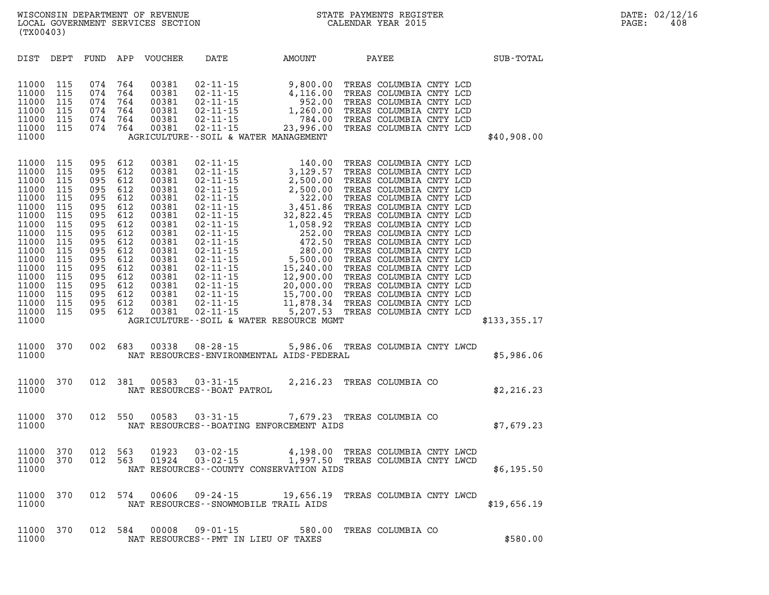| DIST                                                                                                                                                                    | DEPT                                                                                                                       | FUND                                                                                                                       | APP                                                                                                                        | <b>VOUCHER</b>                                                                                                                                                 | DATE                                                                                                                                                                                                                                                                                                                                                                                                  | AMOUNT                                                                                                                                                                                                                                                                                             | PAYEE                                                                                                                                                                                                                                                                                                                                                                                                                                                                   |  | SUB-TOTAL     |
|-------------------------------------------------------------------------------------------------------------------------------------------------------------------------|----------------------------------------------------------------------------------------------------------------------------|----------------------------------------------------------------------------------------------------------------------------|----------------------------------------------------------------------------------------------------------------------------|----------------------------------------------------------------------------------------------------------------------------------------------------------------|-------------------------------------------------------------------------------------------------------------------------------------------------------------------------------------------------------------------------------------------------------------------------------------------------------------------------------------------------------------------------------------------------------|----------------------------------------------------------------------------------------------------------------------------------------------------------------------------------------------------------------------------------------------------------------------------------------------------|-------------------------------------------------------------------------------------------------------------------------------------------------------------------------------------------------------------------------------------------------------------------------------------------------------------------------------------------------------------------------------------------------------------------------------------------------------------------------|--|---------------|
| 11000<br>11000<br>11000<br>11000<br>11000<br>11000<br>11000                                                                                                             | 115<br>115<br>115<br>115<br>115<br>115                                                                                     | 074<br>074<br>074<br>074<br>074<br>074                                                                                     | 764<br>764<br>764<br>764<br>764<br>764                                                                                     | 00381<br>00381<br>00381<br>00381<br>00381<br>00381                                                                                                             | 02 - 11 - 15<br>02 - 11 - 15<br>02 - 11 - 15<br>02 - 11 - 15<br>02 - 11 - 15<br>02 - 11 - 15<br>AGRICULTURE--SOIL & WATER MANAGEMENT                                                                                                                                                                                                                                                                  | 9,800.00<br>4,116.00<br>952.00<br>1,260.00<br>784.00<br>23,996.00                                                                                                                                                                                                                                  | TREAS COLUMBIA CNTY LCD<br>TREAS COLUMBIA CNTY LCD<br>TREAS COLUMBIA CNTY LCD<br>TREAS COLUMBIA CNTY LCD<br>TREAS COLUMBIA CNTY LCD<br>TREAS COLUMBIA CNTY LCD                                                                                                                                                                                                                                                                                                          |  | \$40,908.00   |
| 11000<br>11000<br>11000<br>11000<br>11000<br>11000<br>11000<br>11000<br>11000<br>11000<br>11000<br>11000<br>11000<br>11000<br>11000<br>11000<br>11000<br>11000<br>11000 | 115<br>115<br>115<br>115<br>115<br>115<br>115<br>115<br>115<br>115<br>115<br>115<br>115<br>115<br>115<br>115<br>115<br>115 | 095<br>095<br>095<br>095<br>095<br>095<br>095<br>095<br>095<br>095<br>095<br>095<br>095<br>095<br>095<br>095<br>095<br>095 | 612<br>612<br>612<br>612<br>612<br>612<br>612<br>612<br>612<br>612<br>612<br>612<br>612<br>612<br>612<br>612<br>612<br>612 | 00381<br>00381<br>00381<br>00381<br>00381<br>00381<br>00381<br>00381<br>00381<br>00381<br>00381<br>00381<br>00381<br>00381<br>00381<br>00381<br>00381<br>00381 | $02 - 11 - 15$<br>$02 - 11 - 15$<br>02 - 11 - 15<br>02 - 11 - 15<br>02 - 11 - 15<br>02 - 11 - 15<br>02 - 11 - 15<br>02 - 11 - 15<br>02 - 11 - 15<br>02 - 11 - 15<br>02 - 11 - 15<br>02 - 11 - 15<br>02 - 11 - 15<br>02 - 11 - 15<br>02 - 11 - 15<br>02 - 11 - 15<br>$02 - 11 - 15$<br>$02 - 11 - 15$<br>$02 - 11 - 15$<br>$02 - 11 - 15$<br>$02 - 11 - 15$<br>AGRICULTURE--SOIL & WATER RESOURCE MGMT | 140.00<br>3,129.57<br>2,500.00<br>2,500.00<br>322.00<br>3,451.86<br>32,822.45<br>1,058.92<br>252.00<br>$\begin{array}{r} 22.5 \times 10^{-10} \\ 280.00 \\ 5,500.00 \\ 15,240.00 \\ 12,900.00 \\ 20,000.00 \\ 15,7^{6} \end{array}$<br>11,878.34 TREAS COLUMBIA CNTY LCD<br>$5,207.53$<br>5,207.53 | TREAS COLUMBIA CNTY LCD<br>TREAS COLUMBIA CNTY LCD<br>TREAS COLUMBIA CNTY LCD<br>TREAS COLUMBIA CNTY LCD<br>TREAS COLUMBIA CNTY LCD<br>TREAS COLUMBIA CNTY LCD<br>TREAS COLUMBIA CNTY LCD<br>TREAS COLUMBIA CNTY LCD<br>TREAS COLUMBIA CNTY LCD<br>TREAS COLUMBIA CNTY LCD<br>TREAS COLUMBIA CNTY LCD<br>TREAS COLUMBIA CNTY LCD<br>TREAS COLUMBIA CNTY LCD<br>TREAS COLUMBIA CNTY LCD<br>TREAS COLUMBIA CNTY LCD<br>TREAS COLUMBIA CNTY LCD<br>TREAS COLUMBIA CNTY LCD |  | \$133, 355.17 |
| 11000<br>11000                                                                                                                                                          | 370                                                                                                                        | 002                                                                                                                        | 683                                                                                                                        | 00338                                                                                                                                                          | $08 - 28 - 15$<br>NAT RESOURCES-ENVIRONMENTAL AIDS-FEDERAL                                                                                                                                                                                                                                                                                                                                            | 5,986.06 TREAS COLUMBIA CNTY LWCD                                                                                                                                                                                                                                                                  |                                                                                                                                                                                                                                                                                                                                                                                                                                                                         |  | \$5,986.06    |
| 11000<br>11000                                                                                                                                                          | 370                                                                                                                        | 012                                                                                                                        | 381                                                                                                                        | 00583                                                                                                                                                          | $03 - 31 - 15$<br>NAT RESOURCES - - BOAT PATROL                                                                                                                                                                                                                                                                                                                                                       | 2,216.23 TREAS COLUMBIA CO                                                                                                                                                                                                                                                                         |                                                                                                                                                                                                                                                                                                                                                                                                                                                                         |  | \$2,216.23    |
| 11000<br>11000                                                                                                                                                          | 370                                                                                                                        | 012                                                                                                                        | 550                                                                                                                        | 00583                                                                                                                                                          | $03 - 31 - 15$<br>NAT RESOURCES - - BOATING ENFORCEMENT AIDS                                                                                                                                                                                                                                                                                                                                          | 7,679.23                                                                                                                                                                                                                                                                                           | TREAS COLUMBIA CO                                                                                                                                                                                                                                                                                                                                                                                                                                                       |  | \$7,679.23    |
| 11000<br>11000<br>11000                                                                                                                                                 | 370<br>370                                                                                                                 | 012<br>012                                                                                                                 | 563<br>563                                                                                                                 | 01923<br>01924                                                                                                                                                 | $03 - 02 - 15$<br>$03 - 02 - 15$<br>NAT RESOURCES - - COUNTY CONSERVATION AIDS                                                                                                                                                                                                                                                                                                                        | 4,198.00<br>1,997.50                                                                                                                                                                                                                                                                               | TREAS COLUMBIA CNTY LWCD<br>TREAS COLUMBIA CNTY LWCD                                                                                                                                                                                                                                                                                                                                                                                                                    |  | \$6,195.50    |
| 11000<br>11000                                                                                                                                                          | 370                                                                                                                        | 012                                                                                                                        | 574                                                                                                                        | 00606                                                                                                                                                          | $09 - 24 - 15$<br>NAT RESOURCES - - SNOWMOBILE TRAIL AIDS                                                                                                                                                                                                                                                                                                                                             | 19,656.19 TREAS COLUMBIA CNTY LWCD                                                                                                                                                                                                                                                                 |                                                                                                                                                                                                                                                                                                                                                                                                                                                                         |  | \$19,656.19   |
| 11000                                                                                                                                                                   | 370                                                                                                                        | 012                                                                                                                        | 584                                                                                                                        | 00008                                                                                                                                                          | $09 - 01 - 15$                                                                                                                                                                                                                                                                                                                                                                                        | 580.00                                                                                                                                                                                                                                                                                             | TREAS COLUMBIA CO                                                                                                                                                                                                                                                                                                                                                                                                                                                       |  |               |

**11000 NAT RESOURCES--PMT IN LIEU OF TAXES \$580.00**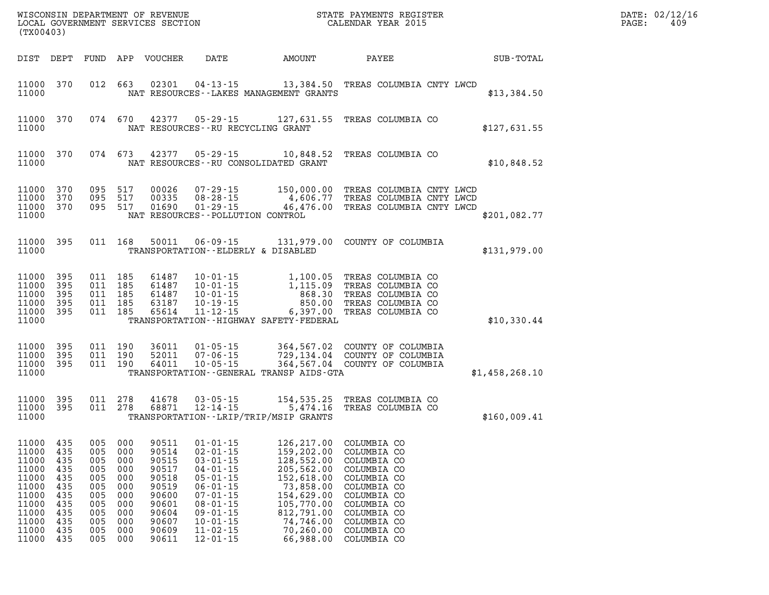| (TX00403)                                                                                       |                                                                           |                                                                           |                                                                           |                                                                                                 | WISCONSIN DEPARTMENT OF REVENUE<br>LOCAL GOVERNMENT SERVICES SECTION<br>(TYOC402)                                                                                                                  |                                                                                                                                                                                                               | STATE PAYMENTS REGISTER<br>CALENDAR YEAR 2015                                                                                                                                          |                | DATE: 02/12/16<br>$\mathtt{PAGE}$ :<br>409 |
|-------------------------------------------------------------------------------------------------|---------------------------------------------------------------------------|---------------------------------------------------------------------------|---------------------------------------------------------------------------|-------------------------------------------------------------------------------------------------|----------------------------------------------------------------------------------------------------------------------------------------------------------------------------------------------------|---------------------------------------------------------------------------------------------------------------------------------------------------------------------------------------------------------------|----------------------------------------------------------------------------------------------------------------------------------------------------------------------------------------|----------------|--------------------------------------------|
|                                                                                                 |                                                                           |                                                                           |                                                                           | DIST DEPT FUND APP VOUCHER                                                                      | DATE                                                                                                                                                                                               | AMOUNT                                                                                                                                                                                                        | PAYEE                                                                                                                                                                                  | SUB-TOTAL      |                                            |
| 11000 370<br>11000                                                                              |                                                                           |                                                                           |                                                                           |                                                                                                 |                                                                                                                                                                                                    | NAT RESOURCES - - LAKES MANAGEMENT GRANTS                                                                                                                                                                     | 012 663 02301 04-13-15 13,384.50 TREAS COLUMBIA CNTY LWCD                                                                                                                              | \$13,384.50    |                                            |
| 11000                                                                                           | 11000 370                                                                 |                                                                           |                                                                           |                                                                                                 | NAT RESOURCES -- RU RECYCLING GRANT                                                                                                                                                                |                                                                                                                                                                                                               | 074 670 42377 05-29-15 127,631.55 TREAS COLUMBIA CO                                                                                                                                    | \$127,631.55   |                                            |
| 11000                                                                                           | 11000 370                                                                 |                                                                           |                                                                           |                                                                                                 |                                                                                                                                                                                                    | NAT RESOURCES--RU CONSOLIDATED GRANT                                                                                                                                                                          | 074  673  42377  05-29-15  10,848.52  TREAS COLUMBIA CO                                                                                                                                | \$10,848.52    |                                            |
| 11000<br>11000<br>11000<br>11000                                                                | 370<br>370<br>370                                                         | 095 517                                                                   | 095 517<br>095 517                                                        |                                                                                                 | NAT RESOURCES - - POLLUTION CONTROL                                                                                                                                                                |                                                                                                                                                                                                               | 00026  07-29-15  150,000.00  TREAS COLUMBIA CNTY LWCD<br>00335  08-28-15  4,606.77  TREAS COLUMBIA CNTY LWCD<br>01690  01-29-15  46,476.00  TREAS COLUMBIA CNTY LWCD                   | \$201,082.77   |                                            |
| 11000                                                                                           | 11000 395                                                                 |                                                                           | 011 168                                                                   |                                                                                                 |                                                                                                                                                                                                    | TRANSPORTATION--ELDERLY & DISABLED                                                                                                                                                                            | 50011  06-09-15  131,979.00  COUNTY OF COLUMBIA                                                                                                                                        | \$131,979.00   |                                            |
| 11000<br>11000<br>11000<br>11000<br>11000<br>11000                                              | 395<br>395<br>395<br>395<br>395                                           |                                                                           | 011 185<br>011 185<br>011 185<br>011 185<br>011 185                       |                                                                                                 | 61487 10-01-15<br>63187 10-19-15<br>65614 11-12-15                                                                                                                                                 | 6,397.00<br>TRANSPORTATION - - HIGHWAY SAFETY - FEDERAL                                                                                                                                                       | 61487   10-01-15   1,100.05   TREAS COLUMBIA CO<br>61487   10-01-15   1,115.09   TREAS COLUMBIA CO<br>868.30 TREAS COLUMBIA CO<br>850.00 TREAS COLUMBIA CO<br>TREAS COLUMBIA CO        | \$10,330.44    |                                            |
| 11000<br>11000<br>11000<br>11000                                                                | 395<br>395<br>395                                                         |                                                                           | 011 190<br>011 190<br>011 190                                             |                                                                                                 | 10-05-15                                                                                                                                                                                           | TRANSPORTATION--GENERAL TRANSP AIDS-GTA                                                                                                                                                                       | 36011  01-05-15  364,567.02  COUNTY OF COLUMBIA<br>52011  07-06-15  729,134.04  COUNTY OF COLUMBIA<br>64011  10-05-15  364,567.04  COUNTY OF COLUMBIA<br>364,567.04 COUNTY OF COLUMBIA | \$1,458,268.10 |                                            |
| 11000<br>11000                                                                                  | 11000 395<br>395                                                          |                                                                           | 011 278<br>011 278                                                        |                                                                                                 |                                                                                                                                                                                                    | TRANSPORTATION - - LRIP/TRIP/MSIP GRANTS                                                                                                                                                                      | 41678  03-05-15  154,535.25  TREAS COLUMBIA CO<br>68871  12-14-15  5,474.16  TREAS COLUMBIA CO                                                                                         | \$160,009.41   |                                            |
| 11000<br>11000<br>11000<br>11000<br>11000<br>11000<br>11000<br>11000<br>11000<br>11000<br>11000 | 435<br>435<br>435<br>435<br>435<br>435<br>435<br>435<br>435<br>435<br>435 | 005<br>005<br>005<br>005<br>005<br>005<br>005<br>005<br>005<br>005<br>005 | 000<br>000<br>000<br>000<br>000<br>000<br>000<br>000<br>000<br>000<br>000 | 90514<br>90515<br>90517<br>90518<br>90519<br>90600<br>90601<br>90604<br>90607<br>90609<br>90611 | $02 - 01 - 15$<br>$03 - 01 - 15$<br>$04 - 01 - 15$<br>$05 - 01 - 15$<br>$06 - 01 - 15$<br>$07 - 01 - 15$<br>$08 - 01 - 15$<br>$09 - 01 - 15$<br>$10 - 01 - 15$<br>$11 - 02 - 15$<br>$12 - 01 - 15$ | 11000 435 005 000 90511 01-01-15 126,217.00 COLUMBIA CO<br>159,202.00<br>128,552.00<br>205,562.00<br>152,618.00<br>73,858.00<br>154,629.00<br>105,770.00<br>812,791.00<br>74,746.00<br>70,260.00<br>66,988.00 | COLUMBIA CO<br>COLUMBIA CO<br>COLUMBIA CO<br>COLUMBIA CO<br>COLUMBIA CO<br>COLUMBIA CO<br>COLUMBIA CO<br>COLUMBIA CO<br>COLUMBIA CO<br>COLUMBIA CO<br>COLUMBIA CO                      |                |                                            |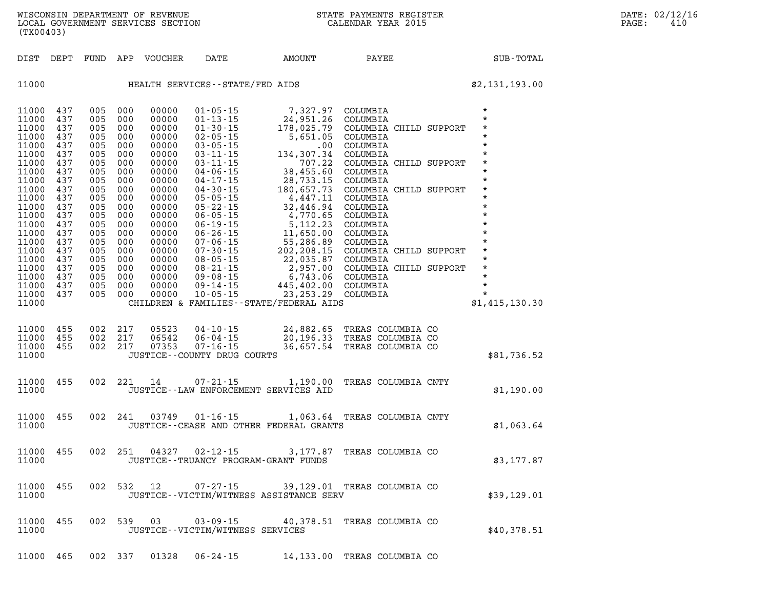| DIST                                                                                                                                                                                                        | DEPT                                                                                                                                                   | FUND                                                                                                                                                   | APP                                                                                                                                                    | VOUCHER                                                                                                                                                                                            | DATE                                                                                                                                                                                                                                                                                                                                                                                                               | <b>AMOUNT</b>                                                                                                                                                                                                                                                                                                                           | PAYEE                                                                                                                                                                                                                                                                                                                          | SUB-TOTAL                                                                                                                                                                                                                                                        |
|-------------------------------------------------------------------------------------------------------------------------------------------------------------------------------------------------------------|--------------------------------------------------------------------------------------------------------------------------------------------------------|--------------------------------------------------------------------------------------------------------------------------------------------------------|--------------------------------------------------------------------------------------------------------------------------------------------------------|----------------------------------------------------------------------------------------------------------------------------------------------------------------------------------------------------|--------------------------------------------------------------------------------------------------------------------------------------------------------------------------------------------------------------------------------------------------------------------------------------------------------------------------------------------------------------------------------------------------------------------|-----------------------------------------------------------------------------------------------------------------------------------------------------------------------------------------------------------------------------------------------------------------------------------------------------------------------------------------|--------------------------------------------------------------------------------------------------------------------------------------------------------------------------------------------------------------------------------------------------------------------------------------------------------------------------------|------------------------------------------------------------------------------------------------------------------------------------------------------------------------------------------------------------------------------------------------------------------|
| 11000                                                                                                                                                                                                       |                                                                                                                                                        |                                                                                                                                                        |                                                                                                                                                        |                                                                                                                                                                                                    | HEALTH SERVICES--STATE/FED AIDS                                                                                                                                                                                                                                                                                                                                                                                    |                                                                                                                                                                                                                                                                                                                                         |                                                                                                                                                                                                                                                                                                                                | \$2,131,193.00                                                                                                                                                                                                                                                   |
| 11000<br>11000<br>11000<br>11000<br>11000<br>11000<br>11000<br>11000<br>11000<br>11000<br>11000<br>11000<br>11000<br>11000<br>11000<br>11000<br>11000<br>11000<br>11000<br>11000<br>11000<br>11000<br>11000 | 437<br>437<br>437<br>437<br>437<br>437<br>437<br>437<br>437<br>437<br>437<br>437<br>437<br>437<br>437<br>437<br>437<br>437<br>437<br>437<br>437<br>437 | 005<br>005<br>005<br>005<br>005<br>005<br>005<br>005<br>005<br>005<br>005<br>005<br>005<br>005<br>005<br>005<br>005<br>005<br>005<br>005<br>005<br>005 | 000<br>000<br>000<br>000<br>000<br>000<br>000<br>000<br>000<br>000<br>000<br>000<br>000<br>000<br>000<br>000<br>000<br>000<br>000<br>000<br>000<br>000 | 00000<br>00000<br>00000<br>00000<br>00000<br>00000<br>00000<br>00000<br>00000<br>00000<br>00000<br>00000<br>00000<br>00000<br>00000<br>00000<br>00000<br>00000<br>00000<br>00000<br>00000<br>00000 | $01 - 05 - 15$<br>$01 - 13 - 15$<br>$01 - 30 - 15$<br>$02 - 05 - 15$<br>$03 - 05 - 15$<br>$03 - 11 - 15$<br>$03 - 11 - 15$<br>$04 - 06 - 15$<br>$04 - 17 - 15$<br>$04 - 30 - 15$<br>$05 - 05 - 15$<br>$05 - 22 - 15$<br>$06 - 05 - 15$<br>$06 - 19 - 15$<br>$06 - 26 - 15$<br>07-06-15<br>$07 - 30 - 15$<br>$08 - 05 - 15$<br>$08 - 21 - 15$<br>$09 - 21 - 15$<br>09 - 08 - 15<br>$09 - 14 - 15$<br>$10 - 05 - 15$ | 7,327.97 COLUMBIA<br>24,951.26<br>178,025.79<br>5,651.05<br>$.00$<br>134,307.34<br>707.22<br>38,455.60<br>28,733.15<br>180,657.73<br>4,447.11<br>32,446.94<br>4,770.65<br>5,112.23<br>11,650.00<br>55,286.89<br>202,208.15<br>22,035.87<br>2,957.00<br>6,743.06<br>445,402.00<br>23, 253. 29<br>CHILDREN & FAMILIES--STATE/FEDERAL AIDS | COLUMBIA<br>COLUMBIA CHILD SUPPORT<br>COLUMBIA<br>COLUMBIA<br>COLUMBIA<br>COLUMBIA CHILD SUPPORT<br>COLUMBIA<br>COLUMBIA<br>COLUMBIA CHILD SUPPORT<br>COLUMBIA<br>COLUMBIA<br>COLUMBIA<br>COLUMBIA<br>COLUMBIA<br>COLUMBIA<br>COLUMBIA CHILD SUPPORT<br>COLUMBIA<br>COLUMBIA CHILD SUPPORT<br>COLUMBIA<br>COLUMBIA<br>COLUMBIA | $\star$<br>$\star$<br>$\star$<br>$\star$<br>$\star$<br>$\star$<br>$\star$<br>$\star$<br>$\star$<br>$\star$<br>$\star$<br>$\star$<br>$\star$<br>$\star$<br>$\star$<br>$\star$<br>$\star$<br>$\star$<br>$\star$<br>$\star$<br>$\star$<br>$\star$<br>\$1,415,130.30 |
| 11000<br>11000<br>11000<br>11000                                                                                                                                                                            | 455<br>455<br>455                                                                                                                                      | 002<br>002<br>002                                                                                                                                      | 217<br>217<br>217                                                                                                                                      | 05523<br>06542<br>07353                                                                                                                                                                            | $04 - 10 - 15$<br>$06 - 04 - 15$<br>$07 - 16 - 15$<br>JUSTICE -- COUNTY DRUG COURTS                                                                                                                                                                                                                                                                                                                                | 24,882.65<br>20,196.33                                                                                                                                                                                                                                                                                                                  | TREAS COLUMBIA CO<br>TREAS COLUMBIA CO<br>36,657.54 TREAS COLUMBIA CO                                                                                                                                                                                                                                                          | \$81,736.52                                                                                                                                                                                                                                                      |
| 11000<br>11000                                                                                                                                                                                              | 455                                                                                                                                                    | 002                                                                                                                                                    | 221                                                                                                                                                    | 14                                                                                                                                                                                                 | $07 - 21 - 15$                                                                                                                                                                                                                                                                                                                                                                                                     | JUSTICE -- LAW ENFORCEMENT SERVICES AID                                                                                                                                                                                                                                                                                                 | 1,190.00 TREAS COLUMBIA CNTY                                                                                                                                                                                                                                                                                                   | \$1,190.00                                                                                                                                                                                                                                                       |
| 11000<br>11000                                                                                                                                                                                              | 455                                                                                                                                                    | 002                                                                                                                                                    | 241                                                                                                                                                    | 03749                                                                                                                                                                                              | $01 - 16 - 15$                                                                                                                                                                                                                                                                                                                                                                                                     | 1,063.64<br>JUSTICE -- CEASE AND OTHER FEDERAL GRANTS                                                                                                                                                                                                                                                                                   | TREAS COLUMBIA CNTY                                                                                                                                                                                                                                                                                                            | \$1,063.64                                                                                                                                                                                                                                                       |
| 11000<br>11000                                                                                                                                                                                              | 455                                                                                                                                                    | 002                                                                                                                                                    | 251                                                                                                                                                    | 04327                                                                                                                                                                                              | $02 - 12 - 15$                                                                                                                                                                                                                                                                                                                                                                                                     | 3,177.87<br>JUSTICE - - TRUANCY PROGRAM - GRANT FUNDS                                                                                                                                                                                                                                                                                   | TREAS COLUMBIA CO                                                                                                                                                                                                                                                                                                              | \$3,177.87                                                                                                                                                                                                                                                       |
| 11000<br>11000                                                                                                                                                                                              | 455                                                                                                                                                    | 002                                                                                                                                                    | 532                                                                                                                                                    | 12                                                                                                                                                                                                 | $07 - 27 - 15$                                                                                                                                                                                                                                                                                                                                                                                                     | JUSTICE--VICTIM/WITNESS ASSISTANCE SERV                                                                                                                                                                                                                                                                                                 | 39,129.01 TREAS COLUMBIA CO                                                                                                                                                                                                                                                                                                    | \$39,129.01                                                                                                                                                                                                                                                      |
| 11000<br>11000                                                                                                                                                                                              | 455                                                                                                                                                    | 002                                                                                                                                                    | 539                                                                                                                                                    | 03                                                                                                                                                                                                 | $03 - 09 - 15$<br>JUSTICE - - VICTIM/WITNESS SERVICES                                                                                                                                                                                                                                                                                                                                                              |                                                                                                                                                                                                                                                                                                                                         | 40,378.51 TREAS COLUMBIA CO                                                                                                                                                                                                                                                                                                    | \$40,378.51                                                                                                                                                                                                                                                      |
| 11000                                                                                                                                                                                                       | 465                                                                                                                                                    | 002                                                                                                                                                    | 337                                                                                                                                                    | 01328                                                                                                                                                                                              | $06 - 24 - 15$                                                                                                                                                                                                                                                                                                                                                                                                     | 14,133.00                                                                                                                                                                                                                                                                                                                               | TREAS COLUMBIA CO                                                                                                                                                                                                                                                                                                              |                                                                                                                                                                                                                                                                  |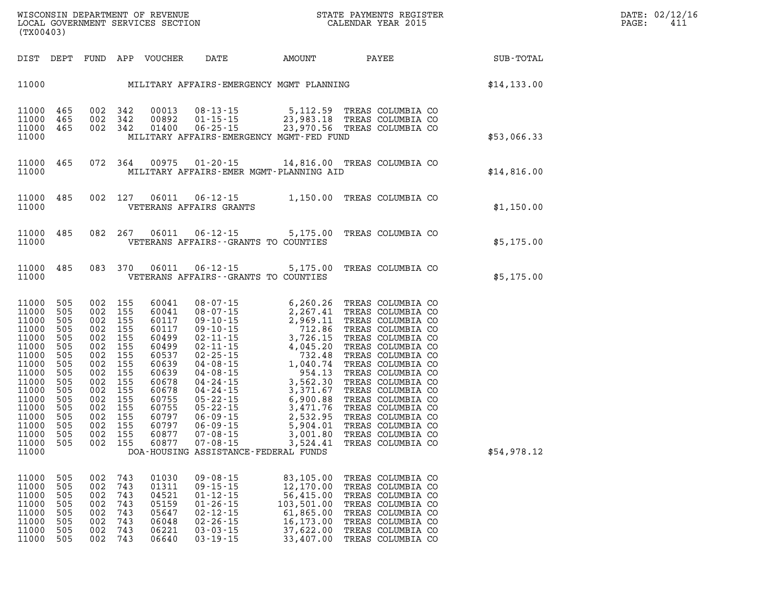| (TX00403)                                                                                                                                                      |                                                                                                                     |                                                                                                                     |                                                                                                                     |                                                                                                                                                       |                                                                                                                                                                                                                                                                                                                                                                                            |                                                                                                                                                                                                    |                                                                                                                                                                                                                                                                                                                                                                   |              |
|----------------------------------------------------------------------------------------------------------------------------------------------------------------|---------------------------------------------------------------------------------------------------------------------|---------------------------------------------------------------------------------------------------------------------|---------------------------------------------------------------------------------------------------------------------|-------------------------------------------------------------------------------------------------------------------------------------------------------|--------------------------------------------------------------------------------------------------------------------------------------------------------------------------------------------------------------------------------------------------------------------------------------------------------------------------------------------------------------------------------------------|----------------------------------------------------------------------------------------------------------------------------------------------------------------------------------------------------|-------------------------------------------------------------------------------------------------------------------------------------------------------------------------------------------------------------------------------------------------------------------------------------------------------------------------------------------------------------------|--------------|
| DIST                                                                                                                                                           | DEPT                                                                                                                |                                                                                                                     |                                                                                                                     | FUND APP VOUCHER                                                                                                                                      | DATE                                                                                                                                                                                                                                                                                                                                                                                       | AMOUNT                                                                                                                                                                                             | <b>PAYEE</b>                                                                                                                                                                                                                                                                                                                                                      | SUB-TOTAL    |
| 11000                                                                                                                                                          |                                                                                                                     |                                                                                                                     |                                                                                                                     |                                                                                                                                                       |                                                                                                                                                                                                                                                                                                                                                                                            | MILITARY AFFAIRS-EMERGENCY MGMT PLANNING                                                                                                                                                           |                                                                                                                                                                                                                                                                                                                                                                   | \$14, 133.00 |
| 11000<br>11000<br>11000<br>11000                                                                                                                               | 465<br>465<br>465                                                                                                   | 002<br>002<br>002                                                                                                   | 342<br>342<br>342                                                                                                   | 00013<br>00892<br>01400                                                                                                                               | $08 - 13 - 15$<br>$01 - 15 - 15$<br>$06 - 25 - 15$                                                                                                                                                                                                                                                                                                                                         | 5,112.59<br>23,983.18<br>23,970.56<br>MILITARY AFFAIRS-EMERGENCY MGMT-FED FUND                                                                                                                     | TREAS COLUMBIA CO<br>TREAS COLUMBIA CO<br>TREAS COLUMBIA CO                                                                                                                                                                                                                                                                                                       | \$53,066.33  |
| 11000<br>11000                                                                                                                                                 | 465                                                                                                                 | 072                                                                                                                 | 364                                                                                                                 | 00975                                                                                                                                                 | $01 - 20 - 15$                                                                                                                                                                                                                                                                                                                                                                             | MILITARY AFFAIRS-EMER MGMT-PLANNING AID                                                                                                                                                            | 14,816.00 TREAS COLUMBIA CO                                                                                                                                                                                                                                                                                                                                       | \$14,816.00  |
| 11000<br>11000                                                                                                                                                 | 485                                                                                                                 | 002                                                                                                                 | 127                                                                                                                 | 06011                                                                                                                                                 | $06 - 12 - 15$<br>VETERANS AFFAIRS GRANTS                                                                                                                                                                                                                                                                                                                                                  | 1,150.00                                                                                                                                                                                           | TREAS COLUMBIA CO                                                                                                                                                                                                                                                                                                                                                 | \$1,150.00   |
| 11000<br>11000                                                                                                                                                 | 485                                                                                                                 | 082                                                                                                                 | 267                                                                                                                 | 06011                                                                                                                                                 | $06 - 12 - 15$<br>VETERANS AFFAIRS - - GRANTS TO COUNTIES                                                                                                                                                                                                                                                                                                                                  | 5,175.00                                                                                                                                                                                           | TREAS COLUMBIA CO                                                                                                                                                                                                                                                                                                                                                 | \$5,175.00   |
| 11000<br>11000                                                                                                                                                 | 485                                                                                                                 | 083                                                                                                                 | 370                                                                                                                 | 06011                                                                                                                                                 | $06 - 12 - 15$<br>VETERANS AFFAIRS -- GRANTS TO COUNTIES                                                                                                                                                                                                                                                                                                                                   | 5,175.00                                                                                                                                                                                           | TREAS COLUMBIA CO                                                                                                                                                                                                                                                                                                                                                 | \$5,175.00   |
| 11000<br>11000<br>11000<br>11000<br>11000<br>11000<br>11000<br>11000<br>11000<br>11000<br>11000<br>11000<br>11000<br>11000<br>11000<br>11000<br>11000<br>11000 | 505<br>505<br>505<br>505<br>505<br>505<br>505<br>505<br>505<br>505<br>505<br>505<br>505<br>505<br>505<br>505<br>505 | 002<br>002<br>002<br>002<br>002<br>002<br>002<br>002<br>002<br>002<br>002<br>002<br>002<br>002<br>002<br>002<br>002 | 155<br>155<br>155<br>155<br>155<br>155<br>155<br>155<br>155<br>155<br>155<br>155<br>155<br>155<br>155<br>155<br>155 | 60041<br>60041<br>60117<br>60117<br>60499<br>60499<br>60537<br>60639<br>60639<br>60678<br>60678<br>60755<br>60755<br>60797<br>60797<br>60877<br>60877 | $08 - 07 - 15$<br>$08 - 07 - 15$<br>08 - 07 - 15<br>09 - 10 - 15<br>09 - 10 - 15<br>$\begin{array}{r} .6 - 1.5 \\ .10 - 15 \\ .10 - 15 \\ .2 - 11 - 15 \\ 2 - 25 - 15 \\ 04 - 08 - 15 \\ 04 - 08 - 15 \\ 24 - 15 \\ 15 \\ \end{array}$<br>$05 - 22 - 15$<br>$05 - 22 - 15$<br>$06 - 09 - 15$<br>$06 - 09 - 15$<br>$07 - 08 - 15$<br>$07 - 08 - 15$<br>DOA-HOUSING ASSISTANCE-FEDERAL FUNDS | 6,260.26<br>2,267.41<br>2,969.11<br>712.86<br>3,726.15<br>4,045.20<br>732.48<br>1,040.74<br>954.13<br>3,562.30<br>3,371.67<br>6,900.88<br>3,471.76<br>2,532.95<br>5,904.01<br>3,001.80<br>3,524.41 | TREAS COLUMBIA CO<br>TREAS COLUMBIA CO<br>TREAS COLUMBIA CO<br>TREAS COLUMBIA CO<br>TREAS COLUMBIA CO<br>TREAS COLUMBIA CO<br>TREAS COLUMBIA CO<br>TREAS COLUMBIA CO<br>TREAS COLUMBIA CO<br>TREAS COLUMBIA CO<br>TREAS COLUMBIA CO<br>TREAS COLUMBIA CO<br>TREAS COLUMBIA CO<br>TREAS COLUMBIA CO<br>TREAS COLUMBIA CO<br>TREAS COLUMBIA CO<br>TREAS COLUMBIA CO | \$54,978.12  |
| 11000<br>11000<br>11000<br>11000<br>11000<br>11000<br>11000                                                                                                    | 505<br>505<br>505<br>505<br>505<br>505<br>505                                                                       | 002<br>002<br>002<br>002<br>002<br>002<br>002                                                                       | 743<br>743<br>743<br>743<br>743<br>743<br>743                                                                       | 01030<br>01311<br>04521<br>05159<br>05647<br>06048<br>06221                                                                                           | $09 - 08 - 15$<br>$09 - 15 - 15$<br>$01 - 12 - 15$<br>$01 - 26 - 15$<br>$02 - 12 - 15$<br>$02 - 26 - 15$<br>$03 - 03 - 15$                                                                                                                                                                                                                                                                 | 83,105.00<br>12,170.00<br>56,415.00<br>103,501.00<br>61,865.00<br>16,173.00<br>37,622.00                                                                                                           | TREAS COLUMBIA CO<br>TREAS COLUMBIA CO<br>TREAS COLUMBIA CO<br>TREAS COLUMBIA CO<br>TREAS COLUMBIA CO<br>TREAS COLUMBIA CO<br>TREAS COLUMBIA CO                                                                                                                                                                                                                   |              |

**11000 505 002 743 06640 03-19-15 33,407.00 TREAS COLUMBIA CO**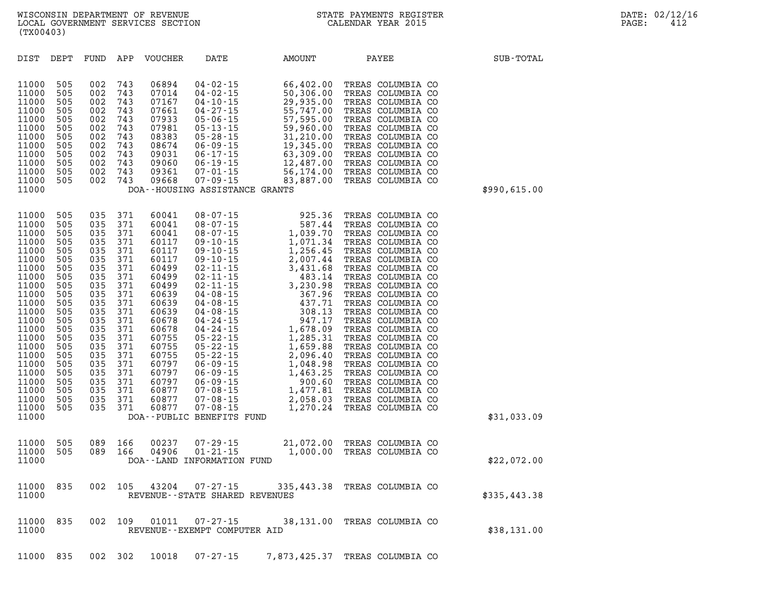| DIST                                                                                                                                                                                                                 | DEPT                                                                                                                                                          | FUND                                                                                                                                                          | APP                                                                                                                                                           | VOUCHER                                                                                                                                                                                                     | DATE                                                                                                                                                                                                                                                                                                                                                                                                                                                    | AMOUNT                                                                                                                                                                                                                                                                                                                          | PAYEE                                                                                                                                                                                                                                                                                                                                                                                                                                                                                           | SUB-TOTAL    |
|----------------------------------------------------------------------------------------------------------------------------------------------------------------------------------------------------------------------|---------------------------------------------------------------------------------------------------------------------------------------------------------------|---------------------------------------------------------------------------------------------------------------------------------------------------------------|---------------------------------------------------------------------------------------------------------------------------------------------------------------|-------------------------------------------------------------------------------------------------------------------------------------------------------------------------------------------------------------|---------------------------------------------------------------------------------------------------------------------------------------------------------------------------------------------------------------------------------------------------------------------------------------------------------------------------------------------------------------------------------------------------------------------------------------------------------|---------------------------------------------------------------------------------------------------------------------------------------------------------------------------------------------------------------------------------------------------------------------------------------------------------------------------------|-------------------------------------------------------------------------------------------------------------------------------------------------------------------------------------------------------------------------------------------------------------------------------------------------------------------------------------------------------------------------------------------------------------------------------------------------------------------------------------------------|--------------|
| 11000<br>11000<br>11000<br>11000<br>11000<br>11000<br>11000<br>11000<br>11000<br>11000<br>11000<br>11000<br>11000                                                                                                    | 505<br>505<br>505<br>505<br>505<br>505<br>505<br>505<br>505<br>505<br>505<br>505                                                                              | 002<br>002<br>002<br>002<br>002<br>002<br>002<br>002<br>002<br>002<br>002<br>002                                                                              | 743<br>743<br>743<br>743<br>743<br>743<br>743<br>743<br>743<br>743<br>743<br>743                                                                              | 06894<br>07014<br>07167<br>07661<br>07933<br>07981<br>08383<br>08674<br>09031<br>09060<br>09361<br>09668                                                                                                    | $04 - 02 - 15$<br>$04 - 02 - 15$<br>$04 - 10 - 15$<br>$04 - 27 - 15$<br>$05 - 06 - 15$<br>$05 - 13 - 15$<br>$05 - 28 - 15$<br>$06 - 09 - 15$<br>$06 - 17 - 15$<br>$06 - 19 - 15$<br>$07 - 01 - 15$<br>$07 - 01 - 15$<br>07 - 09 - 15<br>DOA--HOUSING ASSISTANCE GRANTS                                                                                                                                                                                  | 66,402.00<br>50,306.00<br>29,935.00<br>55,747.00<br>57,595.00<br>59,960.00<br>31,210.00<br>19,345.00<br>63,309.00<br>12,487.00<br>56, 174.00<br>83,887.00                                                                                                                                                                       | TREAS COLUMBIA CO<br>TREAS COLUMBIA CO<br>TREAS COLUMBIA CO<br>TREAS COLUMBIA CO<br>TREAS COLUMBIA CO<br>TREAS COLUMBIA CO<br>TREAS COLUMBIA CO<br>TREAS COLUMBIA CO<br>TREAS COLUMBIA CO<br>TREAS COLUMBIA CO<br>TREAS COLUMBIA CO<br>TREAS COLUMBIA CO                                                                                                                                                                                                                                        | \$990,615.00 |
| 11000<br>11000<br>11000<br>11000<br>11000<br>11000<br>11000<br>11000<br>11000<br>11000<br>11000<br>11000<br>11000<br>11000<br>11000<br>11000<br>11000<br>11000<br>11000<br>11000<br>11000<br>11000<br>11000<br>11000 | 505<br>505<br>505<br>505<br>505<br>505<br>505<br>505<br>505<br>505<br>505<br>505<br>505<br>505<br>505<br>505<br>505<br>505<br>505<br>505<br>505<br>505<br>505 | 035<br>035<br>035<br>035<br>035<br>035<br>035<br>035<br>035<br>035<br>035<br>035<br>035<br>035<br>035<br>035<br>035<br>035<br>035<br>035<br>035<br>035<br>035 | 371<br>371<br>371<br>371<br>371<br>371<br>371<br>371<br>371<br>371<br>371<br>371<br>371<br>371<br>371<br>371<br>371<br>371<br>371<br>371<br>371<br>371<br>371 | 60041<br>60041<br>60041<br>60117<br>60117<br>60117<br>60499<br>60499<br>60499<br>60639<br>60639<br>60639<br>60678<br>60678<br>60755<br>60755<br>60755<br>60797<br>60797<br>60797<br>60877<br>60877<br>60877 | $08 - 07 - 15$<br>$08 - 07 - 15$<br>$08 - 07 - 15$<br>$09 - 10 - 15$<br>$09 - 10 - 15$<br>$09 - 10 - 15$<br>$02 - 11 - 15$<br>$02 - 11 - 15$<br>$02 - 11 - 15$<br>$04 - 08 - 15$<br>$04 - 08 - 15$<br>$04 - 08 - 15$<br>$04 - 24 - 15$<br>$04 - 24 - 15$<br>$05 - 22 - 15$<br>$05 - 22 - 15$<br>$05 - 22 - 15$<br>$06 - 09 - 15$<br>$06 - 09 - 15$<br>$06 - 09 - 15$<br>$07 - 08 - 15$<br>$07 - 08 - 15$<br>$07 - 08 - 15$<br>DOA--PUBLIC BENEFITS FUND | $\begin{array}{r} 925.36 \\ 587.44 \\ 1,039.70 \\ 1,071.34 \\ 1,256.45 \\ 2,007.44 \\ 3,431.68 \\ 483.14 \\ 3,230.98 \\ 367.96 \\ 437.71 \\ 308.13 \\ 947.17 \\ 1,678.09 \\ 1,285.31 \\ 1,659.88 \end{array}$<br>1,659.88<br>2,096.40<br>2,030.<br>1,048.98<br>1,463.25<br>000.60<br>900.60<br>1,477.81<br>2,058.03<br>1,270.24 | TREAS COLUMBIA CO<br>TREAS COLUMBIA CO<br>TREAS COLUMBIA CO<br>TREAS COLUMBIA CO<br>TREAS COLUMBIA CO<br>TREAS COLUMBIA CO<br>TREAS COLUMBIA CO<br>TREAS COLUMBIA CO<br>TREAS COLUMBIA CO<br>TREAS COLUMBIA CO<br>TREAS COLUMBIA CO<br>TREAS COLUMBIA CO<br>TREAS COLUMBIA CO<br>TREAS COLUMBIA CO<br>TREAS COLUMBIA CO<br>TREAS COLUMBIA CO<br>TREAS COLUMBIA CO<br>TREAS COLUMBIA CO<br>TREAS COLUMBIA CO<br>TREAS COLUMBIA CO<br>TREAS COLUMBIA CO<br>TREAS COLUMBIA CO<br>TREAS COLUMBIA CO | \$31,033.09  |
| 11000<br>11000<br>11000                                                                                                                                                                                              | 505<br>505                                                                                                                                                    | 089<br>089                                                                                                                                                    | 166<br>166                                                                                                                                                    | 00237<br>04906                                                                                                                                                                                              | $07 - 29 - 15$<br>$01 - 21 - 15$<br>DOA--LAND INFORMATION FUND                                                                                                                                                                                                                                                                                                                                                                                          | 1,000.00                                                                                                                                                                                                                                                                                                                        | 21,072.00 TREAS COLUMBIA CO<br>TREAS COLUMBIA CO                                                                                                                                                                                                                                                                                                                                                                                                                                                | \$22,072.00  |
| 11000<br>11000                                                                                                                                                                                                       | 835                                                                                                                                                           | 002                                                                                                                                                           | 105                                                                                                                                                           | 43204                                                                                                                                                                                                       | $07 - 27 - 15$<br>REVENUE - - STATE SHARED REVENUES                                                                                                                                                                                                                                                                                                                                                                                                     |                                                                                                                                                                                                                                                                                                                                 | 335,443.38 TREAS COLUMBIA CO                                                                                                                                                                                                                                                                                                                                                                                                                                                                    | \$335,443.38 |
| 11000<br>11000                                                                                                                                                                                                       | 835                                                                                                                                                           | 002                                                                                                                                                           | 109                                                                                                                                                           | 01011                                                                                                                                                                                                       | 07-27-15<br>REVENUE - - EXEMPT COMPUTER AID                                                                                                                                                                                                                                                                                                                                                                                                             |                                                                                                                                                                                                                                                                                                                                 | 38,131.00 TREAS COLUMBIA CO                                                                                                                                                                                                                                                                                                                                                                                                                                                                     | \$38,131.00  |

**11000 835 002 302 10018 07-27-15 7,873,425.37 TREAS COLUMBIA CO**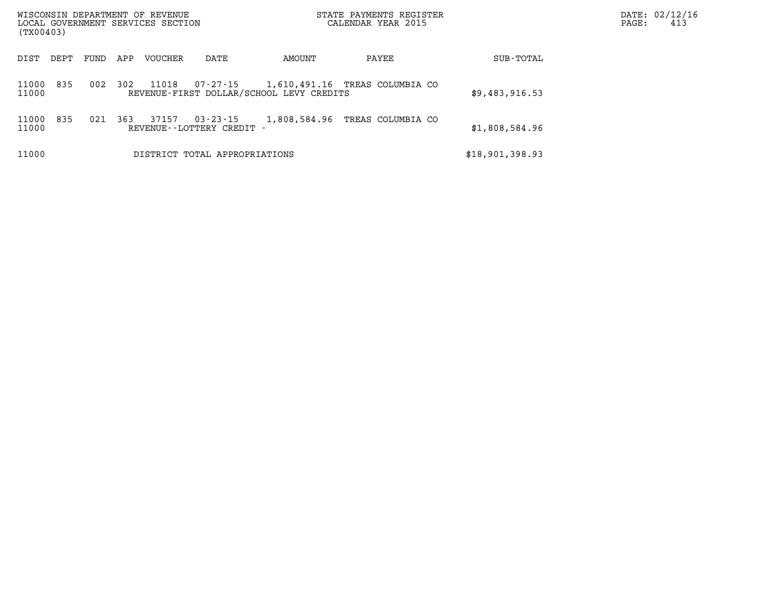| WISCONSIN DEPARTMENT OF REVENUE<br>LOCAL GOVERNMENT SERVICES SECTION<br>(TX00403) |      |     |                                                       | STATE PAYMENTS REGISTER<br>CALENDAR YEAR 2015 |                                | PAGE:           | DATE: 02/12/16<br>413 |  |
|-----------------------------------------------------------------------------------|------|-----|-------------------------------------------------------|-----------------------------------------------|--------------------------------|-----------------|-----------------------|--|
| DIST<br>DEPT                                                                      | FUND | APP | VOUCHER<br>DATE                                       | AMOUNT                                        | PAYEE                          | SUB-TOTAL       |                       |  |
| 835<br>11000<br>11000                                                             | 002  | 302 | 11018<br>07-27-15                                     | REVENUE-FIRST DOLLAR/SCHOOL LEVY CREDITS      | 1,610,491.16 TREAS COLUMBIA CO | \$9,483,916.53  |                       |  |
| 835<br>11000<br>11000                                                             | 021  | 363 | 37157<br>$03 - 23 - 15$<br>REVENUE - - LOTTERY CREDIT | 1,808,584.96                                  | TREAS COLUMBIA CO              | \$1,808,584.96  |                       |  |
| 11000                                                                             |      |     | DISTRICT TOTAL APPROPRIATIONS                         |                                               |                                | \$18,901,398.93 |                       |  |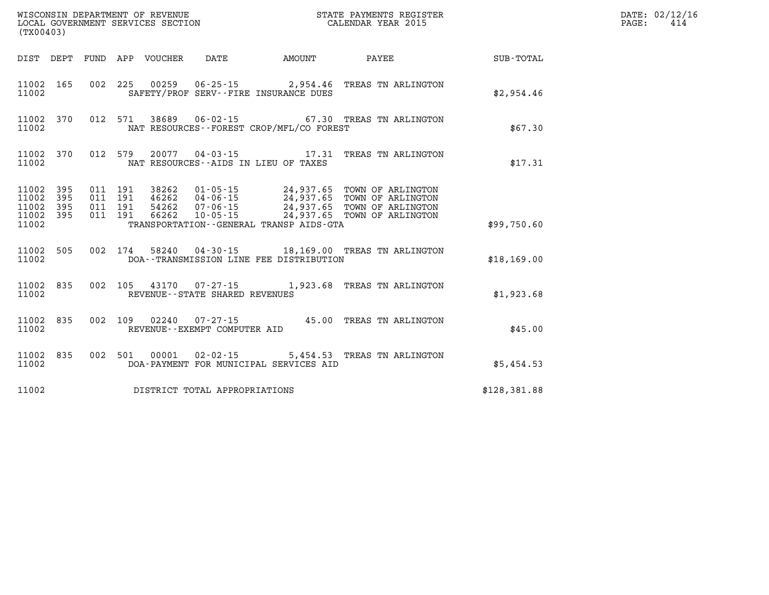| (TX00403)      |                                            |  |                                        |                                             |                                                               |              | DATE: 02/12/16<br>414<br>$\mathtt{PAGE}$ : |
|----------------|--------------------------------------------|--|----------------------------------------|---------------------------------------------|---------------------------------------------------------------|--------------|--------------------------------------------|
|                |                                            |  | DIST DEPT FUND APP VOUCHER DATE AMOUNT |                                             | <b>PAYEE</b> PAYEE                                            | SUB-TOTAL    |                                            |
| 11002          | 11002 165                                  |  |                                        | SAFETY/PROF SERV--FIRE INSURANCE DUES       | 002 225 00259 06-25-15 2,954.46 TREAS TN ARLINGTON            | \$2,954.46   |                                            |
| 11002          |                                            |  |                                        | NAT RESOURCES - - FOREST CROP/MFL/CO FOREST | 11002 370 012 571 38689 06-02-15 67.30 TREAS TN ARLINGTON     | \$67.30      |                                            |
| 11002          |                                            |  |                                        | NAT RESOURCES--AIDS IN LIEU OF TAXES        | 11002 370 012 579 20077 04-03-15 17.31 TREAS TN ARLINGTON     | \$17.31      |                                            |
| 11002<br>11002 | 11002 395<br>395<br>11002 395<br>11002 395 |  |                                        | TRANSPORTATION--GENERAL TRANSP AIDS-GTA     |                                                               | \$99,750.60  |                                            |
| 11002          |                                            |  |                                        | DOA--TRANSMISSION LINE FEE DISTRIBUTION     | 11002 505 002 174 58240 04-30-15 18,169.00 TREAS TN ARLINGTON | \$18,169.00  |                                            |
| 11002          |                                            |  | REVENUE--STATE SHARED REVENUES         |                                             | 11002 835 002 105 43170 07-27-15 1,923.68 TREAS TN ARLINGTON  | \$1,923.68   |                                            |
| 11002          | 11002 835                                  |  | REVENUE--EXEMPT COMPUTER AID           |                                             | 002 109 02240 07-27-15 45.00 TREAS TN ARLINGTON               | \$45.00      |                                            |
| 11002          | 11002 835                                  |  | 002 501 00001 02-02-15                 | DOA-PAYMENT FOR MUNICIPAL SERVICES AID      | 5,454.53 TREAS TN ARLINGTON                                   | \$5,454.53   |                                            |
| 11002          |                                            |  | DISTRICT TOTAL APPROPRIATIONS          |                                             |                                                               | \$128,381.88 |                                            |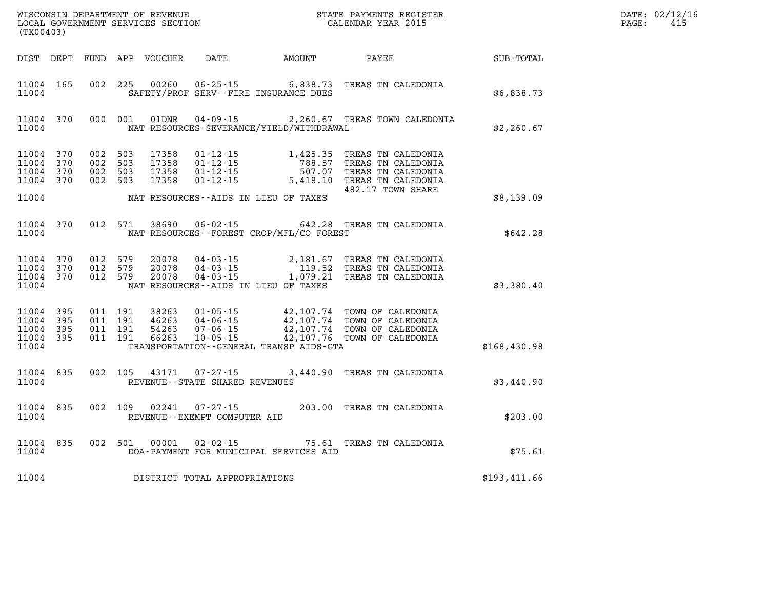| DATE: | 02/12/16 |
|-------|----------|
| PAGE: | 415      |

| (TX00403)                            |                         |         |                               |                                  |                                                        |                                              |                                                                                                                                                                                                                                                                                                             |                  | DATE: 02/12/1<br>PAGE:<br>415 |
|--------------------------------------|-------------------------|---------|-------------------------------|----------------------------------|--------------------------------------------------------|----------------------------------------------|-------------------------------------------------------------------------------------------------------------------------------------------------------------------------------------------------------------------------------------------------------------------------------------------------------------|------------------|-------------------------------|
|                                      |                         |         |                               |                                  |                                                        | DIST DEPT FUND APP VOUCHER DATE AMOUNT PAYEE |                                                                                                                                                                                                                                                                                                             | <b>SUB-TOTAL</b> |                               |
| 11004                                | 11004 165               |         |                               |                                  |                                                        | SAFETY/PROF SERV--FIRE INSURANCE DUES        | 002 225 00260 06-25-15 6,838.73 TREAS TN CALEDONIA                                                                                                                                                                                                                                                          | \$6,838.73       |                               |
| 11004                                | 11004 370               |         | 000 001                       |                                  |                                                        | NAT RESOURCES-SEVERANCE/YIELD/WITHDRAWAL     | 01DNR  04-09-15  2,260.67 TREAS TOWN CALEDONIA                                                                                                                                                                                                                                                              | \$2,260.67       |                               |
| 11004<br>11004 370<br>11004 370      | 11004 370<br>370        | 002 503 | 002 503<br>002 503<br>002 503 | 17358<br>17358<br>17358<br>17358 |                                                        |                                              | 01-12-15<br>01-12-15<br>01-12-15<br>01-12-15<br>5,418.10<br>02.17<br>03.17<br>03.17<br>03.17<br>03.17<br>03.17<br>03.17<br>03.17<br>03.17<br>03.17<br>03.17<br>03.17<br>04.12-15<br>5,418.10<br>03.27<br>03.17<br>03.17<br>03.17<br>03.18<br>03.17<br>04.18<br>03.17<br>04.18<br>03.18<br>482.17 TOWN SHARE |                  |                               |
| 11004                                |                         |         |                               |                                  |                                                        | NAT RESOURCES--AIDS IN LIEU OF TAXES         |                                                                                                                                                                                                                                                                                                             | \$8,139.09       |                               |
| 11004                                | 11004 370               |         | 012 571                       | 38690                            |                                                        | NAT RESOURCES - - FOREST CROP/MFL/CO FOREST  | 06-02-15 642.28 TREAS TN CALEDONIA                                                                                                                                                                                                                                                                          | \$642.28         |                               |
| 11004 370<br>11004                   | 11004 370<br>11004 370  |         | 012 579<br>012 579<br>012 579 |                                  |                                                        | NAT RESOURCES--AIDS IN LIEU OF TAXES         | 20078  04-03-15  2,181.67  TREAS TN CALEDONIA<br>20078  04-03-15  119.52  TREAS TN CALEDONIA<br>20078  04-03-15  1,079.21  TREAS TN CALEDONIA                                                                                                                                                               | \$3,380.40       |                               |
| 11004<br>11004<br>11004 395<br>11004 | 11004 395<br>395<br>395 |         |                               |                                  |                                                        | TRANSPORTATION--GENERAL TRANSP AIDS-GTA      |                                                                                                                                                                                                                                                                                                             | \$168,430.98     |                               |
| 11004                                | 11004 835               |         |                               |                                  | REVENUE - - STATE SHARED REVENUES                      |                                              | 002 105 43171 07-27-15 3,440.90 TREAS TN CALEDONIA                                                                                                                                                                                                                                                          | \$3,440.90       |                               |
| 11004                                | 11004 835               |         |                               |                                  | 002 109 02241 07-27-15<br>REVENUE--EXEMPT COMPUTER AID |                                              | 203.00 TREAS TN CALEDONIA                                                                                                                                                                                                                                                                                   | \$203.00         |                               |
| 11004                                | 11004 835               |         |                               | 002 501 00001                    |                                                        | DOA-PAYMENT FOR MUNICIPAL SERVICES AID       | 02-02-15 75.61 TREAS TN CALEDONIA                                                                                                                                                                                                                                                                           | \$75.61          |                               |
| 11004                                |                         |         |                               |                                  | DISTRICT TOTAL APPROPRIATIONS                          |                                              |                                                                                                                                                                                                                                                                                                             | \$193,411.66     |                               |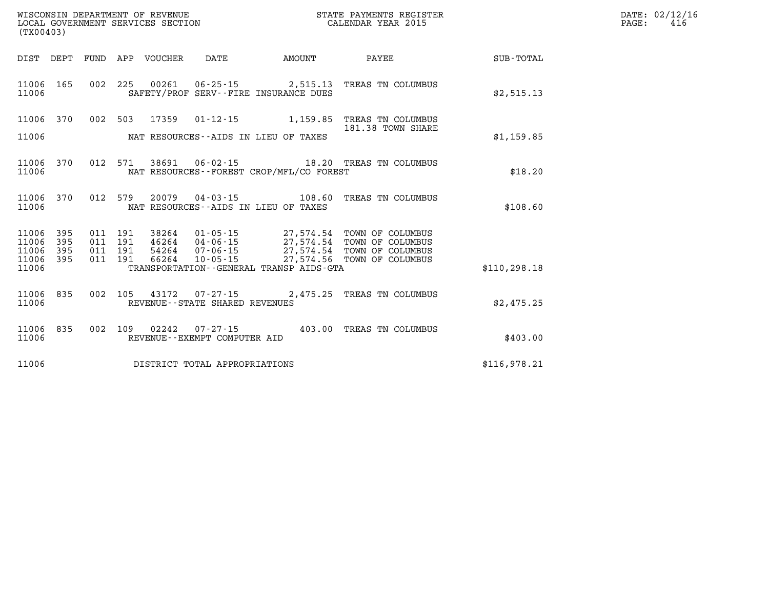| $\texttt{DATE}$ : | 02/12/16 |
|-------------------|----------|
| PAGE:             | 416      |

| (TX00403)               |            |            |            | WISCONSIN DEPARTMENT OF REVENUE<br>LOCAL GOVERNMENT SERVICES SECTION |                                                          |                                                                   | STATE PAYMENTS REGISTER<br>CALENDAR YEAR 2015  |               |
|-------------------------|------------|------------|------------|----------------------------------------------------------------------|----------------------------------------------------------|-------------------------------------------------------------------|------------------------------------------------|---------------|
| DIST                    | DEPT       | FUND       | APP        | VOUCHER                                                              | DATE                                                     | AMOUNT                                                            | PAYEE                                          | SUB-TOTAL     |
| 11006<br>11006          | 165        | 002        | 225        | 00261                                                                | 06-25-15<br>SAFETY/PROF SERV--FIRE INSURANCE DUES        | 2,515.13                                                          | TREAS TN COLUMBUS                              | \$2,515.13    |
| 11006                   | 370        | 002        | 503        | 17359                                                                | $01 - 12 - 15$                                           | 1,159.85                                                          | TREAS TN COLUMBUS<br>181.38 TOWN SHARE         |               |
| 11006                   |            |            |            |                                                                      | NAT RESOURCES--AIDS IN LIEU OF TAXES                     |                                                                   |                                                | \$1,159.85    |
| 11006<br>11006          | 370        | 012        | 571        | 38691                                                                | 06-02-15                                                 | NAT RESOURCES - - FOREST CROP/MFL/CO FOREST                       | 18.20 TREAS TN COLUMBUS                        | \$18.20       |
| 11006<br>11006          | 370        | 012        | 579        | 20079                                                                | $04 - 03 - 15$<br>NAT RESOURCES -- AIDS IN LIEU OF TAXES | 108.60                                                            | TREAS TN COLUMBUS                              | \$108.60      |
| 11006<br>11006          | 395<br>395 | 011<br>011 | 191<br>191 | 38264<br>46264                                                       | $01 - 05 - 15$<br>$04 - 06 - 15$                         | 27,574.54                                                         | 27,574.54 TOWN OF COLUMBUS<br>TOWN OF COLUMBUS |               |
| 11006<br>11006<br>11006 | 395<br>395 | 011<br>011 | 191<br>191 | 54264<br>66264                                                       | $07 - 06 - 15$<br>$10 - 05 - 15$                         | 27,574.54<br>27,574.56<br>TRANSPORTATION--GENERAL TRANSP AIDS-GTA | TOWN OF COLUMBUS<br>TOWN OF COLUMBUS           | \$110, 298.18 |
| 11006<br>11006          | 835        | 002        | 105        |                                                                      | REVENUE - - STATE SHARED REVENUES                        | 43172 07-27-15 2,475.25                                           | TREAS TN COLUMBUS                              | \$2,475.25    |
| 11006<br>11006          | 835        | 002        | 109        | 02242                                                                | $07 - 27 - 15$<br>REVENUE--EXEMPT COMPUTER AID           | 403.00                                                            | TREAS TN COLUMBUS                              | \$403.00      |
| 11006                   |            |            |            |                                                                      | DISTRICT TOTAL APPROPRIATIONS                            |                                                                   |                                                | \$116,978.21  |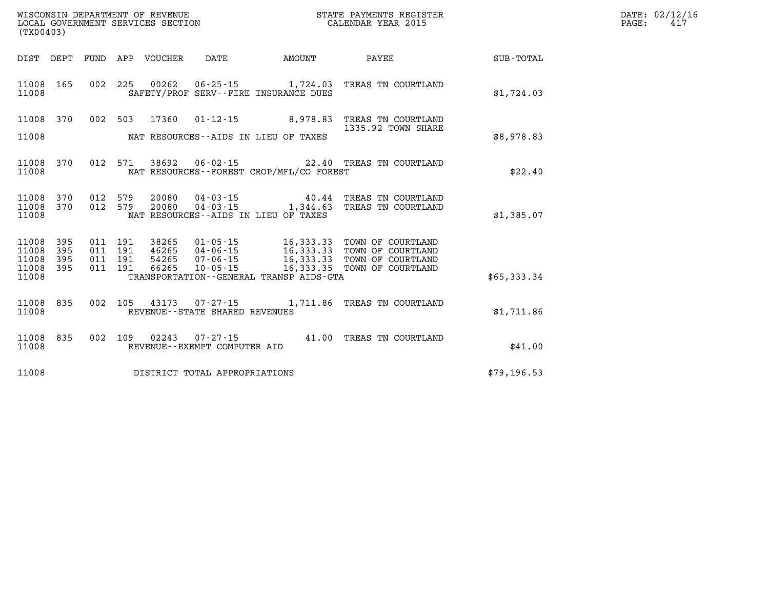| DATE: | 02/12/16 |
|-------|----------|
| PAGE: | 417      |

| (TX00403)               |            |            |            | WISCONSIN DEPARTMENT OF REVENUE<br>LOCAL GOVERNMENT SERVICES SECTION |                                                     | STATE PAYMENTS REGISTER<br>CALENDAR YEAR 2015                     |                                          |                  |  |
|-------------------------|------------|------------|------------|----------------------------------------------------------------------|-----------------------------------------------------|-------------------------------------------------------------------|------------------------------------------|------------------|--|
| DIST                    | DEPT       | FUND       | APP        | VOUCHER                                                              | <b>DATE</b>                                         | AMOUNT                                                            | PAYEE                                    | <b>SUB-TOTAL</b> |  |
| 11008<br>11008          | 165        | 002        | 225        | 00262                                                                |                                                     | 06-25-15 1,724.03<br>SAFETY/PROF SERV--FIRE INSURANCE DUES        | TREAS TN COURTLAND                       | \$1,724.03       |  |
| 11008                   | 370        | 002        | 503        | 17360                                                                | $01 - 12 - 15$                                      | 8,978.83                                                          | TREAS TN COURTLAND<br>1335.92 TOWN SHARE |                  |  |
| 11008                   |            |            |            |                                                                      |                                                     | NAT RESOURCES -- AIDS IN LIEU OF TAXES                            |                                          | \$8,978.83       |  |
| 11008<br>11008          | 370        | 012        | 571        | 38692                                                                |                                                     | NAT RESOURCES - - FOREST CROP/MFL/CO FOREST                       | 06-02-15 22.40 TREAS TN COURTLAND        | \$22.40          |  |
| 11008<br>11008          | 370<br>370 | 012<br>012 | 579<br>579 | 20080<br>20080                                                       | $04 - 03 - 15$<br>$04 - 03 - 15$                    | 40.44<br>1,344.63                                                 | TREAS TN COURTLAND<br>TREAS TN COURTLAND |                  |  |
| 11008                   |            |            |            |                                                                      |                                                     | NAT RESOURCES -- AIDS IN LIEU OF TAXES                            |                                          | \$1,385.07       |  |
| 11008<br>11008          | 395<br>395 | 011<br>011 | 191<br>191 | 38265<br>46265                                                       | $01 - 05 - 15$<br>$04 - 06 - 15$                    | 16,333.33<br>16, 333.33                                           | TOWN OF COURTLAND<br>TOWN OF COURTLAND   |                  |  |
| 11008<br>11008<br>11008 | 395<br>395 | 011<br>011 | 191<br>191 | 54265<br>66265                                                       | $07 - 06 - 15$<br>$10 - 05 - 15$                    | 16,333.33<br>16,333.35<br>TRANSPORTATION--GENERAL TRANSP AIDS-GTA | TOWN OF COURTLAND<br>TOWN OF COURTLAND   | \$65,333.34      |  |
|                         |            |            |            |                                                                      |                                                     |                                                                   |                                          |                  |  |
| 11008<br>11008          | 835        | 002        | 105        | 43173                                                                | $07 - 27 - 15$<br>REVENUE - - STATE SHARED REVENUES | 1,711.86                                                          | TREAS TN COURTLAND                       | \$1,711.86       |  |
| 11008<br>11008          | 835        | 002        | 109        | 02243                                                                | $07 - 27 - 15$<br>REVENUE--EXEMPT COMPUTER AID      |                                                                   | 41.00 TREAS TN COURTLAND                 | \$41.00          |  |
| 11008                   |            |            |            |                                                                      | DISTRICT TOTAL APPROPRIATIONS                       |                                                                   |                                          | \$79,196.53      |  |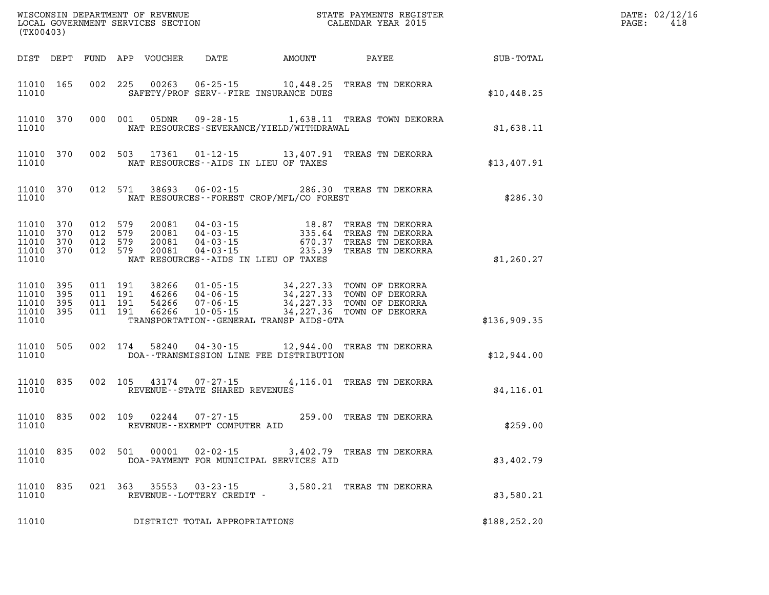| (TX00403)                                         |                   |                                          |                                          |                                  |                                                  |                                                                                                                                                |                                                                                                                                                                              |               | DATE: 02/12/16<br>418<br>PAGE: |
|---------------------------------------------------|-------------------|------------------------------------------|------------------------------------------|----------------------------------|--------------------------------------------------|------------------------------------------------------------------------------------------------------------------------------------------------|------------------------------------------------------------------------------------------------------------------------------------------------------------------------------|---------------|--------------------------------|
|                                                   |                   |                                          |                                          | DIST DEPT FUND APP VOUCHER       | DATE                                             | AMOUNT                                                                                                                                         | PAYEE                                                                                                                                                                        | SUB-TOTAL     |                                |
| 11010 165<br>11010                                |                   |                                          |                                          | 002 225 00263                    |                                                  | $06 - 25 - 15$ 10, 448.25<br>SAFETY/PROF SERV--FIRE INSURANCE DUES                                                                             | TREAS TN DEKORRA                                                                                                                                                             | \$10,448.25   |                                |
| 11010                                             | 11010 370         |                                          | 000 001                                  | 05DNR                            |                                                  | NAT RESOURCES-SEVERANCE/YIELD/WITHDRAWAL                                                                                                       | 09-28-15 1,638.11 TREAS TOWN DEKORRA                                                                                                                                         | \$1,638.11    |                                |
| 11010                                             | 11010 370         |                                          |                                          | 002 503 17361                    |                                                  | NAT RESOURCES--AIDS IN LIEU OF TAXES                                                                                                           | 01-12-15 13,407.91 TREAS TN DEKORRA                                                                                                                                          | \$13,407.91   |                                |
| 11010                                             | 11010 370         |                                          | 012 571                                  | 38693                            |                                                  | NAT RESOURCES - - FOREST CROP/MFL/CO FOREST                                                                                                    | 06-02-15 286.30 TREAS TN DEKORRA                                                                                                                                             | \$286.30      |                                |
| 11010 370<br>11010<br>11010<br>11010<br>11010     | 370<br>370<br>370 | 012 579<br>012 579<br>012 579<br>012 579 |                                          | 20081<br>20081<br>20081<br>20081 | $04 - 03 - 15$                                   | 04 - 03 - 15<br>04 - 03 - 15<br>04 - 03 - 15<br>04 - 03 - 15<br>670 - 37<br>335.64<br>670.37<br>235.39<br>NAT RESOURCES--AIDS IN LIEU OF TAXES | TREAS TN DEKORRA<br>TREAS TN DEKORRA<br>TREAS TN DEKORRA<br>TREAS TN DEKORRA                                                                                                 | \$1,260.27    |                                |
| 11010 395<br>11010<br>11010<br>11010 395<br>11010 | 395<br>395        |                                          | 011 191<br>011 191<br>011 191<br>011 191 |                                  |                                                  | TRANSPORTATION--GENERAL TRANSP AIDS-GTA                                                                                                        | 38266 01-05-15 34,227.33 TOWN OF DEKORRA<br>46266 04-06-15 34,227.33 TOWN OF DEKORRA<br>54266 07-06-15 34,227.33 TOWN OF DEKORRA<br>66266 10-05-15 34,227.36 TOWN OF DEKORRA | \$136,909.35  |                                |
| 11010 505<br>11010                                |                   |                                          | 002 174                                  | 58240                            |                                                  | DOA--TRANSMISSION LINE FEE DISTRIBUTION                                                                                                        | 04-30-15 12,944.00 TREAS TN DEKORRA                                                                                                                                          | \$12,944.00   |                                |
| 11010                                             | 11010 835         |                                          |                                          | 002 105 43174                    | $07 - 27 - 15$<br>REVENUE--STATE SHARED REVENUES |                                                                                                                                                | 4,116.01 TREAS TN DEKORRA                                                                                                                                                    | \$4,116.01    |                                |
| 11010                                             | 11010 835         |                                          |                                          | 002 109 02244                    | REVENUE--EXEMPT COMPUTER AID                     |                                                                                                                                                | 07-27-15 259.00 TREAS TN DEKORRA                                                                                                                                             | \$259.00      |                                |
| 11010 835<br>11010                                |                   |                                          | 002 501                                  | 00001                            | $02 - 02 - 15$                                   | DOA-PAYMENT FOR MUNICIPAL SERVICES AID                                                                                                         | 3,402.79 TREAS TN DEKORRA                                                                                                                                                    | \$3,402.79    |                                |
| 11010<br>11010                                    | 835               |                                          | 021 363                                  | 35553                            | $03 - 23 - 15$<br>REVENUE--LOTTERY CREDIT -      |                                                                                                                                                | 3,580.21 TREAS TN DEKORRA                                                                                                                                                    | \$3,580.21    |                                |
| 11010                                             |                   |                                          |                                          |                                  | DISTRICT TOTAL APPROPRIATIONS                    |                                                                                                                                                |                                                                                                                                                                              | \$188, 252.20 |                                |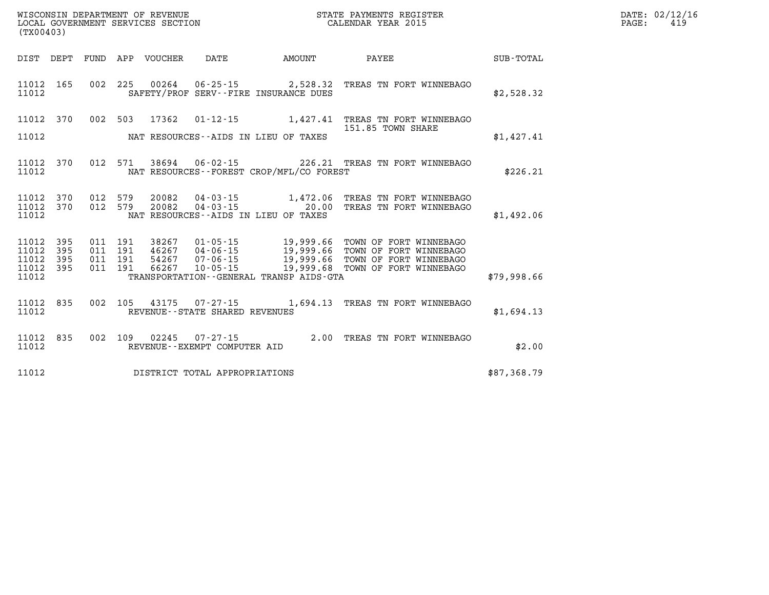| (TX00403)                                        |  |  |  |  |                                |                                             |                                                                                                                                                                                                                                                                       |             | DATE: 02/12/16<br>$\mathtt{PAGE:}$<br>419 |
|--------------------------------------------------|--|--|--|--|--------------------------------|---------------------------------------------|-----------------------------------------------------------------------------------------------------------------------------------------------------------------------------------------------------------------------------------------------------------------------|-------------|-------------------------------------------|
|                                                  |  |  |  |  |                                |                                             |                                                                                                                                                                                                                                                                       |             |                                           |
| 11012                                            |  |  |  |  |                                | SAFETY/PROF SERV--FIRE INSURANCE DUES       | 11012 165 002 225 00264 06-25-15 2,528.32 TREAS TN FORT WINNEBAGO                                                                                                                                                                                                     | \$2,528.32  |                                           |
|                                                  |  |  |  |  |                                |                                             | 11012 370 002 503 17362 01-12-15 1,427.41 TREAS TN FORT WINNEBAGO<br>151.85 TOWN SHARE                                                                                                                                                                                |             |                                           |
| 11012                                            |  |  |  |  |                                | NAT RESOURCES--AIDS IN LIEU OF TAXES        |                                                                                                                                                                                                                                                                       | \$1,427.41  |                                           |
| 11012                                            |  |  |  |  |                                | NAT RESOURCES - - FOREST CROP/MFL/CO FOREST | 11012 370 012 571 38694 06-02-15 226.21 TREAS TN FORT WINNEBAGO                                                                                                                                                                                                       | \$226.21    |                                           |
| 11012                                            |  |  |  |  |                                | NAT RESOURCES--AIDS IN LIEU OF TAXES        | $11012 \quad 370 \qquad 012 \quad 579 \qquad 20082 \qquad 04 - 03 - 15 \qquad \qquad 1,472.06 \quad \text{TREAS TN FORT WINNEBAGO}$ $11012 \quad 370 \qquad 012 \quad 579 \qquad 20082 \qquad 04 - 03 - 15 \qquad \qquad 20.00 \qquad \text{TREAS TN FORT WINNEBAGO}$ | \$1,492.06  |                                           |
| 11012 395<br>11012 395<br>11012 395<br>11012 395 |  |  |  |  |                                |                                             | 011 191 38267 01-05-15 19,999.66 TOWN OF FORT WINNEBAGO<br>011 191 46267 04-06-15 19,999.66 TOWN OF FORT WINNEBAGO<br>011 191 54267 07-06-15 19,999.66 TOWN OF FORT WINNEBAGO<br>011 191 66267 10-05-15 19,999.68 TOWN OF FORT WINNEBAG                               |             |                                           |
| 11012                                            |  |  |  |  |                                |                                             | TRANSPORTATION - GENERAL TRANSP AIDS-GTA                                                                                                                                                                                                                              | \$79,998.66 |                                           |
| 11012                                            |  |  |  |  | REVENUE--STATE SHARED REVENUES |                                             | 11012 835 002 105 43175 07-27-15 1,694.13 TREAS TN FORT WINNEBAGO                                                                                                                                                                                                     | \$1,694.13  |                                           |
| 11012 835<br>11012                               |  |  |  |  | REVENUE--EXEMPT COMPUTER AID   |                                             | 002 109 02245 07-27-15 2.00 TREAS TN FORT WINNEBAGO                                                                                                                                                                                                                   | \$2.00      |                                           |
| 11012                                            |  |  |  |  | DISTRICT TOTAL APPROPRIATIONS  |                                             |                                                                                                                                                                                                                                                                       | \$87,368.79 |                                           |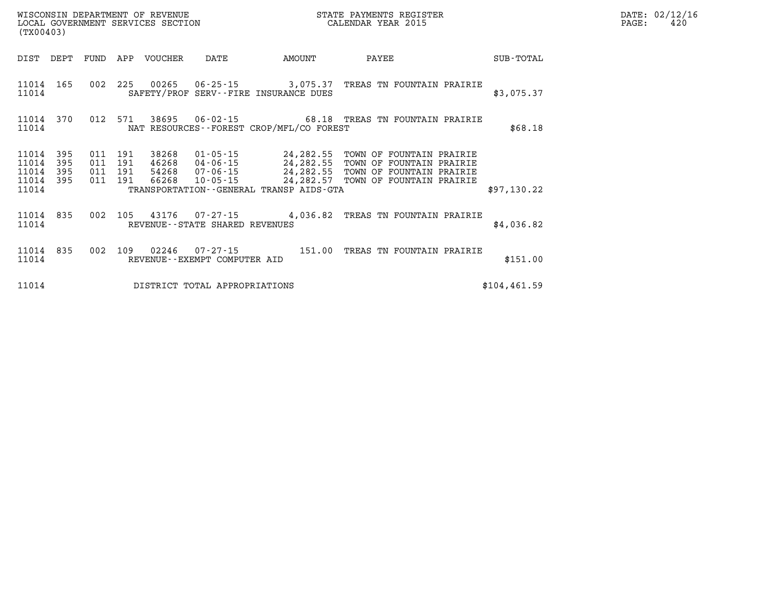| (TX00403)               |                   |                       |            | WISCONSIN DEPARTMENT OF REVENUE<br>LOCAL GOVERNMENT SERVICES SECTION |                                |                                                                                  | STATE PAYMENTS REGISTER<br>CALENDAR YEAR 2015                                    |               | PAGE: | DATE: 02/12/16<br>420 |
|-------------------------|-------------------|-----------------------|------------|----------------------------------------------------------------------|--------------------------------|----------------------------------------------------------------------------------|----------------------------------------------------------------------------------|---------------|-------|-----------------------|
| DIST DEPT               |                   | FUND                  |            | APP VOUCHER                                                          | DATE                           | AMOUNT                                                                           | PAYEE                                                                            | SUB-TOTAL     |       |                       |
| 11014 165<br>11014      |                   |                       |            |                                                                      |                                | 002 225 00265 06-25-15 3,075.37<br>SAFETY/PROF SERV--FIRE INSURANCE DUES         | TREAS TN FOUNTAIN PRAIRIE                                                        | \$3,075.37    |       |                       |
| 11014 370<br>11014      |                   |                       |            |                                                                      |                                | NAT RESOURCES--FOREST CROP/MFL/CO FOREST                                         | 012 571 38695 06-02-15 68.18 TREAS TN FOUNTAIN PRAIRIE                           | \$68.18       |       |                       |
| 11014<br>11014<br>11014 | 395<br>395<br>395 | 011<br>011<br>011 191 | 191<br>191 |                                                                      |                                | 38268 01-05-15 24,282.55<br>46268 04-06-15 24,282.55<br>54268 07-06-15 24,282.55 | TOWN OF FOUNTAIN PRAIRIE<br>TOWN OF FOUNTAIN PRAIRIE<br>TOWN OF FOUNTAIN PRAIRIE |               |       |                       |
| 11014<br>11014          | 395               | 011 191               |            | 66268                                                                |                                | TRANSPORTATION - - GENERAL TRANSP AIDS - GTA                                     | 10-05-15 24, 282.57 TOWN OF FOUNTAIN PRAIRIE                                     | \$97,130.22   |       |                       |
| 11014 835<br>11014      |                   | 002                   |            |                                                                      | REVENUE--STATE SHARED REVENUES |                                                                                  | 105  43176  07-27-15  4,036.82  TREAS TN FOUNTAIN PRAIRIE                        | \$4,036.82    |       |                       |
| 11014 835<br>11014      |                   | 002                   | 109        | 02246                                                                | REVENUE--EXEMPT COMPUTER AID   | 07-27-15 151.00                                                                  | TREAS TN FOUNTAIN PRAIRIE                                                        | \$151.00      |       |                       |
| 11014                   |                   |                       |            |                                                                      | DISTRICT TOTAL APPROPRIATIONS  |                                                                                  |                                                                                  | \$104, 461.59 |       |                       |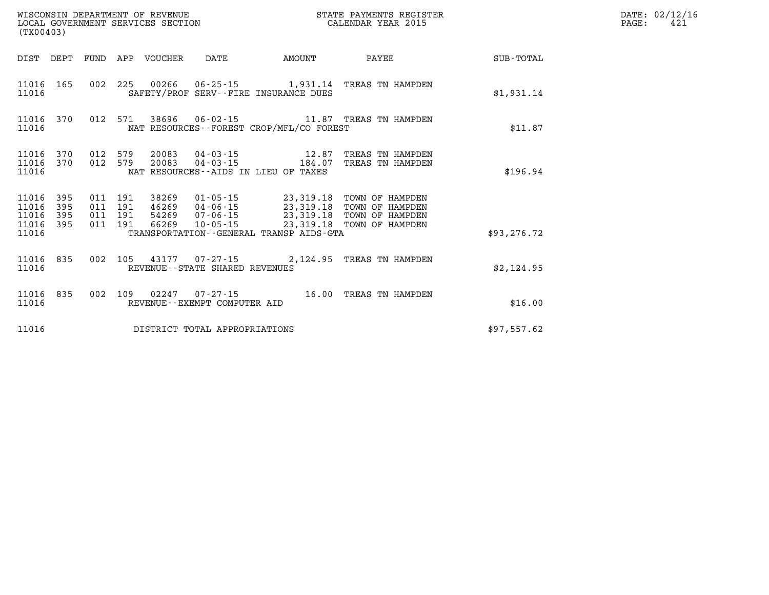| (TX00403)                                |            |         |                                 |                                |                                                               | % WISCONSIN DEPARTMENT OF REVENUE WISCONSIN DEPARTMENT OF REVENUE AND STATE PAYMENTS REGIST LOCAL GOVERNMENT SERVICES SECTION<br>STATE PAYMENTS REGISTER                                                                                                                                                                                    |              | DATE: 02/12/16<br>$\mathtt{PAGE:}$<br>421 |
|------------------------------------------|------------|---------|---------------------------------|--------------------------------|---------------------------------------------------------------|---------------------------------------------------------------------------------------------------------------------------------------------------------------------------------------------------------------------------------------------------------------------------------------------------------------------------------------------|--------------|-------------------------------------------|
|                                          |            |         | DIST DEPT FUND APP VOUCHER DATE |                                | <b>EXAMPLE THE PROPERTY OF AMOUNT</b>                         | <b>PAYEE</b>                                                                                                                                                                                                                                                                                                                                | SUB-TOTAL    |                                           |
| 11016                                    |            |         |                                 |                                | SAFETY/PROF SERV--FIRE INSURANCE DUES                         | 11016 165 002 225 00266 06-25-15 1,931.14 TREAS TN HAMPDEN                                                                                                                                                                                                                                                                                  | \$1,931.14   |                                           |
| 11016                                    |            |         |                                 |                                | NAT RESOURCES - - FOREST CROP/MFL/CO FOREST                   | 11016 370 012 571 38696 06-02-15 11.87 TREAS TN HAMPDEN                                                                                                                                                                                                                                                                                     | \$11.87      |                                           |
| 11016 370<br>11016                       |            | 012 579 |                                 |                                | 20083 04-03-15 184.07<br>NAT RESOURCES--AIDS IN LIEU OF TAXES | 11016 370 012 579 20083 04-03-15 12.87 TREAS TN HAMPDEN<br>TREAS TN HAMPDEN                                                                                                                                                                                                                                                                 | \$196.94     |                                           |
| 11016 395<br>11016<br>11016<br>11016 395 | 395<br>395 |         |                                 |                                |                                                               | $\begin{array}{cccc} 011 & 191 & 38269 & 01\cdot 05\cdot 15 & 23\, , 319\, .18 & \text{TOWN OF HAMPDEN} \\ 011 & 191 & 46269 & 04\cdot 06\cdot 15 & 23\, , 319\, .18 & \text{TOWN OF HAMPDEN} \\ 011 & 191 & 54269 & 07\cdot 06\cdot 15 & 23\, , 319\, .18 & \text{TOWN OF HAMPDEN} \\ 011 & 191 & 66269 & 10\cdot 05\cdot 15 & 23\, , 319$ |              |                                           |
| 11016                                    |            |         |                                 |                                | TRANSPORTATION--GENERAL TRANSP AIDS-GTA                       |                                                                                                                                                                                                                                                                                                                                             | \$93, 276.72 |                                           |
| 11016 835<br>11016                       |            |         |                                 | REVENUE--STATE SHARED REVENUES |                                                               | 002 105 43177 07-27-15 2,124.95 TREAS TN HAMPDEN                                                                                                                                                                                                                                                                                            | \$2,124.95   |                                           |
| 11016 835<br>11016                       |            | 002 109 |                                 | REVENUE--EXEMPT COMPUTER AID   |                                                               | 02247  07-27-15  16.00 TREAS TN HAMPDEN                                                                                                                                                                                                                                                                                                     | \$16.00      |                                           |
| 11016                                    |            |         |                                 | DISTRICT TOTAL APPROPRIATIONS  |                                                               |                                                                                                                                                                                                                                                                                                                                             | \$97,557.62  |                                           |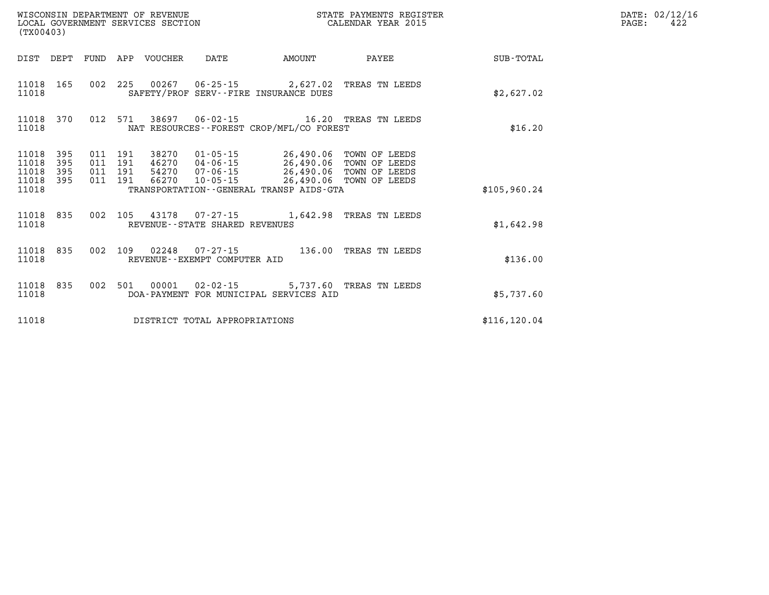| (TX00403)                                 |                          |                          |                          | WISCONSIN DEPARTMENT OF REVENUE<br>LOCAL GOVERNMENT SERVICES SECTION |                                                   | STATE PAYMENTS REGISTER<br>CALENDAR YEAR 2015                                                        |                                                                  |               |  |  |
|-------------------------------------------|--------------------------|--------------------------|--------------------------|----------------------------------------------------------------------|---------------------------------------------------|------------------------------------------------------------------------------------------------------|------------------------------------------------------------------|---------------|--|--|
| DIST                                      | DEPT                     | FUND                     | APP                      | VOUCHER                                                              | DATE                                              | AMOUNT                                                                                               | PAYEE                                                            | SUB-TOTAL     |  |  |
| 11018<br>11018                            | 165                      | 002                      | 225                      |                                                                      |                                                   | 00267  06-25-15  2,627.02  TREAS TN LEEDS<br>SAFETY/PROF SERV--FIRE INSURANCE DUES                   |                                                                  | \$2,627.02    |  |  |
| 11018<br>11018                            | 370                      | 012                      | 571                      |                                                                      | 38697 06-02-15                                    | NAT RESOURCES - - FOREST CROP/MFL/CO FOREST                                                          | 16.20 TREAS TN LEEDS                                             | \$16.20       |  |  |
| 11018<br>11018<br>11018<br>11018<br>11018 | 395<br>395<br>395<br>395 | 011<br>011<br>011<br>011 | 191<br>191<br>191<br>191 | 38270<br>46270<br>54270<br>66270                                     | 01-05-15<br>07-06-15<br>10-05-15                  | 26,490.06<br>04-06-15 26,490.06<br>26,490.06<br>26,490.06<br>TRANSPORTATION--GENERAL TRANSP AIDS-GTA | TOWN OF LEEDS<br>TOWN OF LEEDS<br>TOWN OF LEEDS<br>TOWN OF LEEDS | \$105,960.24  |  |  |
| 11018<br>11018                            | 835                      | 002                      | 105                      | 43178                                                                | REVENUE - - STATE SHARED REVENUES                 | 07-27-15 1,642.98                                                                                    | TREAS TN LEEDS                                                   | \$1,642.98    |  |  |
| 11018<br>11018                            | 835                      | 002                      | 109                      | 02248                                                                | $07 - 27 - 15$<br>REVENUE - - EXEMPT COMPUTER AID | 136.00                                                                                               | TREAS TN LEEDS                                                   | \$136.00      |  |  |
| 11018<br>11018                            | 835                      | 002                      | 501                      | 00001                                                                | $02 - 02 - 15$                                    | DOA-PAYMENT FOR MUNICIPAL SERVICES AID                                                               | 5,737.60 TREAS TN LEEDS                                          | \$5,737.60    |  |  |
| 11018                                     |                          |                          |                          |                                                                      | DISTRICT TOTAL APPROPRIATIONS                     |                                                                                                      |                                                                  | \$116, 120.04 |  |  |

**DATE: 02/12/16<br>PAGE: 422**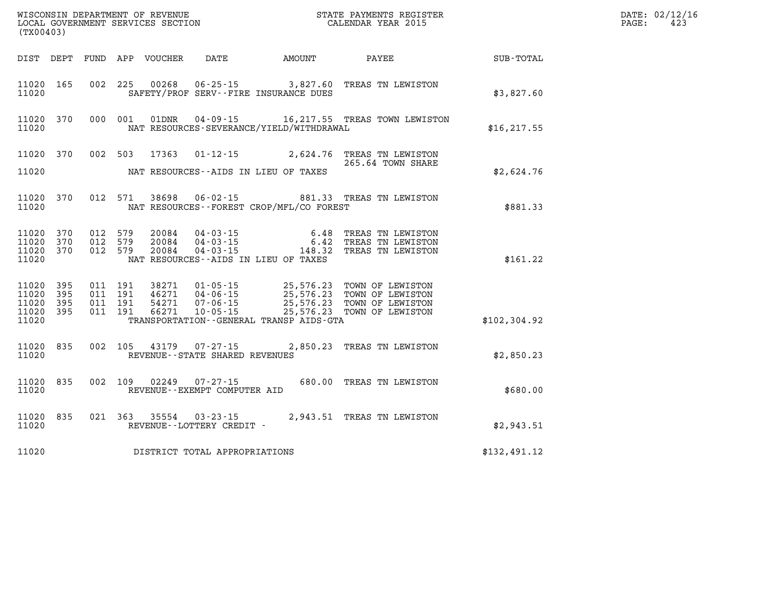| (TX00403)                        |                                |                                          |                                                          |                                             |                                                                                                                                                                                          |               | DATE: 02/12/16<br>423<br>$\mathtt{PAGE:}$ |
|----------------------------------|--------------------------------|------------------------------------------|----------------------------------------------------------|---------------------------------------------|------------------------------------------------------------------------------------------------------------------------------------------------------------------------------------------|---------------|-------------------------------------------|
|                                  |                                |                                          |                                                          |                                             |                                                                                                                                                                                          | SUB-TOTAL     |                                           |
| 11020                            | 11020 165                      |                                          |                                                          | SAFETY/PROF SERV--FIRE INSURANCE DUES       | 002 225 00268 06-25-15 3,827.60 TREAS TN LEWISTON                                                                                                                                        | \$3,827.60    |                                           |
| 11020                            | 11020 370                      |                                          |                                                          | NAT RESOURCES-SEVERANCE/YIELD/WITHDRAWAL    | 000 001 01DNR 04-09-15 16, 217.55 TREAS TOWN LEWISTON                                                                                                                                    | \$16, 217.55  |                                           |
| 11020                            | 11020 370                      |                                          |                                                          | NAT RESOURCES--AIDS IN LIEU OF TAXES        | 002 503 17363 01-12-15 2,624.76 TREAS TN LEWISTON<br>265.64 TOWN SHARE                                                                                                                   | \$2,624.76    |                                           |
| 11020                            | 11020 370                      |                                          |                                                          | NAT RESOURCES - - FOREST CROP/MFL/CO FOREST | 012 571 38698 06-02-15 881.33 TREAS TN LEWISTON                                                                                                                                          | \$881.33      |                                           |
| 11020<br>11020<br>11020          | 11020 370<br>370<br>370        | 012 579<br>012 579<br>012 579            |                                                          | NAT RESOURCES--AIDS IN LIEU OF TAXES        | 20084  04-03-15  6.48  TREAS TN LEWISTON<br>20084  04-03-15  6.42  TREAS TN LEWISTON<br>20084  04-03-15  148.32  TREAS TN LEWISTON                                                       | \$161.22      |                                           |
| 11020<br>11020<br>11020<br>11020 | 11020 395<br>395<br>395<br>395 | 011 191<br>011 191<br>011 191<br>011 191 |                                                          | TRANSPORTATION--GENERAL TRANSP AIDS-GTA     | 38271  01-05-15  25,576.23 TOWN OF LEWISTON<br>46271  04-06-15  25,576.23 TOWN OF LEWISTON<br>54271  07-06-15  25,576.23 TOWN OF LEWISTON<br>66271  10-05-15  25,576.23 TOWN OF LEWISTON | \$102, 304.92 |                                           |
| 11020                            | 11020 835                      |                                          | 002 105 43179 07-27-15<br>REVENUE--STATE SHARED REVENUES |                                             | 2,850.23 TREAS TN LEWISTON                                                                                                                                                               | \$2,850.23    |                                           |
| 11020                            | 11020 835                      |                                          | REVENUE--EXEMPT COMPUTER AID                             |                                             | 002 109 02249 07-27-15 680.00 TREAS TN LEWISTON                                                                                                                                          | \$680.00      |                                           |
| 11020                            | 11020 835                      |                                          | REVENUE--LOTTERY CREDIT -                                |                                             |                                                                                                                                                                                          | \$2,943.51    |                                           |
| 11020                            |                                |                                          | DISTRICT TOTAL APPROPRIATIONS                            |                                             |                                                                                                                                                                                          | \$132,491.12  |                                           |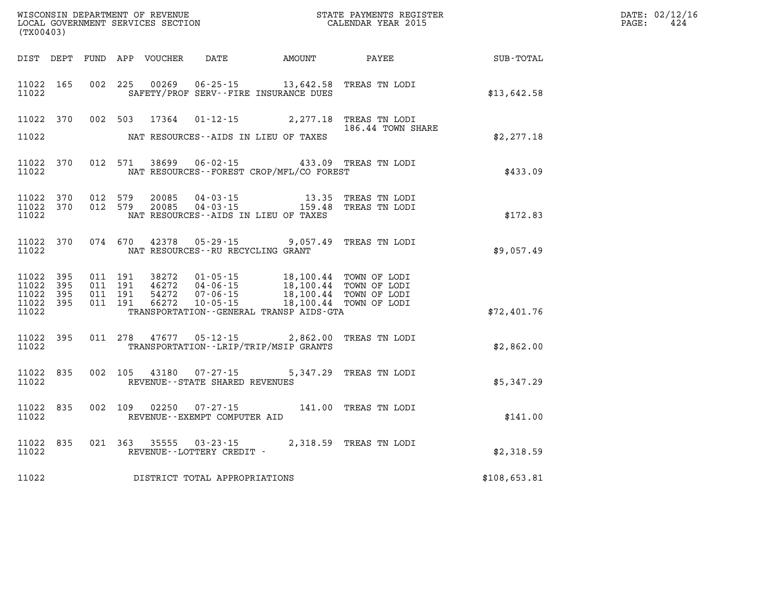| (TX00403)                                     |                       |                                          |         | WISCONSIN DEPARTMENT OF REVENUE<br>LOCAL GOVERNMENT SERVICES SECTION |                                        | STATE PAYMENTS REGISTER<br>CALENDAR YEAR 2015                                                                                                                                           |                        |              | DATE: 02/12/16<br>$\mathtt{PAGE}$ :<br>424 |
|-----------------------------------------------|-----------------------|------------------------------------------|---------|----------------------------------------------------------------------|----------------------------------------|-----------------------------------------------------------------------------------------------------------------------------------------------------------------------------------------|------------------------|--------------|--------------------------------------------|
|                                               |                       |                                          |         |                                                                      | DIST DEPT FUND APP VOUCHER DATE AMOUNT |                                                                                                                                                                                         | PAYEE                  | SUB-TOTAL    |                                            |
| 11022 165<br>11022                            |                       |                                          |         | 002 225 00269                                                        |                                        | 06-25-15 13,642.58 TREAS TN LODI<br>SAFETY/PROF SERV--FIRE INSURANCE DUES                                                                                                               |                        | \$13,642.58  |                                            |
| 11022 370                                     |                       |                                          |         |                                                                      |                                        | 002 503 17364 01-12-15 2,277.18 TREAS TN LODI                                                                                                                                           | 186.44 TOWN SHARE      |              |                                            |
| 11022                                         |                       |                                          |         |                                                                      |                                        | NAT RESOURCES--AIDS IN LIEU OF TAXES                                                                                                                                                    |                        | \$2,277.18   |                                            |
| 11022 370<br>11022                            |                       |                                          |         |                                                                      | 012 571 38699 06-02-15                 | NAT RESOURCES - - FOREST CROP/MFL/CO FOREST                                                                                                                                             | 433.09 TREAS TN LODI   | \$433.09     |                                            |
| 11022 370<br>11022 370<br>11022               |                       | 012 579<br>012 579                       |         | 20085<br>20085                                                       | $04 - 03 - 15$                         | 04-03-15 13.35 TREAS TN LODI<br>NAT RESOURCES--AIDS IN LIEU OF TAXES                                                                                                                    | 159.48 TREAS TN LODI   | \$172.83     |                                            |
| 11022 370<br>11022                            |                       |                                          |         |                                                                      | NAT RESOURCES--RU RECYCLING GRANT      | 074 670 42378 05-29-15 9,057.49 TREAS TN LODI                                                                                                                                           |                        | \$9,057.49   |                                            |
| 11022 395<br>11022<br>11022<br>11022<br>11022 | 395<br>- 395<br>- 395 | 011 191<br>011 191<br>011 191<br>011 191 |         | 38272<br>46272<br>54272<br>66272                                     |                                        | 01-05-15 18,100.44 TOWN OF LODI<br>04-06-15 18,100.44 TOWN OF LODI<br>07-06-15 18,100.44 TOWN OF LODI<br>10-05-15   18,100.44   TOWN OF LODI<br>TRANSPORTATION--GENERAL TRANSP AIDS-GTA |                        | \$72,401.76  |                                            |
| 11022 395<br>11022                            |                       |                                          | 011 278 | 47677                                                                | $05 - 12 - 15$                         | TRANSPORTATION - - LRIP/TRIP/MSIP GRANTS                                                                                                                                                | 2,862.00 TREAS TN LODI | \$2,862.00   |                                            |
| 11022 835<br>11022                            |                       |                                          |         |                                                                      | REVENUE - - STATE SHARED REVENUES      | 002 105 43180 07-27-15 5,347.29 TREAS TN LODI                                                                                                                                           |                        | \$5,347.29   |                                            |
| 11022 835<br>11022                            |                       | 002 109                                  |         |                                                                      | REVENUE--EXEMPT COMPUTER AID           | 02250  07-27-15  141.00  TREAS TN LODI                                                                                                                                                  |                        | \$141.00     |                                            |
| 11022 835<br>11022                            |                       |                                          |         |                                                                      | REVENUE--LOTTERY CREDIT -              | 021 363 35555 03-23-15 2,318.59 TREAS TN LODI                                                                                                                                           |                        | \$2,318.59   |                                            |
| 11022                                         |                       |                                          |         |                                                                      | DISTRICT TOTAL APPROPRIATIONS          |                                                                                                                                                                                         |                        | \$108,653.81 |                                            |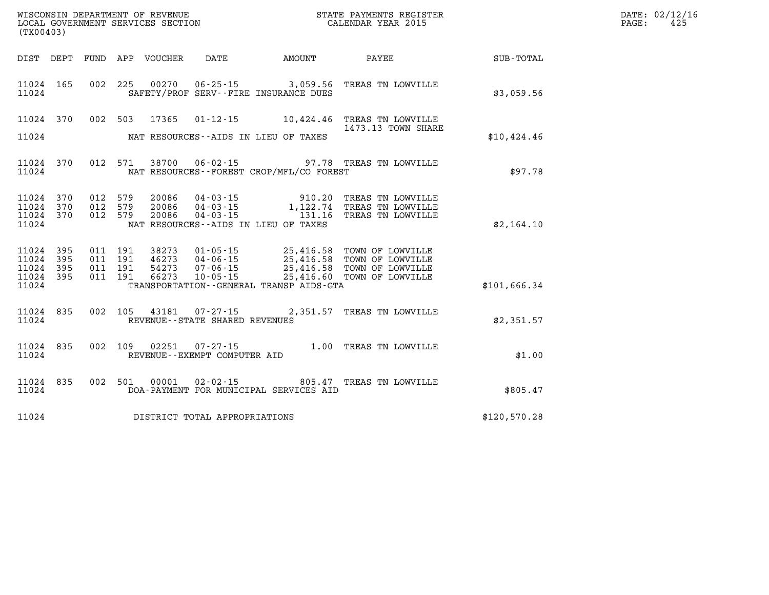| (TX00403)                                             |     |                    |                                         |                                   | WISCONSIN DEPARTMENT OF REVENUE<br>LOCAL GOVERNMENT SERVICES SECTION FOR THE STATE PAYMENTS REGISTER<br>(TWOO403) |                                                                                                                                                                            |              | DATE: 02/12/16<br>$\mathtt{PAGE}$ :<br>425 |
|-------------------------------------------------------|-----|--------------------|-----------------------------------------|-----------------------------------|-------------------------------------------------------------------------------------------------------------------|----------------------------------------------------------------------------------------------------------------------------------------------------------------------------|--------------|--------------------------------------------|
|                                                       |     |                    |                                         |                                   |                                                                                                                   | DIST DEPT FUND APP VOUCHER DATE AMOUNT PAYEE TOTAL                                                                                                                         |              |                                            |
| 11024 165<br>11024                                    |     |                    |                                         |                                   | SAFETY/PROF SERV--FIRE INSURANCE DUES                                                                             | 002 225 00270 06-25-15 3,059.56 TREAS TN LOWVILLE                                                                                                                          | \$3,059.56   |                                            |
| 11024 370<br>11024                                    |     |                    |                                         |                                   | NAT RESOURCES--AIDS IN LIEU OF TAXES                                                                              | 002 503 17365 01-12-15 10,424.46 TREAS TN LOWVILLE<br>1473.13 TOWN SHARE                                                                                                   | \$10,424.46  |                                            |
| 11024 370<br>11024                                    |     |                    |                                         |                                   | NAT RESOURCES - - FOREST CROP/MFL/CO FOREST                                                                       | 012 571 38700 06-02-15 97.78 TREAS TN LOWVILLE                                                                                                                             | \$97.78      |                                            |
| 11024<br>11024 370<br>11024 370<br>11024              | 370 |                    |                                         |                                   | NAT RESOURCES--AIDS IN LIEU OF TAXES                                                                              | 012 579  20086  04-03-15  910.20 TREAS TN LOWVILLE<br>012 579  20086  04-03-15   1,122.74 TREAS TN LOWVILLE<br>012 579  20086  04-03-15   131.16 TREAS TN LOWVILLE         | \$2,164.10   |                                            |
| 11024 395<br>11024<br>11024 395<br>11024 395<br>11024 | 395 | 011 191<br>011 191 | 011 191 38273<br>46273<br>011 191 54273 |                                   | TRANSPORTATION--GENERAL TRANSP AIDS-GTA                                                                           | 01-05-15 25,416.58 TOWN OF LOWVILLE<br>46273 04-06-15 25,416.58 TOWN OF LOWVILLE<br>54273 07-06-15 25,416.58 TOWN OF LOWVILLE<br>66273 10-05-15 25,416.60 TOWN OF LOWVILLE | \$101,666.34 |                                            |
| 11024 835<br>11024                                    |     |                    |                                         | REVENUE - - STATE SHARED REVENUES |                                                                                                                   | 002 105 43181 07-27-15 2,351.57 TREAS TN LOWVILLE                                                                                                                          | \$2,351.57   |                                            |
| 11024 835<br>11024                                    |     |                    | 002 109 02251                           | REVENUE--EXEMPT COMPUTER AID      |                                                                                                                   | 07-27-15 1.00 TREAS TN LOWVILLE                                                                                                                                            | \$1.00       |                                            |
| 11024<br>11024                                        | 835 | 002 501            | 00001                                   |                                   | DOA-PAYMENT FOR MUNICIPAL SERVICES AID                                                                            | 02-02-15 805.47 TREAS TN LOWVILLE                                                                                                                                          | \$805.47     |                                            |
| 11024                                                 |     |                    |                                         | DISTRICT TOTAL APPROPRIATIONS     |                                                                                                                   |                                                                                                                                                                            | \$120,570.28 |                                            |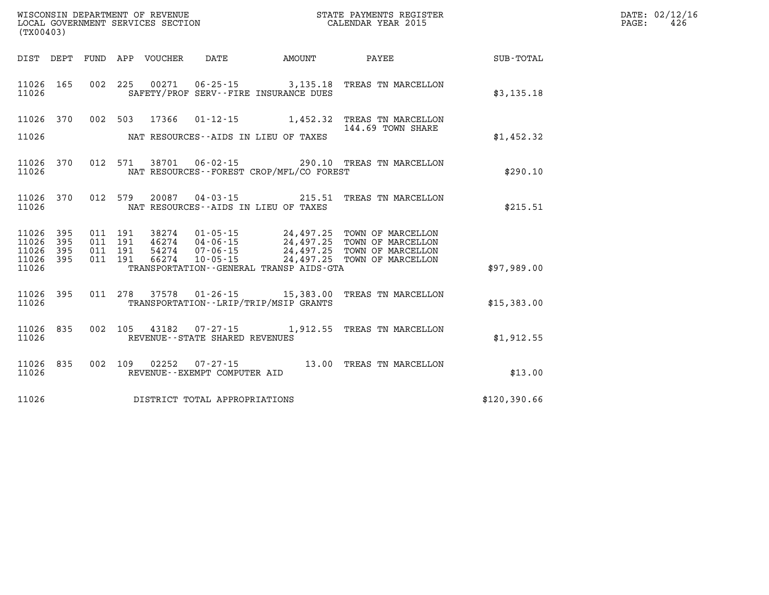| WISCONSIN DEPARTMENT OF REVENUE   | STATE PAYMENTS REGISTER | DATE: 02/12/16 |
|-----------------------------------|-------------------------|----------------|
| LOCAL GOVERNMENT SERVICES SECTION | CALENDAR YEAR 2015      | 426<br>PAGE:   |
| $1 - 2 - 0 - 1 - 0$               |                         |                |

| (TX00403)                                                             |                          |                                                                                                                                                                                                                                     |                                                                                  |              |
|-----------------------------------------------------------------------|--------------------------|-------------------------------------------------------------------------------------------------------------------------------------------------------------------------------------------------------------------------------------|----------------------------------------------------------------------------------|--------------|
| DIST<br>DEPT                                                          | FUND                     | APP<br>VOUCHER<br>DATE<br><b>AMOUNT</b>                                                                                                                                                                                             | PAYEE                                                                            | SUB-TOTAL    |
| 11026<br>165<br>11026                                                 | 002                      | 225<br>00271<br>SAFETY/PROF SERV--FIRE INSURANCE DUES                                                                                                                                                                               | 06-25-15 3,135.18 TREAS TN MARCELLON                                             | \$3,135.18   |
| 11026<br>370                                                          | 002                      | 503<br>17366<br>$01 - 12 - 15$<br>1,452.32                                                                                                                                                                                          | TREAS TN MARCELLON<br>144.69 TOWN SHARE                                          |              |
| 11026                                                                 |                          | NAT RESOURCES -- AIDS IN LIEU OF TAXES                                                                                                                                                                                              |                                                                                  | \$1,452.32   |
| 370<br>11026<br>11026                                                 | 012                      | 571<br>38701  06-02-15  290.10  TREAS TN MARCELLON<br>NAT RESOURCES - - FOREST CROP/MFL/CO FOREST                                                                                                                                   |                                                                                  | \$290.10     |
| 370<br>11026<br>11026                                                 | 012                      | 579<br>20087<br>04-03-15<br>NAT RESOURCES--AIDS IN LIEU OF TAXES                                                                                                                                                                    | 215.51<br>TREAS TN MARCELLON                                                     | \$215.51     |
| 11026<br>395<br>11026<br>395<br>11026<br>395<br>11026<br>395<br>11026 | 011<br>011<br>011<br>011 | 191<br>38274<br>$01 - 05 - 15$<br>24,497.25<br>24,497.25<br>191<br>46274<br>$04 - 06 - 15$<br>191<br>54274<br>24,497.25<br>$07 - 06 - 15$<br>191<br>66274<br>$10 - 05 - 15$<br>24,497.25<br>TRANSPORTATION--GENERAL TRANSP AIDS-GTA | TOWN OF MARCELLON<br>TOWN OF MARCELLON<br>TOWN OF MARCELLON<br>TOWN OF MARCELLON | \$97,989.00  |
| 11026<br>395<br>11026                                                 | 011                      | 278<br>37578  01-26-15  15,383.00<br>TRANSPORTATION - - LRIP/TRIP/MSIP GRANTS                                                                                                                                                       | TREAS TN MARCELLON                                                               | \$15,383.00  |
| 11026<br>835<br>11026                                                 | 002                      | 105<br>43182<br>$07 - 27 - 15$<br>REVENUE - - STATE SHARED REVENUES                                                                                                                                                                 | 1,912.55 TREAS TN MARCELLON                                                      | \$1,912.55   |
| 835<br>11026<br>11026                                                 | 002                      | 109<br>02252<br>$07 - 27 - 15$<br>REVENUE - - EXEMPT COMPUTER AID                                                                                                                                                                   | 13.00<br>TREAS TN MARCELLON                                                      | \$13.00      |
| 11026                                                                 |                          | DISTRICT TOTAL APPROPRIATIONS                                                                                                                                                                                                       |                                                                                  | \$120,390.66 |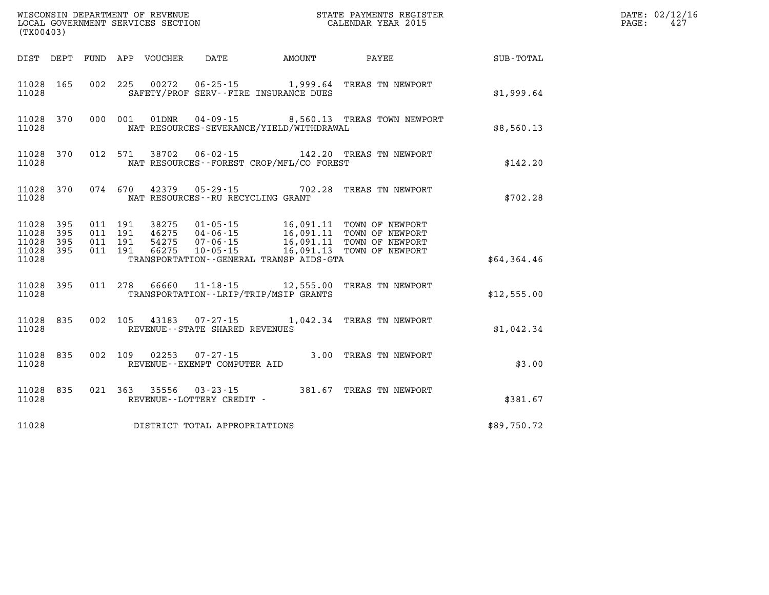| (TX00403)                                     |                   |  |               |                                                |                                          | % WISCONSIN DEPARTMENT OF REVENUE $$\tt STATE~~PAYMENTS~REGISTER~LOCAL~GOVERNMENT~SERVICES~SECTION~CALENDAR~YEAR~2015$ |             | DATE: 02/12/16<br>PAGE:<br>427 |
|-----------------------------------------------|-------------------|--|---------------|------------------------------------------------|------------------------------------------|------------------------------------------------------------------------------------------------------------------------|-------------|--------------------------------|
|                                               |                   |  |               |                                                |                                          | DIST DEPT FUND APP VOUCHER DATE AMOUNT PAYEE TOTAL                                                                     |             |                                |
| 11028<br>11028                                | 165               |  |               |                                                | SAFETY/PROF SERV--FIRE INSURANCE DUES    | 002 225 00272 06-25-15 1,999.64 TREAS TN NEWPORT                                                                       | \$1,999.64  |                                |
| 11028 370<br>11028                            |                   |  |               |                                                | NAT RESOURCES-SEVERANCE/YIELD/WITHDRAWAL | 000 001 01DNR 04-09-15 8,560.13 TREAS TOWN NEWPORT                                                                     | \$8,560.13  |                                |
| 11028 370<br>11028                            |                   |  |               |                                                | NAT RESOURCES--FOREST CROP/MFL/CO FOREST | 012 571 38702 06-02-15 142.20 TREAS TN NEWPORT                                                                         | \$142.20    |                                |
| 11028 370<br>11028                            |                   |  |               | NAT RESOURCES--RU RECYCLING GRANT              |                                          | 074 670 42379 05-29-15 702.28 TREAS TN NEWPORT                                                                         | \$702.28    |                                |
| 11028<br>11028<br>11028<br>11028 395<br>11028 | 395<br>395<br>395 |  |               |                                                | TRANSPORTATION--GENERAL TRANSP AIDS-GTA  |                                                                                                                        | \$64,364.46 |                                |
| 11028 395<br>11028                            |                   |  |               |                                                | TRANSPORTATION - - LRIP/TRIP/MSIP GRANTS | 011 278 66660 11-18-15 12,555.00 TREAS TN NEWPORT                                                                      | \$12,555.00 |                                |
| 11028 835<br>11028                            |                   |  |               | REVENUE - - STATE SHARED REVENUES              |                                          | 002 105 43183 07-27-15 1,042.34 TREAS TN NEWPORT                                                                       | \$1,042.34  |                                |
| 11028<br>11028                                | 835               |  | 002 109 02253 | $07 - 27 - 15$<br>REVENUE--EXEMPT COMPUTER AID |                                          | 3.00 TREAS TN NEWPORT                                                                                                  | \$3.00      |                                |
| 11028<br>11028                                | 835               |  | 021 363 35556 | REVENUE--LOTTERY CREDIT -                      |                                          | 03-23-15 381.67 TREAS TN NEWPORT                                                                                       | \$381.67    |                                |
| 11028                                         |                   |  |               | DISTRICT TOTAL APPROPRIATIONS                  |                                          |                                                                                                                        | \$89,750.72 |                                |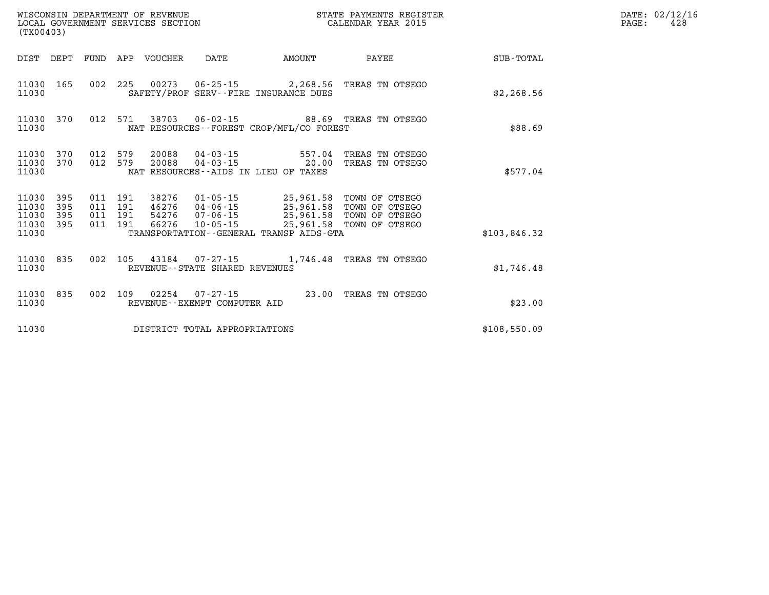| (TX00403)                                     |                   |  |                       |                                | STATE PAYMENTS REGISTER                                                                         |                                                                                                                                                                                                                                                                                                                                                        |              | DATE: 02/12/16<br>$\mathtt{PAGE:}$<br>428 |
|-----------------------------------------------|-------------------|--|-----------------------|--------------------------------|-------------------------------------------------------------------------------------------------|--------------------------------------------------------------------------------------------------------------------------------------------------------------------------------------------------------------------------------------------------------------------------------------------------------------------------------------------------------|--------------|-------------------------------------------|
| DIST DEPT                                     |                   |  | FUND APP VOUCHER DATE |                                | <b>AMOUNT</b>                                                                                   | PAYEE                                                                                                                                                                                                                                                                                                                                                  | SUB-TOTAL    |                                           |
| 11030 165<br>11030                            |                   |  |                       |                                | SAFETY/PROF SERV--FIRE INSURANCE DUES                                                           | 002 225 00273 06-25-15 2,268.56 TREAS TN OTSEGO                                                                                                                                                                                                                                                                                                        | \$2, 268.56  |                                           |
| 11030 370<br>11030                            |                   |  |                       |                                | NAT RESOURCES - - FOREST CROP/MFL/CO FOREST                                                     | 012 571 38703 06-02-15 88.69 TREAS TN OTSEGO                                                                                                                                                                                                                                                                                                           | \$88.69      |                                           |
| 11030 370<br>11030 370<br>11030               |                   |  | 012 579 20088         |                                | 012 579 20088 04-03-15 557.04<br>$04 - 03 - 15$ 20.00<br>NAT RESOURCES -- AIDS IN LIEU OF TAXES | TREAS TN OTSEGO<br>TREAS TN OTSEGO                                                                                                                                                                                                                                                                                                                     | \$577.04     |                                           |
| 11030<br>11030<br>11030<br>11030 395<br>11030 | 395<br>395<br>395 |  |                       |                                | TRANSPORTATION--GENERAL TRANSP AIDS-GTA                                                         | $\begin{array}{cccc} 011 & 191 & 38276 & 01\cdot 05\cdot 15 & 25,961.58 & \text{TOWN OF OTSEGO} \\ 011 & 191 & 46276 & 04\cdot 06\cdot 15 & 25,961.58 & \text{TOWN OF OTSEGO} \\ 011 & 191 & 54276 & 07\cdot 06\cdot 15 & 25,961.58 & \text{TOWN OF OTSEGO} \\ 011 & 191 & 66276 & 10\cdot 05\cdot 15 & 25,961.58 & \text{TOWN OF OTSEGO} \end{array}$ | \$103,846.32 |                                           |
| 11030 835<br>11030                            |                   |  |                       | REVENUE--STATE SHARED REVENUES |                                                                                                 | 002 105 43184 07-27-15 1,746.48 TREAS TN OTSEGO                                                                                                                                                                                                                                                                                                        | \$1,746.48   |                                           |
| 11030 835<br>11030                            |                   |  |                       | REVENUE--EXEMPT COMPUTER AID   |                                                                                                 | 002 109 02254 07-27-15 23.00 TREAS TN OTSEGO                                                                                                                                                                                                                                                                                                           | \$23.00      |                                           |
| 11030                                         |                   |  |                       | DISTRICT TOTAL APPROPRIATIONS  |                                                                                                 |                                                                                                                                                                                                                                                                                                                                                        | \$108,550.09 |                                           |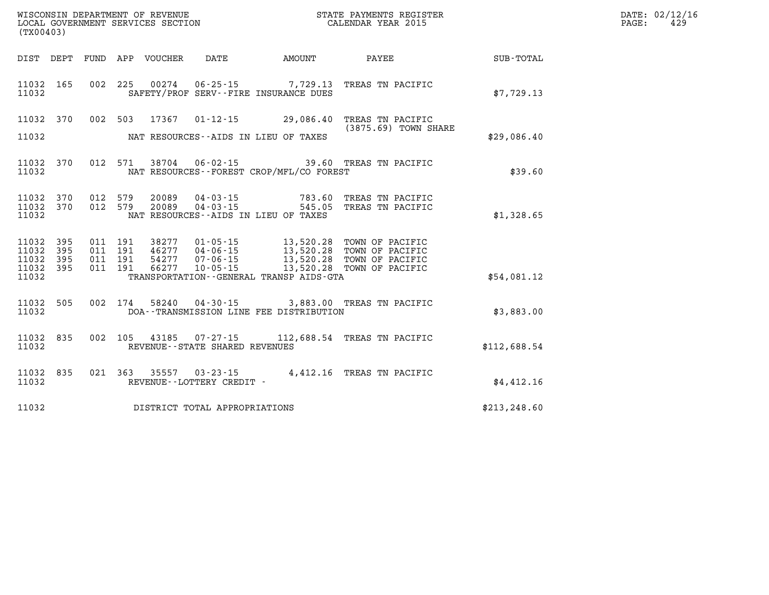| (TX00403)                                    |     |  |                                     |                                              | WISCONSIN DEPARTMENT OF REVENUE<br>LOCAL GOVERNMENT SERVICES SECTION<br>(TYO0403)                                                                                                                            |               | DATE: 02/12/16<br>PAGE:<br>429 |
|----------------------------------------------|-----|--|-------------------------------------|----------------------------------------------|--------------------------------------------------------------------------------------------------------------------------------------------------------------------------------------------------------------|---------------|--------------------------------|
|                                              |     |  |                                     |                                              | DIST DEPT FUND APP VOUCHER DATE AMOUNT PAYEE SUB-TOTAL                                                                                                                                                       |               |                                |
| 11032 165<br>11032                           |     |  |                                     | SAFETY/PROF SERV--FIRE INSURANCE DUES        | 002 225 00274 06-25-15 7,729.13 TREAS TN PACIFIC                                                                                                                                                             | \$7,729.13    |                                |
| 11032 370                                    |     |  |                                     |                                              | 002 503 17367 01-12-15 29,086.40 TREAS TN PACIFIC<br>(3875.69) TOWN SHARE                                                                                                                                    |               |                                |
| 11032                                        |     |  |                                     | NAT RESOURCES--AIDS IN LIEU OF TAXES         |                                                                                                                                                                                                              | \$29,086.40   |                                |
| 11032 370<br>11032                           |     |  |                                     | NAT RESOURCES - - FOREST CROP/MFL/CO FOREST  | 012 571 38704 06-02-15 39.60 TREAS TN PACIFIC                                                                                                                                                                | \$39.60       |                                |
| 11032 370<br>11032 370<br>11032              |     |  |                                     | NAT RESOURCES -- AIDS IN LIEU OF TAXES       | 012 579 20089 04-03-15 783.60 TREAS TN PACIFIC<br>012 579 20089 04-03-15 545.05 TREAS TN PACIFIC                                                                                                             | \$1,328.65    |                                |
| 11032 395<br>11032<br>11032 395<br>11032 395 | 395 |  |                                     |                                              | 011 191 38277 01-05-15 13,520.28 TOWN OF PACIFIC<br>011 191 46277 04-06-15 13,520.28 TOWN OF PACIFIC<br>011 191 54277 07-06-15 13,520.28 TOWN OF PACIFIC<br>011 191 66277 10-05-15 13,520.28 TOWN OF PACIFIC |               |                                |
| 11032                                        |     |  |                                     | TRANSPORTATION - - GENERAL TRANSP AIDS - GTA |                                                                                                                                                                                                              | \$54,081.12   |                                |
| 11032 505<br>11032                           |     |  |                                     | DOA--TRANSMISSION LINE FEE DISTRIBUTION      | 002 174 58240 04-30-15 3,883.00 TREAS TN PACIFIC                                                                                                                                                             | \$3,883.00    |                                |
| 11032 835<br>11032                           |     |  | REVENUE--STATE SHARED REVENUES      |                                              | 002 105 43185 07-27-15 112,688.54 TREAS TN PACIFIC                                                                                                                                                           | \$112,688.54  |                                |
| 11032 835<br>11032                           |     |  | REVENUE--LOTTERY CREDIT -           |                                              | 021 363 35557 03-23-15 4,412.16 TREAS TN PACIFIC                                                                                                                                                             | \$4,412.16    |                                |
|                                              |     |  | 11032 DISTRICT TOTAL APPROPRIATIONS |                                              |                                                                                                                                                                                                              | \$213, 248.60 |                                |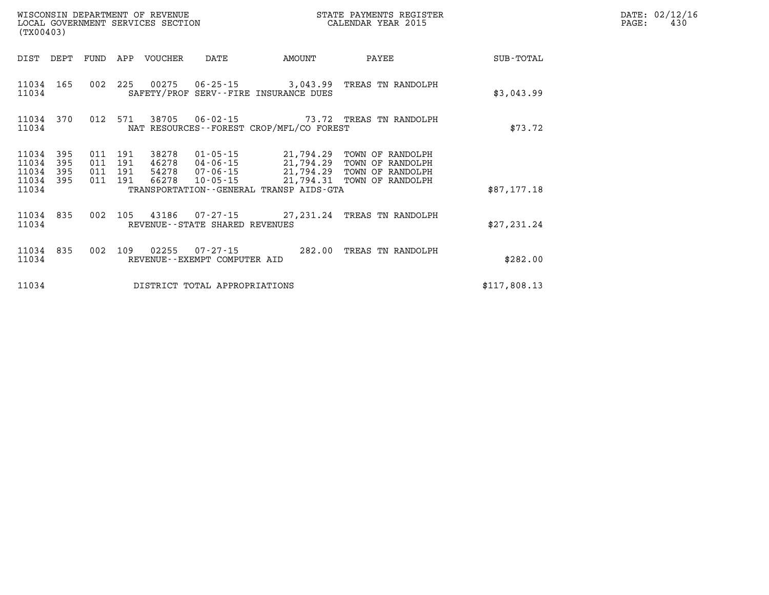| (TX00403)               |                   |                   |                   | WISCONSIN DEPARTMENT OF REVENUE<br>LOCAL GOVERNMENT SERVICES SECTION |                                                |                                                                      | STATE PAYMENTS REGISTER<br>CALENDAR YEAR 2015            |              |
|-------------------------|-------------------|-------------------|-------------------|----------------------------------------------------------------------|------------------------------------------------|----------------------------------------------------------------------|----------------------------------------------------------|--------------|
| DIST                    | DEPT              | FUND              | APP               | VOUCHER                                                              | DATE                                           | AMOUNT                                                               | PAYEE                                                    | SUB-TOTAL    |
| 11034<br>11034          | 165               | 002               | 225               |                                                                      |                                                | $00275$ $06-25-15$ 3,043.99<br>SAFETY/PROF SERV--FIRE INSURANCE DUES | TREAS TN RANDOLPH                                        | \$3,043.99   |
| 11034<br>11034          | 370               | 012               | 571               |                                                                      | 38705 06-02-15                                 | NAT RESOURCES--FOREST CROP/MFL/CO FOREST                             | 73.72 TREAS TN RANDOLPH                                  | \$73.72      |
| 11034<br>11034<br>11034 | 395<br>395<br>395 | 011<br>011<br>011 | 191<br>191<br>191 | 38278<br>46278<br>54278                                              | 01-05-15<br>04-06-15<br>07-06-15               | 21,794.29<br>21,794.29<br>21,794.29                                  | TOWN OF RANDOLPH<br>TOWN OF RANDOLPH<br>TOWN OF RANDOLPH |              |
| 11034<br>11034          | 395               | 011               | 191               | 66278                                                                | $10 - 05 - 15$                                 | 21,794.31<br>TRANSPORTATION - - GENERAL TRANSP AIDS - GTA            | TOWN OF RANDOLPH                                         | \$87,177.18  |
| 11034<br>11034          | 835               | 002               | 105               |                                                                      | REVENUE - - STATE SHARED REVENUES              | 43186 07-27-15 27,231.24                                             | TREAS TN RANDOLPH                                        | \$27, 231.24 |
| 11034<br>11034          | 835               | 002               | 109               | 02255                                                                | $07 - 27 - 15$<br>REVENUE--EXEMPT COMPUTER AID | 282.00                                                               | TREAS TN RANDOLPH                                        | \$282.00     |
| 11034                   |                   |                   |                   |                                                                      | DISTRICT TOTAL APPROPRIATIONS                  |                                                                      |                                                          | \$117,808.13 |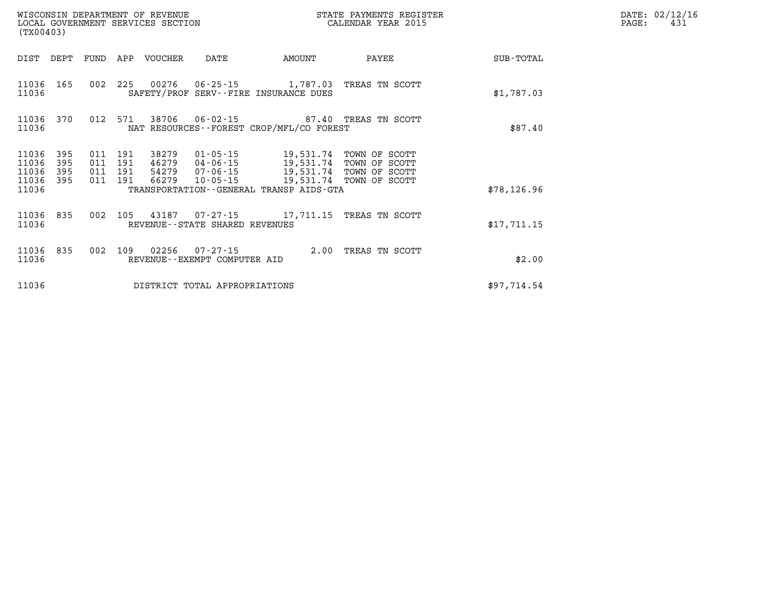| (TX00403)                            |                   |                                          |     | WISCONSIN DEPARTMENT OF REVENUE<br>LOCAL GOVERNMENT SERVICES SECTION |                                   |                                                                                                                                                       | STATE PAYMENTS REGISTER<br>CALENDAR YEAR 2015 |             | DATE: 02/12/16<br>PAGE:<br>431 |
|--------------------------------------|-------------------|------------------------------------------|-----|----------------------------------------------------------------------|-----------------------------------|-------------------------------------------------------------------------------------------------------------------------------------------------------|-----------------------------------------------|-------------|--------------------------------|
|                                      |                   |                                          |     | DIST DEPT FUND APP VOUCHER                                           | DATE                              | AMOUNT                                                                                                                                                | PAYEE                                         | SUB-TOTAL   |                                |
| 11036 165<br>11036                   |                   | 002 225                                  |     |                                                                      |                                   | SAFETY/PROF SERV--FIRE INSURANCE DUES                                                                                                                 | TREAS TN SCOTT                                | \$1,787.03  |                                |
| 11036                                |                   |                                          |     |                                                                      |                                   | 11036 370 012 571 38706 06-02-15 87.40 TREAS TN SCOTT<br>NAT RESOURCES--FOREST CROP/MFL/CO FOREST                                                     |                                               | \$87.40     |                                |
| 11036<br>11036<br>11036<br>11036 395 | 395<br>395<br>395 | 011 191<br>011 191<br>011 191<br>011 191 |     | 38279                                                                | 01-05-15<br>46279 04-06-15        | 19,531.74 TOWN OF SCOTT<br>46279 04-06-15 19,531.74 TOWN OF SCOTT<br>54279 07-06-15 19,531.74 TOWN OF SCOTT<br>66279 10-05-15 19,531.74 TOWN OF SCOTT |                                               |             |                                |
| 11036                                |                   |                                          |     |                                                                      |                                   | TRANSPORTATION--GENERAL TRANSP AIDS-GTA                                                                                                               |                                               | \$78,126.96 |                                |
| 11036 835<br>11036                   |                   |                                          |     |                                                                      | REVENUE - - STATE SHARED REVENUES | 002 105 43187 07-27-15 17,711.15 TREAS TN SCOTT                                                                                                       |                                               | \$17,711.15 |                                |
| 11036 835<br>11036                   |                   | 002                                      | 109 |                                                                      | REVENUE--EXEMPT COMPUTER AID      | 02256  07-27-15  2.00 TREAS TN SCOTT                                                                                                                  |                                               | \$2.00      |                                |
| 11036                                |                   |                                          |     |                                                                      | DISTRICT TOTAL APPROPRIATIONS     |                                                                                                                                                       |                                               | \$97,714.54 |                                |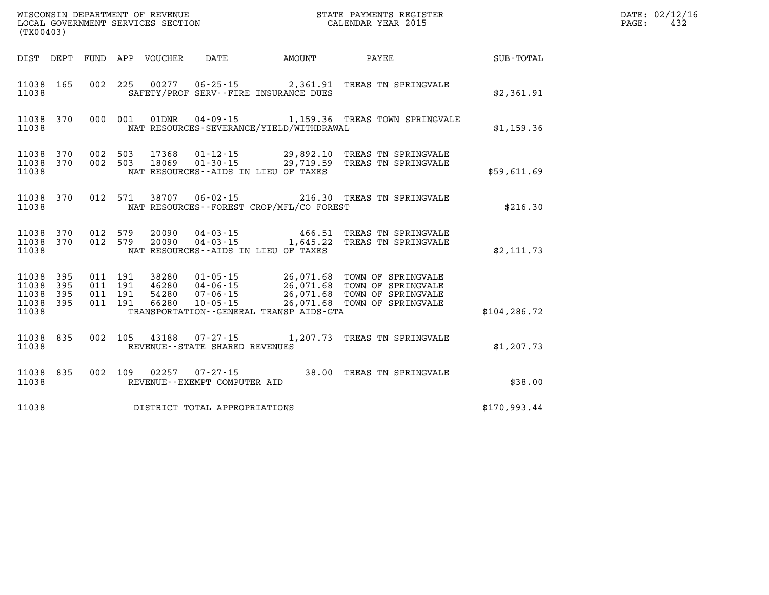| (TX00403)                                 |                          |                          |                          | WISCONSIN DEPARTMENT OF REVENUE<br>LOCAL GOVERNMENT SERVICES SECTION |                                                                      |                                                                                                  | STATE PAYMENTS REGISTER<br>CALENDAR YEAR 2015                                        |                  |
|-------------------------------------------|--------------------------|--------------------------|--------------------------|----------------------------------------------------------------------|----------------------------------------------------------------------|--------------------------------------------------------------------------------------------------|--------------------------------------------------------------------------------------|------------------|
| DIST                                      | DEPT                     | FUND                     | APP                      | VOUCHER                                                              | DATE                                                                 | AMOUNT                                                                                           | PAYEE                                                                                | <b>SUB-TOTAL</b> |
| 11038<br>11038                            | 165                      | 002                      | 225                      | 00277                                                                | $06 - 25 - 15$                                                       | 2,361.91<br>SAFETY/PROF SERV--FIRE INSURANCE DUES                                                | TREAS TN SPRINGVALE                                                                  | \$2,361.91       |
| 11038<br>11038                            | 370                      | 000                      | 001                      | 01DNR                                                                | $04 - 09 - 15$                                                       | NAT RESOURCES-SEVERANCE/YIELD/WITHDRAWAL                                                         | 1,159.36 TREAS TOWN SPRINGVALE                                                       | \$1,159.36       |
| 11038<br>11038<br>11038                   | 370<br>370               | 002<br>002               | 503<br>503               | 17368<br>18069                                                       | $01 - 12 - 15$<br>$01 - 30 - 15$                                     | 29,892.10<br>29,719.59<br>NAT RESOURCES -- AIDS IN LIEU OF TAXES                                 | TREAS TN SPRINGVALE<br>TREAS TN SPRINGVALE                                           | \$59,611.69      |
| 11038<br>11038                            | 370                      | 012                      | 571                      | 38707                                                                | $06 - 02 - 15$                                                       | 216.30<br>NAT RESOURCES - - FOREST CROP/MFL/CO FOREST                                            | TREAS TN SPRINGVALE                                                                  | \$216.30         |
| 11038<br>11038<br>11038                   | 370<br>370               | 012<br>012               | 579<br>579               | 20090<br>20090                                                       | $04 - 03 - 15$<br>$04 - 03 - 15$                                     | 466.51<br>1,645.22<br>NAT RESOURCES -- AIDS IN LIEU OF TAXES                                     | TREAS TN SPRINGVALE<br>TREAS TN SPRINGVALE                                           | \$2,111.73       |
| 11038<br>11038<br>11038<br>11038<br>11038 | 395<br>395<br>395<br>395 | 011<br>011<br>011<br>011 | 191<br>191<br>191<br>191 | 38280<br>46280<br>54280<br>66280                                     | $01 - 05 - 15$<br>$04 - 06 - 15$<br>$07 - 06 - 15$<br>$10 - 05 - 15$ | 26,071.68<br>26,071.68<br>26,071.68<br>26,071.68<br>TRANSPORTATION - - GENERAL TRANSP AIDS - GTA | TOWN OF SPRINGVALE<br>TOWN OF SPRINGVALE<br>TOWN OF SPRINGVALE<br>TOWN OF SPRINGVALE | \$104, 286.72    |
| 11038<br>11038                            | 835                      | 002                      | 105                      | 43188                                                                | $07 - 27 - 15$<br>REVENUE - - STATE SHARED REVENUES                  | 1,207.73                                                                                         | TREAS TN SPRINGVALE                                                                  | \$1, 207.73      |
| 11038<br>11038                            | 835                      | 002                      | 109                      | 02257                                                                | $07 - 27 - 15$<br>REVENUE--EXEMPT COMPUTER AID                       | 38.00                                                                                            | TREAS TN SPRINGVALE                                                                  | \$38.00          |
| 11038                                     |                          |                          |                          |                                                                      | DISTRICT TOTAL APPROPRIATIONS                                        |                                                                                                  |                                                                                      | \$170,993.44     |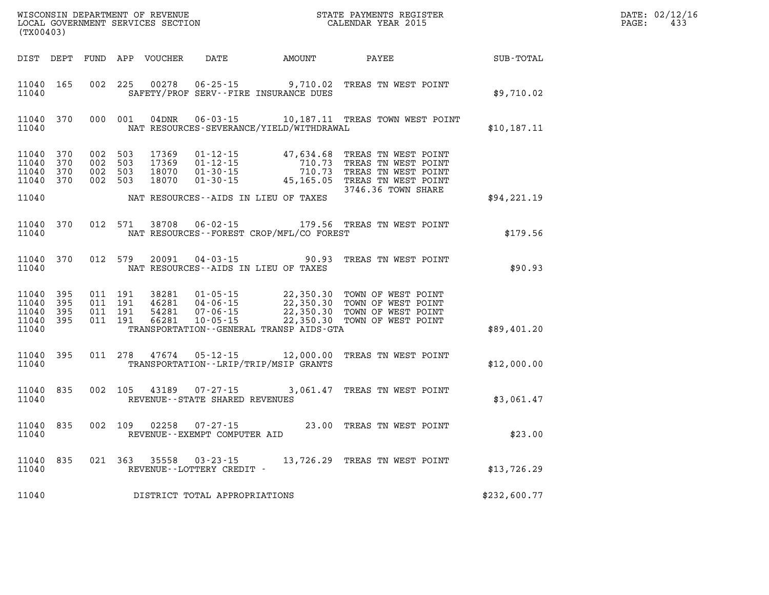| DATE: | 02/12/16 |
|-------|----------|
| PAGE: | 433      |

| (TX00403)      |                                            |         |                                          | WISCONSIN DEPARTMENT OF REVENUE<br>LOCAL GOVERNMENT SERVICES SECTION |                                                |                                              | STATE PAYMENTS REGISTER<br>CALENDAR YEAR 2015                                                                                                                                                        |                  | DATE: 02/12/1<br>PAGE:<br>433 |
|----------------|--------------------------------------------|---------|------------------------------------------|----------------------------------------------------------------------|------------------------------------------------|----------------------------------------------|------------------------------------------------------------------------------------------------------------------------------------------------------------------------------------------------------|------------------|-------------------------------|
|                |                                            |         |                                          |                                                                      |                                                | DIST DEPT FUND APP VOUCHER DATE AMOUNT PAYEE |                                                                                                                                                                                                      | <b>SUB-TOTAL</b> |                               |
| 11040          | 11040 165                                  |         | 002 225                                  | 00278                                                                |                                                | SAFETY/PROF SERV--FIRE INSURANCE DUES        | 06-25-15 9,710.02 TREAS TN WEST POINT                                                                                                                                                                | \$9,710.02       |                               |
| 11040          | 11040 370                                  |         |                                          |                                                                      |                                                | NAT RESOURCES-SEVERANCE/YIELD/WITHDRAWAL     | 000 001 04DNR 06-03-15 10,187.11 TREAS TOWN WEST POINT                                                                                                                                               | \$10,187.11      |                               |
| 11040          | 11040 370<br>370<br>11040 370<br>11040 370 | 002 503 | 002 503<br>002 503<br>002 503            | 17369<br>17369<br>18070<br>18070                                     |                                                |                                              | 01-12-15 47,634.68 TREAS TN WEST POINT<br>01-12-15 710.73 TREAS TN WEST POINT<br>01-30-15 710.73 TREAS TN WEST POINT<br>01-30-15 45,165.05 TREAS TN WEST POINT<br>3746.36 TOWN SHARE                 |                  |                               |
| 11040          |                                            |         |                                          |                                                                      |                                                | NAT RESOURCES--AIDS IN LIEU OF TAXES         |                                                                                                                                                                                                      | \$94,221.19      |                               |
| 11040          | 11040 370                                  |         | 012 571                                  | 38708                                                                |                                                | NAT RESOURCES--FOREST CROP/MFL/CO FOREST     | 06-02-15 179.56 TREAS TN WEST POINT                                                                                                                                                                  | \$179.56         |                               |
| 11040          | 11040 370                                  |         |                                          | 012 579 20091                                                        |                                                | NAT RESOURCES--AIDS IN LIEU OF TAXES         | 04-03-15 90.93 TREAS TN WEST POINT                                                                                                                                                                   | \$90.93          |                               |
| 11040<br>11040 | 11040 395<br>395<br>11040 395<br>11040 395 |         | 011 191<br>011 191<br>011 191<br>011 191 |                                                                      |                                                | TRANSPORTATION--GENERAL TRANSP AIDS-GTA      | 38281  01-05-15  22,350.30  TOWN OF WEST POINT<br>46281  04-06-15  22,350.30  TOWN OF WEST POINT<br>54281  07-06-15  22,350.30  TOWN OF WEST POINT<br>66281  10-05-15  22,350.30  TOWN OF WEST POINT | \$89,401.20      |                               |
| 11040          | 11040 395                                  |         | 011 278                                  |                                                                      |                                                | TRANSPORTATION - - LRIP/TRIP/MSIP GRANTS     | 47674  05-12-15  12,000.00  TREAS TN WEST POINT                                                                                                                                                      | \$12,000.00      |                               |
| 11040<br>11040 | 835                                        |         |                                          | 002 105 43189                                                        | REVENUE - - STATE SHARED REVENUES              |                                              | 07-27-15 3,061.47 TREAS TN WEST POINT                                                                                                                                                                | \$3,061.47       |                               |
| 11040          | 11040 835                                  |         |                                          | 002 109 02258                                                        | $07 - 27 - 15$<br>REVENUE--EXEMPT COMPUTER AID |                                              | 23.00 TREAS TN WEST POINT                                                                                                                                                                            | \$23.00          |                               |
| 11040          | 11040 835                                  |         |                                          |                                                                      | REVENUE--LOTTERY CREDIT -                      |                                              | 021 363 35558 03-23-15 13,726.29 TREAS TN WEST POINT                                                                                                                                                 | \$13,726.29      |                               |
| 11040          |                                            |         |                                          |                                                                      | DISTRICT TOTAL APPROPRIATIONS                  |                                              |                                                                                                                                                                                                      | \$232,600.77     |                               |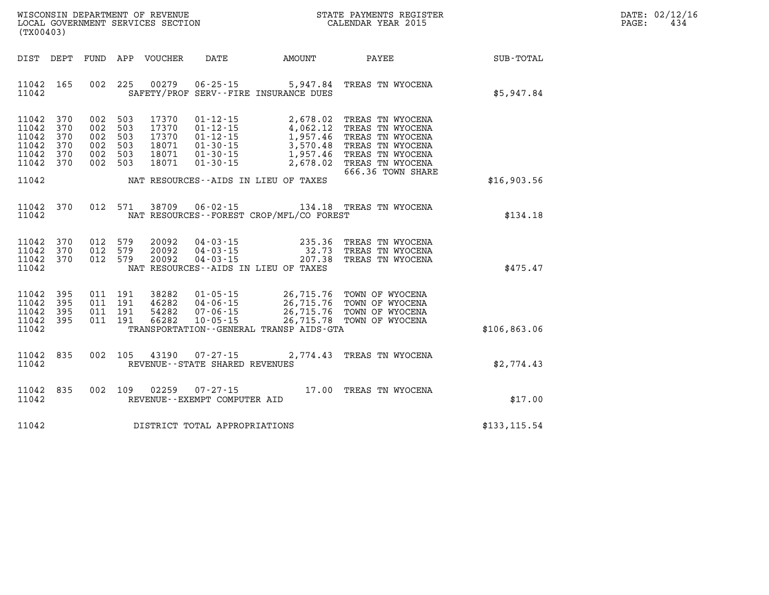|                   | DATE: 02/12/16 |
|-------------------|----------------|
| $\mathtt{PAGE}$ : | 434            |

| (TX00403)                                                                  |           |                                          |                                          |                                                     | WISCONSIN DEPARTMENT OF REVENUE<br>LOCAL GOVERNMENT SERVICES SECTION<br>(TYO0403) |                                                                                                                                                                              | D <sub>I</sub><br>$P\zeta$ |  |
|----------------------------------------------------------------------------|-----------|------------------------------------------|------------------------------------------|-----------------------------------------------------|-----------------------------------------------------------------------------------|------------------------------------------------------------------------------------------------------------------------------------------------------------------------------|----------------------------|--|
| DIST DEPT                                                                  |           | FUND                                     |                                          |                                                     |                                                                                   | APP VOUCHER DATE AMOUNT PAYEE SUB-TOTAL                                                                                                                                      |                            |  |
| 11042 165<br>11042                                                         |           |                                          | 002 225                                  | SAFETY/PROF SERV--FIRE INSURANCE DUES               |                                                                                   | 00279  06-25-15  5,947.84  TREAS TN WYOCENA                                                                                                                                  | \$5,947.84                 |  |
| 11042 370<br>11042 370<br>11042 370<br>11042 370<br>11042 370<br>11042 370 |           | 002 503<br>002 503<br>002 503<br>002 503 | 002 503<br>002 503                       |                                                     |                                                                                   | 666.36 TOWN SHARE                                                                                                                                                            |                            |  |
| 11042                                                                      |           |                                          |                                          | NAT RESOURCES--AIDS IN LIEU OF TAXES                |                                                                                   |                                                                                                                                                                              | \$16,903.56                |  |
| 11042                                                                      | 11042 370 |                                          | 012 571                                  |                                                     | NAT RESOURCES - - FOREST CROP/MFL/CO FOREST                                       | 38709  06-02-15  134.18  TREAS TN WYOCENA                                                                                                                                    | \$134.18                   |  |
| 11042 370<br>11042 370<br>11042 370<br>11042                               |           | 012 579<br>012 579                       | 012 579                                  | NAT RESOURCES--AIDS IN LIEU OF TAXES                |                                                                                   | 20092  04-03-15  235.36 TREAS TN WYOCENA<br>20092  04-03-15  232.73 TREAS TN WYOCENA<br>20092  04-03-15  207.38 TREAS TN WYOCENA                                             | \$475.47                   |  |
| 11042 395<br>11042<br>11042 395<br>11042 395<br>11042                      | 395       |                                          | 011 191<br>011 191<br>011 191<br>011 191 |                                                     | TRANSPORTATION--GENERAL TRANSP AIDS-GTA                                           | 38282 01-05-15 26,715.76 TOWN OF WYOCENA<br>46282 04-06-15 26,715.76 TOWN OF WYOCENA<br>54282 07-06-15 26,715.76 TOWN OF WYOCENA<br>66282 10-05-15 26,715.78 TOWN OF WYOCENA | \$106,863.06               |  |
| 11042 835<br>11042                                                         |           |                                          | 002 105                                  | 43190 07-27-15<br>REVENUE - - STATE SHARED REVENUES |                                                                                   | 2,774.43 TREAS TN WYOCENA                                                                                                                                                    | \$2,774.43                 |  |
| 11042 835<br>11042                                                         |           |                                          | 002 109                                  | REVENUE--EXEMPT COMPUTER AID                        |                                                                                   | 02259  07-27-15  17.00 TREAS TN WYOCENA                                                                                                                                      | \$17.00                    |  |
| 11042                                                                      |           |                                          |                                          | DISTRICT TOTAL APPROPRIATIONS                       |                                                                                   |                                                                                                                                                                              | \$133, 115.54              |  |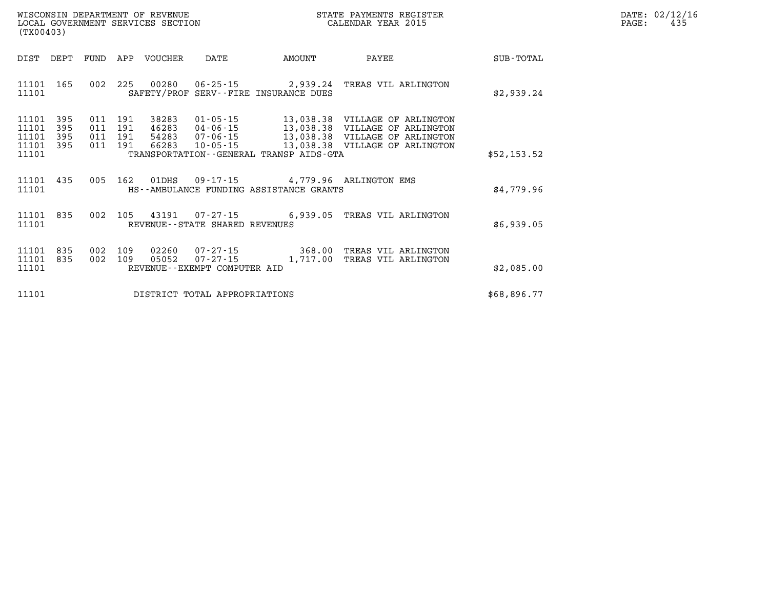| WISCONSIN DEPARTMENT OF REVENUE   | STATE PAYMENTS REGISTER | DATE: | : 02/12/16 |
|-----------------------------------|-------------------------|-------|------------|
| LOCAL GOVERNMENT SERVICES SECTION | CALENDAR YEAR 2015      | PAGE: |            |

| (TX00403)               |            |                    | LOCAL GOVERNMENT SERVICES SECTION |                                                |                                                                            | CALENDAR YEAR 2015                                                          |             | PAGE: | 435 |
|-------------------------|------------|--------------------|-----------------------------------|------------------------------------------------|----------------------------------------------------------------------------|-----------------------------------------------------------------------------|-------------|-------|-----|
| DIST DEPT               |            |                    | FUND APP VOUCHER                  | DATE                                           | AMOUNT                                                                     | PAYEE                                                                       | SUB-TOTAL   |       |     |
| 11101<br>11101          | 165        |                    |                                   |                                                | SAFETY/PROF SERV--FIRE INSURANCE DUES                                      | 002 225 00280 06-25-15 2,939.24 TREAS VIL ARLINGTON                         | \$2,939.24  |       |     |
| 11101<br>11101          | 395<br>395 | 011 191<br>011 191 | 38283                             | $01 - 05 - 15$                                 |                                                                            | 13,038.38 VILLAGE OF ARLINGTON                                              |             |       |     |
| 11101<br>11101<br>11101 | 395<br>395 | 011 191<br>011 191 |                                   |                                                | TRANSPORTATION - - GENERAL TRANSP AIDS - GTA                               |                                                                             | \$52,153.52 |       |     |
| 11101<br>11101          | 435        |                    | 005 162 01DHS                     |                                                | 09-17-15 4,779.96 ARLINGTON EMS<br>HS--AMBULANCE FUNDING ASSISTANCE GRANTS |                                                                             | \$4,779.96  |       |     |
| 11101<br>11101          | 835        |                    |                                   | REVENUE--STATE SHARED REVENUES                 |                                                                            | 002 105 43191 07-27-15 6,939.05 TREAS VIL ARLINGTON                         | \$6,939.05  |       |     |
| 11101<br>11101<br>11101 | 835<br>835 | 002 109<br>002 109 | 05052                             | $07 - 27 - 15$<br>REVENUE--EXEMPT COMPUTER AID |                                                                            | 02260  07-27-15  368.00 TREAS VIL ARLINGTON<br>1,717.00 TREAS VIL ARLINGTON | \$2,085.00  |       |     |
|                         |            |                    |                                   |                                                |                                                                            |                                                                             |             |       |     |
| 11101                   |            |                    |                                   | DISTRICT TOTAL APPROPRIATIONS                  |                                                                            |                                                                             | \$68,896.77 |       |     |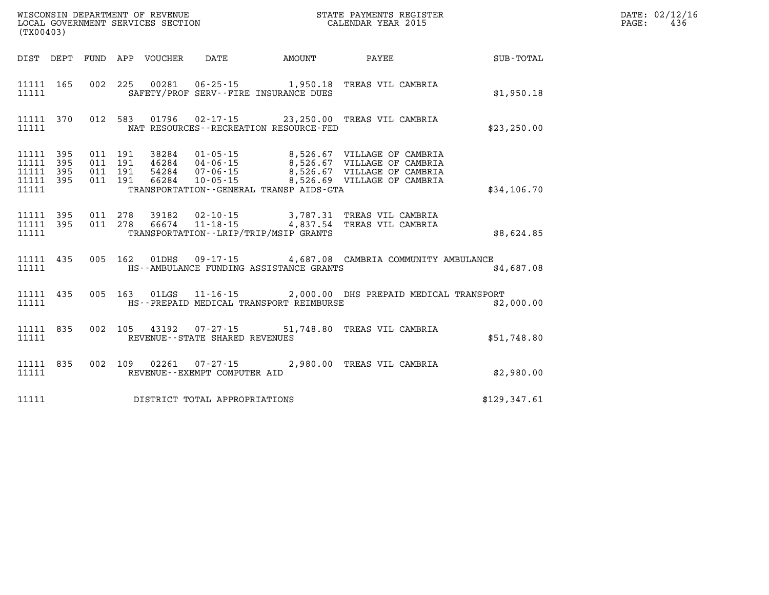| (TX00403)                                    |                        |  |                                |                                              |                                                                                                                  |              | DATE: 02/12/16<br>436<br>$\mathtt{PAGE}$ : |
|----------------------------------------------|------------------------|--|--------------------------------|----------------------------------------------|------------------------------------------------------------------------------------------------------------------|--------------|--------------------------------------------|
|                                              |                        |  |                                | DIST DEPT FUND APP VOUCHER DATE AMOUNT       | PAYEE SUB-TOTAL                                                                                                  |              |                                            |
| 11111                                        | 11111 165              |  |                                | SAFETY/PROF SERV--FIRE INSURANCE DUES        | 002 225 00281 06-25-15 1,950.18 TREAS VIL CAMBRIA                                                                | \$1,950.18   |                                            |
| 11111                                        | 11111 370              |  |                                | NAT RESOURCES - - RECREATION RESOURCE - FED  | 012 583 01796 02-17-15 23,250.00 TREAS VIL CAMBRIA                                                               | \$23, 250.00 |                                            |
| 11111 395<br>11111 395<br>11111 395<br>11111 | 11111 395              |  |                                | TRANSPORTATION - - GENERAL TRANSP AIDS - GTA |                                                                                                                  | \$34,106.70  |                                            |
| 11111                                        | 11111 395<br>11111 395 |  |                                | TRANSPORTATION - - LRIP/TRIP/MSIP GRANTS     | 011  278  39182  02-10-15  3,787.31 TREAS  VIL CAMBRIA<br>011  278  66674  11-18-15  4,837.54 TREAS  VIL CAMBRIA | \$8,624.85   |                                            |
| 11111                                        | 11111 435              |  |                                | HS--AMBULANCE FUNDING ASSISTANCE GRANTS      | 005 162 01DHS 09-17-15 4,687.08 CAMBRIA COMMUNITY AMBULANCE                                                      | \$4,687.08   |                                            |
| 11111                                        | 11111 435              |  |                                | HS--PREPAID MEDICAL TRANSPORT REIMBURSE      | 005 163 01LGS 11-16-15 2,000.00 DHS PREPAID MEDICAL TRANSPORT                                                    | \$2,000.00   |                                            |
|                                              | 11111 835<br>11111     |  | REVENUE--STATE SHARED REVENUES |                                              | 002 105 43192 07-27-15 51,748.80 TREAS VIL CAMBRIA                                                               | \$51,748.80  |                                            |
| 11111                                        | 11111 835              |  | REVENUE--EXEMPT COMPUTER AID   |                                              | 002 109 02261 07-27-15 2,980.00 TREAS VIL CAMBRIA                                                                | \$2,980.00   |                                            |
| 11111                                        |                        |  | DISTRICT TOTAL APPROPRIATIONS  |                                              |                                                                                                                  | \$129,347.61 |                                            |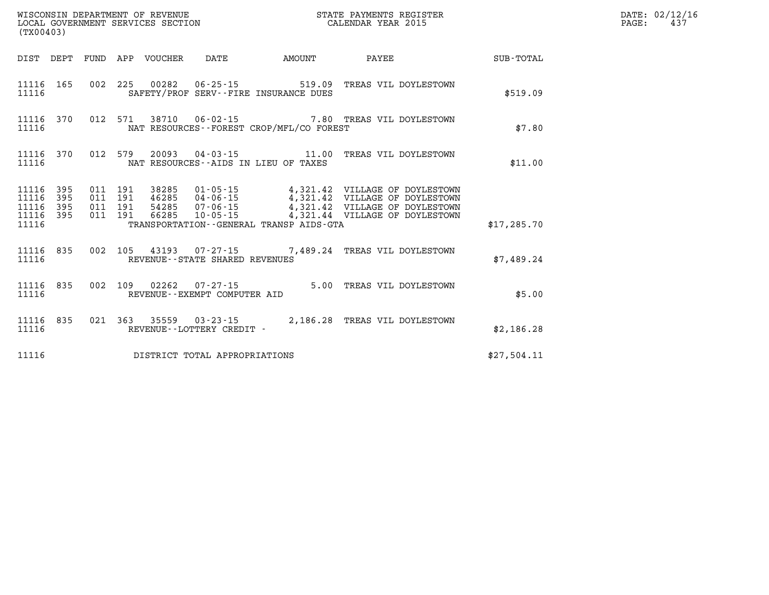|                                                   | %WISCONSIN DEPARTMENT OF REVENUE<br>${\small \begin{array}{ll} \texttt{STATE} \texttt{ PAYMENTS} \texttt{ REGISTER} \\ \texttt{LOCAL} \texttt{GOCALENDAR} \texttt{YEAR} \texttt{2015} \end{array}}$<br>(TX00403) |                                          |  |                                 |                                |                                              |                                                                                                                                                                                                              |             | DATE: 02/12/16<br>PAGE:<br>437 |
|---------------------------------------------------|------------------------------------------------------------------------------------------------------------------------------------------------------------------------------------------------------------------|------------------------------------------|--|---------------------------------|--------------------------------|----------------------------------------------|--------------------------------------------------------------------------------------------------------------------------------------------------------------------------------------------------------------|-------------|--------------------------------|
|                                                   |                                                                                                                                                                                                                  |                                          |  | DIST DEPT FUND APP VOUCHER DATE |                                |                                              |                                                                                                                                                                                                              |             |                                |
| 11116                                             |                                                                                                                                                                                                                  |                                          |  |                                 |                                | SAFETY/PROF SERV--FIRE INSURANCE DUES        | 11116 165 002 225 00282 06-25-15 519.09 TREAS VIL DOYLESTOWN                                                                                                                                                 | \$519.09    |                                |
| 11116                                             |                                                                                                                                                                                                                  |                                          |  |                                 |                                | NAT RESOURCES - - FOREST CROP/MFL/CO FOREST  | 11116 370 012 571 38710 06-02-15 7.80 TREAS VIL DOYLESTOWN                                                                                                                                                   | \$7.80      |                                |
| 11116                                             |                                                                                                                                                                                                                  |                                          |  |                                 |                                | NAT RESOURCES--AIDS IN LIEU OF TAXES         | 11116 370 012 579 20093 04-03-15 11.00 TREAS VIL DOYLESTOWN                                                                                                                                                  | \$11.00     |                                |
| 11116<br>11116<br>11116 395<br>11116 395<br>11116 | 395<br>395                                                                                                                                                                                                       | 011 191<br>011 191<br>011 191<br>011 191 |  |                                 |                                | TRANSPORTATION - - GENERAL TRANSP AIDS - GTA | 38285  01-05-15  4,321.42  VILLAGE OF DOYLESTOWN<br>46285  04-06-15  4,321.42  VILLAGE OF DOYLESTOWN<br>54285  07-06-15  4,321.42  VILLAGE OF DOYLESTOWN<br>66285  10-05-15  4,321.44  VILLAGE OF DOYLESTOWN | \$17,285.70 |                                |
| 11116                                             |                                                                                                                                                                                                                  |                                          |  |                                 | REVENUE--STATE SHARED REVENUES |                                              | 11116 835 002 105 43193 07-27-15 7,489.24 TREAS VIL DOYLESTOWN                                                                                                                                               | \$7,489.24  |                                |
| 11116                                             |                                                                                                                                                                                                                  |                                          |  |                                 | REVENUE--EXEMPT COMPUTER AID   |                                              | 11116 835 002 109 02262 07-27-15 5.00 TREAS VIL DOYLESTOWN                                                                                                                                                   | \$5.00      |                                |
| 11116                                             |                                                                                                                                                                                                                  |                                          |  |                                 | REVENUE--LOTTERY CREDIT -      |                                              | 11116 835 021 363 35559 03-23-15 2,186.28 TREAS VIL DOYLESTOWN                                                                                                                                               | \$2,186.28  |                                |
| 11116                                             |                                                                                                                                                                                                                  |                                          |  |                                 | DISTRICT TOTAL APPROPRIATIONS  |                                              |                                                                                                                                                                                                              | \$27,504.11 |                                |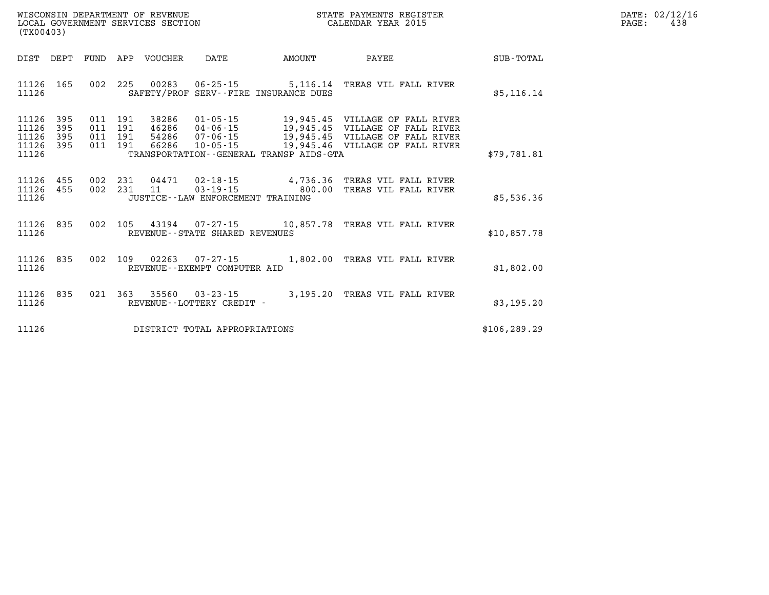| $\mathtt{DATE}$ : | 02/12/16 |
|-------------------|----------|
| PAGE:             | 438      |

| DIST<br>DEPT                                                          | FUND                     | APP                      | VOUCHER                          | DATE                                                                 | AMOUNT                                                                 | PAYEE                                                                                                                | SUB-TOTAL     |
|-----------------------------------------------------------------------|--------------------------|--------------------------|----------------------------------|----------------------------------------------------------------------|------------------------------------------------------------------------|----------------------------------------------------------------------------------------------------------------------|---------------|
| 11126<br>165<br>11126                                                 | 002                      | 225                      | 00283                            | $06 - 25 - 15$                                                       | SAFETY/PROF SERV--FIRE INSURANCE DUES                                  | 5,116.14 TREAS VIL FALL RIVER                                                                                        | \$5,116.14    |
| 11126<br>395<br>11126<br>395<br>11126<br>395<br>11126<br>395<br>11126 | 011<br>011<br>011<br>011 | 191<br>191<br>191<br>191 | 38286<br>46286<br>54286<br>66286 | $01 - 05 - 15$<br>$04 - 06 - 15$<br>$07 - 06 - 15$<br>$10 - 05 - 15$ | 19,945.45<br>19,945.45<br>TRANSPORTATION - - GENERAL TRANSP AIDS - GTA | VILLAGE OF FALL RIVER<br>VILLAGE OF FALL RIVER<br>19,945.45 VILLAGE OF FALL RIVER<br>19,945.46 VILLAGE OF FALL RIVER | \$79,781.81   |
| 11126<br>455<br>11126<br>455<br>11126                                 | 002<br>002               | 231<br>231               | 04471<br>11                      | $03 - 19 - 15$<br>JUSTICE -- LAW ENFORCEMENT TRAINING                | 800.00                                                                 | 02-18-15 4,736.36 TREAS VIL FALL RIVER<br>TREAS VIL FALL RIVER                                                       | \$5,536.36    |
| 835<br>11126<br>11126                                                 | 002                      | 105                      | 43194                            | 07-27-15<br>REVENUE--STATE SHARED REVENUES                           | 10,857.78                                                              | TREAS VIL FALL RIVER                                                                                                 | \$10,857.78   |
| 11126<br>835<br>11126                                                 | 002                      | 109                      | 02263                            | $07 - 27 - 15$<br>REVENUE--EXEMPT COMPUTER AID                       | 1,802.00                                                               | TREAS VIL FALL RIVER                                                                                                 | \$1,802.00    |
| 11126<br>835<br>11126                                                 | 021                      | 363                      | 35560                            | $03 - 23 - 15$<br>REVENUE - - LOTTERY CREDIT -                       | 3, 195, 20                                                             | TREAS VIL FALL RIVER                                                                                                 | \$3,195.20    |
| 11126                                                                 |                          |                          |                                  | DISTRICT TOTAL APPROPRIATIONS                                        |                                                                        |                                                                                                                      | \$106, 289.29 |

LOCAL GOVERNMENT SERVICES SECTION

**(TX00403)**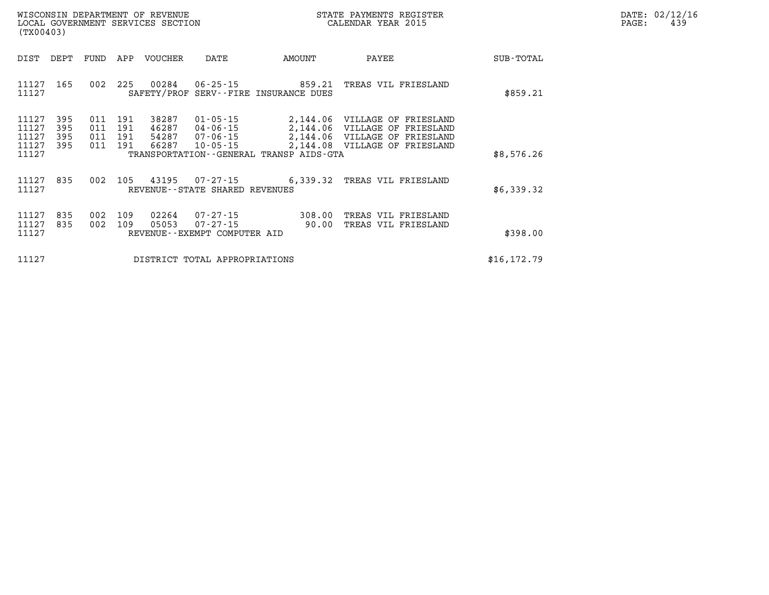| DATE: | 02/12/16 |
|-------|----------|
| PAGE: | 439      |

| WISCONSIN DEPARTMENT OF REVENUE<br>LOCAL GOVERNMENT SERVICES SECTION<br>(TX00403) |                          |                          |                                  |                                                            |                                         | STATE PAYMENTS REGISTER<br>CALENDAR YEAR 2015                                                                                             |              | DATE: 02/12/1<br>PAGE:<br>439 |
|-----------------------------------------------------------------------------------|--------------------------|--------------------------|----------------------------------|------------------------------------------------------------|-----------------------------------------|-------------------------------------------------------------------------------------------------------------------------------------------|--------------|-------------------------------|
| DIST<br>DEPT                                                                      | FUND APP                 |                          | VOUCHER                          | DATE                                                       | AMOUNT                                  | PAYEE                                                                                                                                     | SUB-TOTAL    |                               |
| 165<br>11127<br>11127                                                             | 002                      | 225                      | 00284                            |                                                            | SAFETY/PROF SERV--FIRE INSURANCE DUES   |                                                                                                                                           | \$859.21     |                               |
| 11127<br>395<br>11127<br>395<br>11127<br>395<br>11127<br>395<br>11127             | 011<br>011<br>011<br>011 | 191<br>191<br>191<br>191 | 38287<br>46287<br>54287<br>66287 | 04-06-15<br>07-06-15<br>$10 - 05 - 15$                     | TRANSPORTATION--GENERAL TRANSP AIDS-GTA | 01-05-15 2,144.06 VILLAGE OF FRIESLAND<br>2,144.06 VILLAGE OF FRIESLAND<br>2,144.06 VILLAGE OF FRIESLAND<br>2,144.08 VILLAGE OF FRIESLAND | \$8,576.26   |                               |
| 11127<br>835<br>11127                                                             | 002                      | 105                      |                                  | REVENUE - - STATE SHARED REVENUES                          |                                         | 43195 07-27-15 6,339.32 TREAS VIL FRIESLAND                                                                                               | \$6,339.32   |                               |
| 835<br>11127<br>11127<br>835<br>11127                                             | 002<br>002               | 109<br>109               | 02264<br>05053                   | $07 - 27 - 15$<br>07-27-15<br>REVENUE--EXEMPT COMPUTER AID | 308.00<br>90.00                         | TREAS VIL FRIESLAND<br>TREAS VIL FRIESLAND                                                                                                | \$398.00     |                               |
| 11127                                                                             |                          |                          |                                  | DISTRICT TOTAL APPROPRIATIONS                              |                                         |                                                                                                                                           | \$16, 172.79 |                               |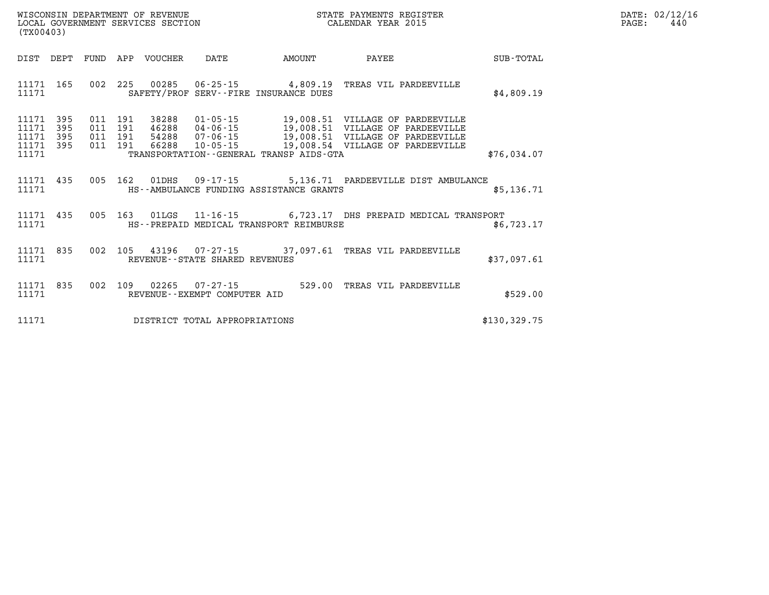| WISCONSIN DEPARTMENT OF REVENUE   | STATE PAYMENTS REGISTER | DATE: 02/12/16 |
|-----------------------------------|-------------------------|----------------|
| LOCAL GOVERNMENT SERVICES SECTION | CALENDAR YEAR 2015      | 44(<br>PAGE    |

| (TX00403)                                                             |                                                                                          |                                                                                                                 |        |                                                                                                                                              |              |
|-----------------------------------------------------------------------|------------------------------------------------------------------------------------------|-----------------------------------------------------------------------------------------------------------------|--------|----------------------------------------------------------------------------------------------------------------------------------------------|--------------|
| DIST<br>DEPT                                                          | FUND<br>APP<br>VOUCHER                                                                   | DATE                                                                                                            | AMOUNT | PAYEE                                                                                                                                        | SUB-TOTAL    |
| 11171<br>165<br>11171                                                 | 002<br>225<br>00285<br>SAFETY/PROF                                                       | $06 - 25 - 15$ 4,809.19<br>SERV--FIRE INSURANCE DUES                                                            |        | TREAS VIL PARDEEVILLE                                                                                                                        | \$4,809.19   |
| 11171<br>395<br>395<br>11171<br>11171<br>395<br>11171<br>395<br>11171 | 38288<br>011<br>191<br>191<br>46288<br>011<br>191<br>54288<br>011<br>191<br>66288<br>011 | $01 - 05 - 15$<br>$04 - 06 - 15$<br>$07 - 06 - 15$<br>$10 - 05 - 15$<br>TRANSPORTATION--GENERAL TRANSP AIDS-GTA |        | 19,008.51 VILLAGE OF PARDEEVILLE<br>19,008.51 VILLAGE OF PARDEEVILLE<br>19,008.51 VILLAGE OF PARDEEVILLE<br>19,008.54 VILLAGE OF PARDEEVILLE | \$76,034.07  |
| 11171<br>435<br>11171                                                 | 005<br>162<br>01DHS                                                                      | HS--AMBULANCE FUNDING ASSISTANCE GRANTS                                                                         |        | 09-17-15 5,136.71 PARDEEVILLE DIST AMBULANCE                                                                                                 | \$5,136.71   |
| 11171<br>435<br>11171                                                 | 163<br>005                                                                               | HS--PREPAID MEDICAL TRANSPORT REIMBURSE                                                                         |        | 01LGS  11-16-15   6,723.17 DHS PREPAID MEDICAL TRANSPORT                                                                                     | \$6,723.17   |
| 11171<br>835<br>11171                                                 | 002<br>105<br>43196                                                                      | REVENUE - - STATE SHARED REVENUES                                                                               |        | 07-27-15 37,097.61 TREAS VIL PARDEEVILLE                                                                                                     | \$37,097.61  |
| 835<br>11171<br>11171                                                 | 002<br>109<br>02265                                                                      | $07 - 27 - 15$<br>REVENUE--EXEMPT COMPUTER AID                                                                  | 529.00 | TREAS VIL PARDEEVILLE                                                                                                                        | \$529.00     |
| 11171                                                                 |                                                                                          | DISTRICT TOTAL APPROPRIATIONS                                                                                   |        |                                                                                                                                              | \$130,329.75 |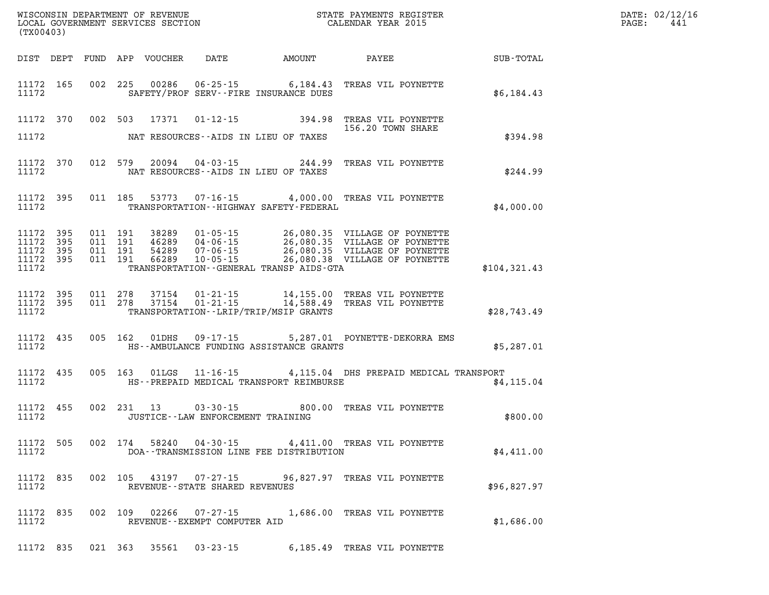| LOCAL GOVERNMENT SERVICES SECTION<br>(TX00403) |                   |  |  |                                 |                                             |                                                                                                                                                                                                                                                                                                                                              | R             | DATE: 02/12/1<br>PAGE:<br>441 |
|------------------------------------------------|-------------------|--|--|---------------------------------|---------------------------------------------|----------------------------------------------------------------------------------------------------------------------------------------------------------------------------------------------------------------------------------------------------------------------------------------------------------------------------------------------|---------------|-------------------------------|
|                                                |                   |  |  |                                 |                                             | DIST DEPT FUND APP VOUCHER DATE AMOUNT PAYEE SUB-TOTAL                                                                                                                                                                                                                                                                                       |               |                               |
| 11172 165<br>11172                             |                   |  |  |                                 | SAFETY/PROF SERV--FIRE INSURANCE DUES       | 002 225 00286 06-25-15 6,184.43 TREAS VIL POYNETTE                                                                                                                                                                                                                                                                                           | \$6,184.43    |                               |
| 11172 370                                      |                   |  |  |                                 |                                             | 002 503 17371 01-12-15 394.98 TREAS VIL POYNETTE<br>156.20 TOWN SHARE                                                                                                                                                                                                                                                                        |               |                               |
| 11172                                          |                   |  |  |                                 | NAT RESOURCES--AIDS IN LIEU OF TAXES        |                                                                                                                                                                                                                                                                                                                                              | \$394.98      |                               |
| 11172 370<br>11172                             |                   |  |  |                                 | NAT RESOURCES--AIDS IN LIEU OF TAXES        | 012 579 20094 04-03-15 244.99 TREAS VIL POYNETTE                                                                                                                                                                                                                                                                                             | \$244.99      |                               |
| 11172 395<br>11172                             |                   |  |  |                                 | TRANSPORTATION - - HIGHWAY SAFETY - FEDERAL | 011 185 53773 07-16-15 4,000.00 TREAS VIL POYNETTE                                                                                                                                                                                                                                                                                           | \$4,000.00    |                               |
| 11172<br>11172<br>11172<br>11172 395<br>11172  | 395<br>395<br>395 |  |  |                                 | TRANSPORTATION--GENERAL TRANSP AIDS-GTA     | $\begin{array}{cccc} 011 & 191 & 38289 & 01\cdot 05\cdot 15 & 26\,, 080\,.35 & \text{VILLAGE OF POYNETTE} \\ 011 & 191 & 46289 & 04\cdot 06\cdot 15 & 26\,, 080\,.35 & \text{VILLAGE OF POYNETTE} \\ 011 & 191 & 54289 & 07\cdot 06\cdot 15 & 26\,, 080\,.35 & \text{VILLAGE OF POYNETTE} \\ 011 & 191 & 66289 & 10\cdot 05\cdot 15 & 26\,,$ | \$104, 321.43 |                               |
| 11172 395<br>11172 395<br>11172                |                   |  |  |                                 | TRANSPORTATION--LRIP/TRIP/MSIP GRANTS       | 011  278  37154  01-21-15  14,155.00 TREAS VIL POYNETTE<br>011  278  37154  01-21-15  14,588.49 TREAS VIL POYNETTE                                                                                                                                                                                                                           | \$28,743.49   |                               |
| 11172 435<br>11172                             |                   |  |  |                                 | HS--AMBULANCE FUNDING ASSISTANCE GRANTS     | 005 162 01DHS 09-17-15 5,287.01 POYNETTE-DEKORRA EMS                                                                                                                                                                                                                                                                                         | \$5,287.01    |                               |
| 11172 435<br>11172                             |                   |  |  |                                 | HS--PREPAID MEDICAL TRANSPORT REIMBURSE     | 005 163 01LGS 11-16-15 4,115.04 DHS PREPAID MEDICAL TRANSPORT                                                                                                                                                                                                                                                                                | \$4, 115.04   |                               |
| 11172 455<br>11172                             |                   |  |  |                                 | JUSTICE - - LAW ENFORCEMENT TRAINING        | 002 231 13 03-30-15 800.00 TREAS VIL POYNETTE                                                                                                                                                                                                                                                                                                | \$800.00      |                               |
| 11172                                          |                   |  |  |                                 | DOA--TRANSMISSION LINE FEE DISTRIBUTION     | 11172 505 002 174 58240 04-30-15 4,411.00 TREAS VIL POYNETTE                                                                                                                                                                                                                                                                                 | \$4,411.00    |                               |
| 11172 835<br>11172                             |                   |  |  | REVENUE--STATE SHARED REVENUES  |                                             | 002 105 43197 07-27-15 96,827.97 TREAS VIL POYNETTE                                                                                                                                                                                                                                                                                          | \$96,827.97   |                               |
| 11172 835<br>11172                             |                   |  |  | REVENUE - - EXEMPT COMPUTER AID |                                             | 002 109 02266 07-27-15 1,686.00 TREAS VIL POYNETTE                                                                                                                                                                                                                                                                                           | \$1,686.00    |                               |
|                                                |                   |  |  |                                 |                                             | 11172 835 021 363 35561 03-23-15 6,185.49 TREAS VIL POYNETTE                                                                                                                                                                                                                                                                                 |               |                               |

**DATE: 02/12/16<br>PAGE: 441**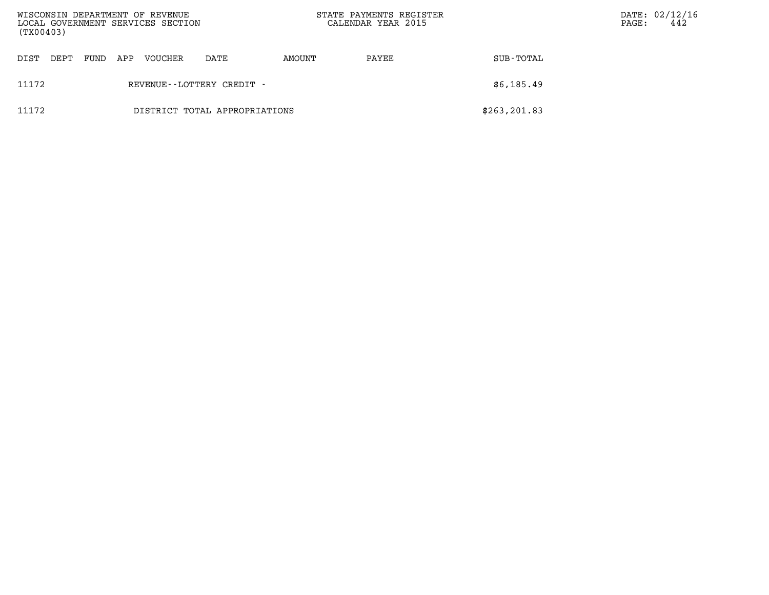| WISCONSIN DEPARTMENT OF REVENUE<br>LOCAL GOVERNMENT SERVICES SECTION<br>(TX00403) |      |      |     |         |                               | STATE PAYMENTS REGISTER<br>CALENDAR YEAR 2015 |       | PAGE:         | DATE: 02/12/16<br>442 |  |
|-----------------------------------------------------------------------------------|------|------|-----|---------|-------------------------------|-----------------------------------------------|-------|---------------|-----------------------|--|
| DIST                                                                              | DEPT | FUND | APP | VOUCHER | DATE                          | AMOUNT                                        | PAYEE | SUB-TOTAL     |                       |  |
| 11172                                                                             |      |      |     |         | REVENUE - - LOTTERY CREDIT -  |                                               |       | \$6,185.49    |                       |  |
| 11172                                                                             |      |      |     |         | DISTRICT TOTAL APPROPRIATIONS |                                               |       | \$263, 201.83 |                       |  |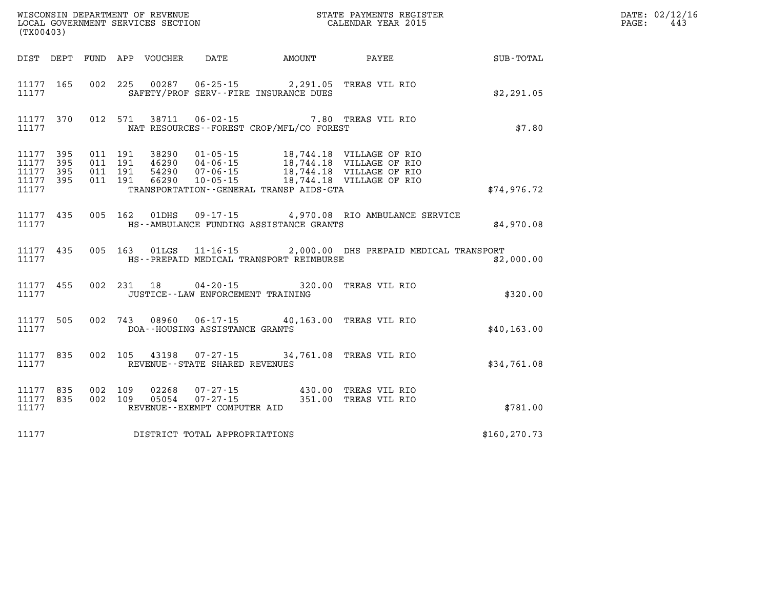|       | WISCONSIN DEPARTMENT OF REVENUE<br>LOCAL GOVERNMENT SERVICES SECTION<br>CALENDAR YEAR 2015<br>(TX00403) |  |  |  |                                          |                                                                                                        |                                                                                                                                                                                                        |                                                        | DATE: 02/12/16<br>PAGE: 443 |
|-------|---------------------------------------------------------------------------------------------------------|--|--|--|------------------------------------------|--------------------------------------------------------------------------------------------------------|--------------------------------------------------------------------------------------------------------------------------------------------------------------------------------------------------------|--------------------------------------------------------|-----------------------------|
|       |                                                                                                         |  |  |  |                                          |                                                                                                        |                                                                                                                                                                                                        | DIST DEPT FUND APP VOUCHER DATE AMOUNT PAYEE SUB-TOTAL |                             |
|       |                                                                                                         |  |  |  |                                          | 11177 165 002 225 00287 06-25-15 2,291.05 TREAS VIL RIO<br>11177 SAFETY/PROF SERV--FIRE INSURANCE DUES |                                                                                                                                                                                                        | \$2,291.05                                             |                             |
|       |                                                                                                         |  |  |  |                                          | 11177 NAT RESOURCES--FOREST CROP/MFL/CO FOREST                                                         | 11177 370 012 571 38711 06-02-15 7.80 TREAS VIL RIO                                                                                                                                                    | \$7.80                                                 |                             |
|       |                                                                                                         |  |  |  |                                          | 11177 TRANSPORTATION - - GENERAL TRANSP AIDS - GTA                                                     |                                                                                                                                                                                                        | \$74,976.72                                            |                             |
|       |                                                                                                         |  |  |  |                                          | 11177 THE HS--AMBULANCE FUNDING ASSISTANCE GRANTS                                                      | 11177 435 005 162 01DHS 09-17-15 4,970.08 RIO AMBULANCE SERVICE                                                                                                                                        | \$4,970.08                                             |                             |
| 11177 |                                                                                                         |  |  |  |                                          | HS--PREPAID MEDICAL TRANSPORT REIMBURSE                                                                | 11177 435 005 163 01LGS 11-16-15 2,000.00 DHS PREPAID MEDICAL TRANSPORT                                                                                                                                | \$2,000.00                                             |                             |
|       |                                                                                                         |  |  |  | 11177 JUSTICE - LAW ENFORCEMENT TRAINING |                                                                                                        | 11177 455 002 231 18 04-20-15 320.00 TREAS VIL RIO                                                                                                                                                     | \$320.00                                               |                             |
|       |                                                                                                         |  |  |  | 11177 DOA--HOUSING ASSISTANCE GRANTS     | 11177 505 002 743 08960 06-17-15 40,163.00 TREAS VIL RIO                                               |                                                                                                                                                                                                        | \$40,163.00                                            |                             |
|       |                                                                                                         |  |  |  | 11177 REVENUE - STATE SHARED REVENUES    | 11177 835 002 105 43198 07-27-15 34,761.08 TREAS VIL RIO                                               |                                                                                                                                                                                                        | \$34,761.08                                            |                             |
| 11177 |                                                                                                         |  |  |  | REVENUE--EXEMPT COMPUTER AID             |                                                                                                        | $\begin{array}{cccccccc} 11177 & 835 & 002 & 109 & 02268 & 07-27-15 & & & 430.00 & \text{TREAS VIL RIO} \\ 11177 & 835 & 002 & 109 & 05054 & 07-27-15 & & & 351.00 & \text{TREAS VIL RIO} \end{array}$ | \$781.00                                               |                             |
| 11177 |                                                                                                         |  |  |  | DISTRICT TOTAL APPROPRIATIONS            |                                                                                                        |                                                                                                                                                                                                        | \$160, 270.73                                          |                             |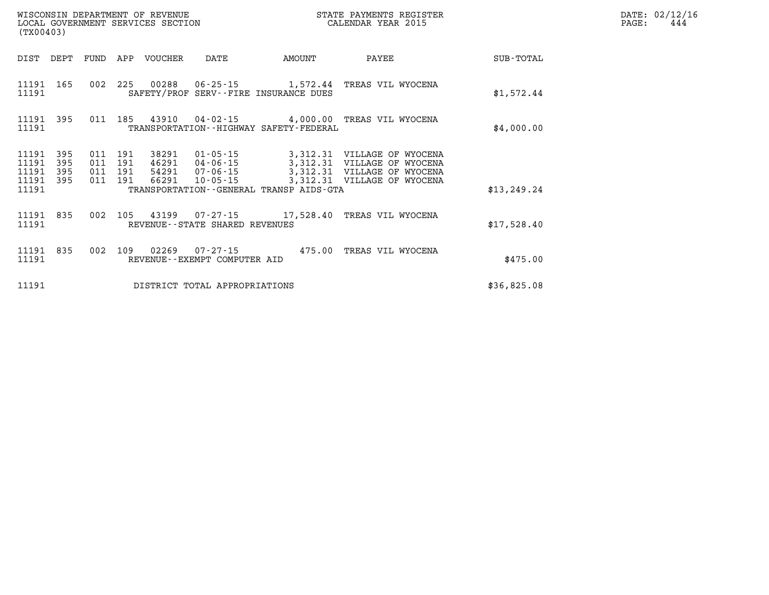| (TX00403)      |            |            |            | WISCONSIN DEPARTMENT OF REVENUE<br>LOCAL GOVERNMENT SERVICES SECTION |                                  |                                             | STATE PAYMENTS REGISTER<br>CALENDAR YEAR 2015                             |              |
|----------------|------------|------------|------------|----------------------------------------------------------------------|----------------------------------|---------------------------------------------|---------------------------------------------------------------------------|--------------|
| DIST           | DEPT       | FUND       | APP        | VOUCHER                                                              | DATE                             | AMOUNT                                      | PAYEE                                                                     | SUB-TOTAL    |
| 11191<br>11191 | 165        |            | 002 225    |                                                                      |                                  | SAFETY/PROF SERV--FIRE INSURANCE DUES       | 00288  06-25-15  1,572.44  TREAS VIL WYOCENA                              | \$1,572.44   |
| 11191<br>11191 | 395        | 011        |            |                                                                      |                                  | TRANSPORTATION - - HIGHWAY SAFETY - FEDERAL | 185  43910  04-02-15  4,000.00  TREAS VIL WYOCENA                         | \$4,000.00   |
| 11191<br>11191 | 395<br>395 | 011<br>011 | 191<br>191 |                                                                      | 46291 04-06-15                   |                                             | 38291 01-05-15 3,312.31 VILLAGE OF WYOCENA<br>3,312.31 VILLAGE OF WYOCENA |              |
| 11191<br>11191 | 395<br>395 | 011<br>011 | 191<br>191 | 66291                                                                | 54291 07-06-15<br>$10 - 05 - 15$ |                                             | 3,312.31 VILLAGE OF WYOCENA<br>3,312.31 VILLAGE OF WYOCENA                |              |
| 11191          |            |            |            |                                                                      |                                  | TRANSPORTATION--GENERAL TRANSP AIDS-GTA     |                                                                           | \$13, 249.24 |
| 11191<br>11191 | 835        | 002        |            |                                                                      | REVENUE--STATE SHARED REVENUES   |                                             | 105 43199  07-27-15  17,528.40 TREAS VIL WYOCENA                          | \$17,528.40  |
| 11191<br>11191 | 835        | 002        | 109        |                                                                      | REVENUE--EXEMPT COMPUTER AID     |                                             | 02269  07-27-15  475.00 TREAS VIL WYOCENA                                 | \$475.00     |
| 11191          |            |            |            |                                                                      | DISTRICT TOTAL APPROPRIATIONS    |                                             |                                                                           | \$36,825.08  |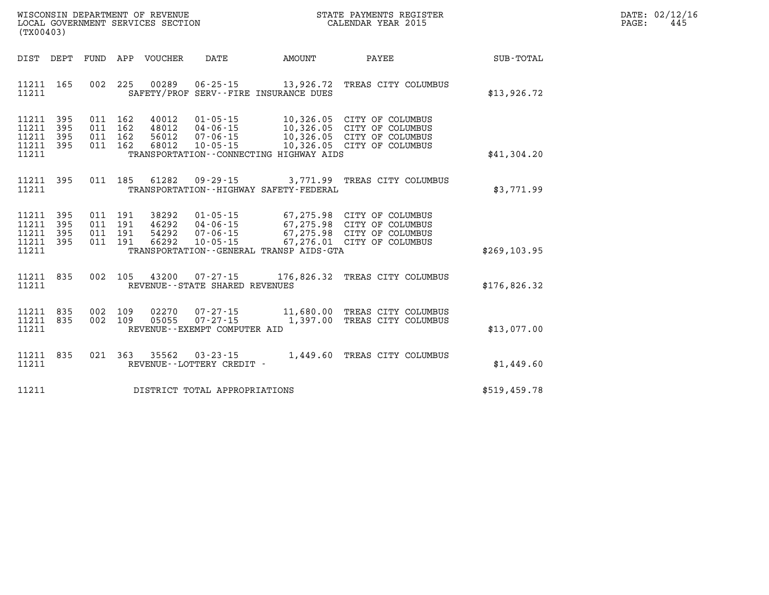| WISCONSIN DEPARTMENT OF REVENUE   | STATE PAYMENTS REGISTER | DATE: | : 02/12/16 |
|-----------------------------------|-------------------------|-------|------------|
| LOCAL GOVERNMENT SERVICES SECTION | CALENDAR YEAR 2015      | PAGE  | 44.        |

| (TX00403)                                                             |                          |                                                              |                                                                                                                   |          |                                                                                                                      |               |
|-----------------------------------------------------------------------|--------------------------|--------------------------------------------------------------|-------------------------------------------------------------------------------------------------------------------|----------|----------------------------------------------------------------------------------------------------------------------|---------------|
| DIST<br>DEPT                                                          | FUND                     | APP VOUCHER                                                  | <b>DATE</b>                                                                                                       | AMOUNT   | PAYEE                                                                                                                | SUB-TOTAL     |
| 11211<br>165<br>11211                                                 | 002                      | 225                                                          | 00289<br>$06 - 25 - 15$<br>SAFETY/PROF SERV--FIRE INSURANCE DUES                                                  |          | 13,926.72 TREAS CITY COLUMBUS                                                                                        | \$13,926.72   |
| 395<br>11211<br>395<br>11211<br>11211<br>395<br>11211<br>395<br>11211 | 011<br>011<br>011<br>011 | 162<br>40012<br>162<br>48012<br>162<br>56012<br>68012<br>162 | $01 - 05 - 15$<br>$04 - 06 - 15$<br>$07 - 06 - 15$<br>$10 - 05 - 15$<br>TRANSPORTATION -- CONNECTING HIGHWAY AIDS |          | 10,326.05 CITY OF COLUMBUS<br>10,326.05 CITY OF COLUMBUS<br>10,326.05 CITY OF COLUMBUS<br>10,326.05 CITY OF COLUMBUS | \$41,304.20   |
| 395<br>11211<br>11211                                                 | 011                      | 185<br>61282                                                 | 09 - 29 - 15<br>TRANSPORTATION - - HIGHWAY SAFETY - FEDERAL                                                       | 3,771.99 | TREAS CITY COLUMBUS                                                                                                  | \$3,771.99    |
| 11211<br>395<br>395<br>11211<br>11211<br>395<br>395<br>11211<br>11211 | 011<br>011<br>011<br>011 | 191<br>38292<br>191<br>46292<br>191<br>54292<br>191<br>66292 | $01 - 05 - 15$<br>$04 - 06 - 15$<br>$07 - 06 - 15$<br>$10 - 05 - 15$<br>TRANSPORTATION--GENERAL TRANSP AIDS-GTA   |          | 67,275.98 CITY OF COLUMBUS<br>67,275.98 CITY OF COLUMBUS<br>67,275.98 CITY OF COLUMBUS<br>67,276.01 CITY OF COLUMBUS | \$269, 103.95 |
| 835<br>11211<br>11211                                                 | 002                      | 105<br>43200                                                 | $07 - 27 - 15$<br>REVENUE - - STATE SHARED REVENUES                                                               |          | 176,826.32 TREAS CITY COLUMBUS                                                                                       | \$176,826.32  |
| 11211<br>835<br>11211<br>835<br>11211                                 | 002<br>002               | 109<br>02270<br>109<br>05055                                 | $07 - 27 - 15$<br>$07 - 27 - 15$<br>REVENUE - - EXEMPT COMPUTER AID                                               |          | 11,680.00 TREAS CITY COLUMBUS<br>1,397.00 TREAS CITY COLUMBUS                                                        | \$13,077.00   |
| 11211<br>835<br>11211                                                 | 021                      | 363<br>35562                                                 | $03 - 23 - 15$<br>REVENUE - - LOTTERY CREDIT -                                                                    |          | 1,449.60 TREAS CITY COLUMBUS                                                                                         | \$1,449.60    |
| 11211                                                                 |                          |                                                              | DISTRICT TOTAL APPROPRIATIONS                                                                                     |          |                                                                                                                      | \$519,459.78  |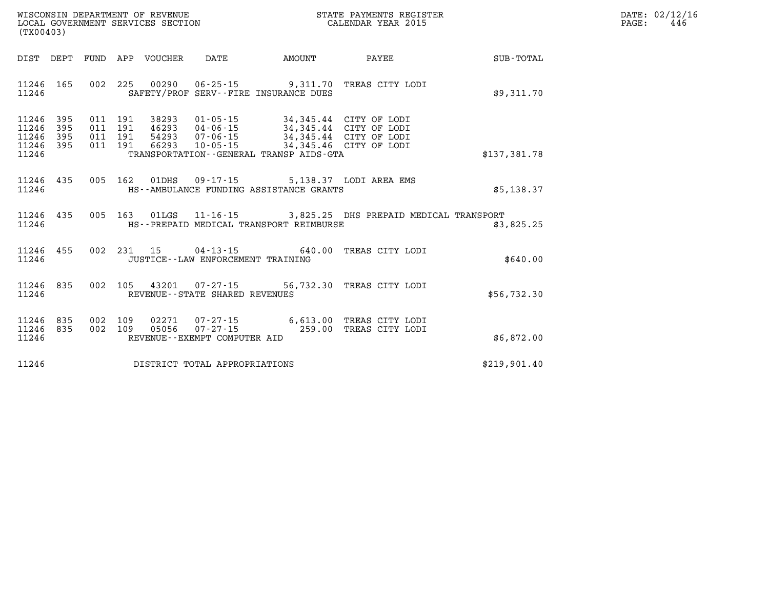| DATE: | 02/12/16 |
|-------|----------|
| PAGE: | 446      |

| (TX00403)                                 | WISCONSIN DEPARTMENT OF REVENUE<br>LOCAL GOVERNMENT SERVICES SECTION |                          |                                   |                                                                      |                                                                                |                                                                  |              |
|-------------------------------------------|----------------------------------------------------------------------|--------------------------|-----------------------------------|----------------------------------------------------------------------|--------------------------------------------------------------------------------|------------------------------------------------------------------|--------------|
| DIST                                      | DEPT                                                                 | FUND                     | APP<br>VOUCHER                    | DATE                                                                 | AMOUNT                                                                         | PAYEE                                                            | SUB-TOTAL    |
| 11246<br>11246                            | 165                                                                  | 002                      | 225<br>00290                      |                                                                      | $06 - 25 - 15$ 9, 311.70<br>SAFETY/PROF SERV--FIRE INSURANCE DUES              | TREAS CITY LODI                                                  | \$9,311.70   |
| 11246<br>11246<br>11246<br>11246<br>11246 | 395<br>395<br>395<br>395                                             | 011<br>011<br>011<br>011 | 191<br>38293<br>191<br>191<br>191 | $01 - 05 - 15$<br>46293 04-06-15<br>54293 07-06-15<br>66293 10-05-15 | 34,345.44 CITY OF LODI<br>34,345.46<br>TRANSPORTATION--GENERAL TRANSP AIDS-GTA | 34,345.44 CITY OF LODI<br>34,345.44 CITY OF LODI<br>CITY OF LODI | \$137,381.78 |
| 11246<br>11246                            | 435                                                                  | 005                      | 162<br>01DHS                      |                                                                      | 09-17-15 5,138.37 LODI AREA EMS<br>HS--AMBULANCE FUNDING ASSISTANCE GRANTS     |                                                                  | \$5,138.37   |
| 11246<br>11246                            | 435                                                                  | 005                      | 163                               |                                                                      | HS--PREPAID MEDICAL TRANSPORT REIMBURSE                                        | 01LGS  11-16-15  3,825.25 DHS PREPAID MEDICAL TRANSPORT          | \$3,825.25   |
| 11246<br>11246                            | 455                                                                  | 002                      | 231<br>15                         | $04 - 13 - 15$<br>JUSTICE - - LAW ENFORCEMENT TRAINING               | 640.00                                                                         | TREAS CITY LODI                                                  | \$640.00     |
| 11246<br>11246                            | 835                                                                  | 002                      | 105<br>43201                      | $07 - 27 - 15$<br>REVENUE - - STATE SHARED REVENUES                  |                                                                                | 56,732.30 TREAS CITY LODI                                        | \$56,732.30  |
| 11246<br>11246<br>11246                   | 835<br>835                                                           | 002<br>002               | 109<br>02271<br>109<br>05056      | 07-27-15<br>REVENUE--EXEMPT COMPUTER AID                             | $07 - 27 - 15$ 259.00                                                          | 6,613.00 TREAS CITY LODI<br>TREAS CITY LODI                      | \$6,872.00   |
| 11246                                     |                                                                      |                          |                                   | DISTRICT TOTAL APPROPRIATIONS                                        |                                                                                |                                                                  | \$219,901.40 |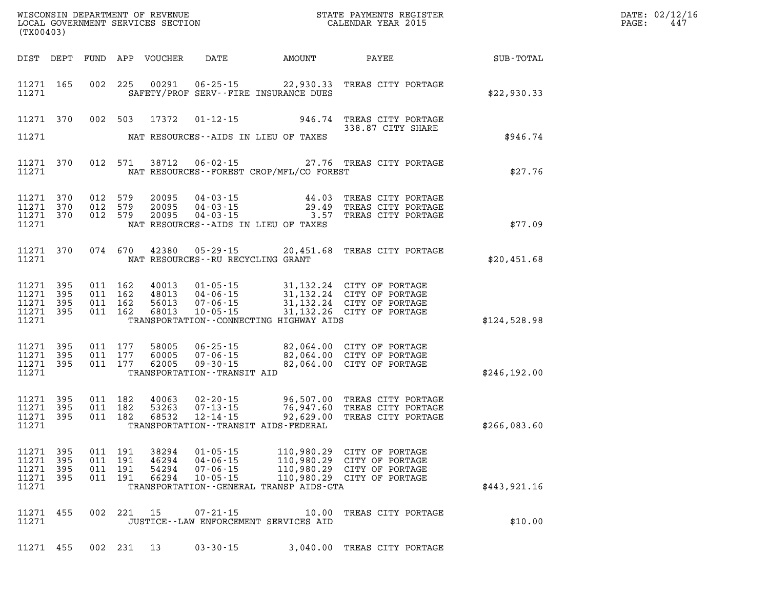| (TX00403)                                                 |            |                                          |                                  |                                                                                    |                                                                                                                        | STATE PAYMENTS REGISTER                                                                                                                     |              | DATE: 02/12/16<br>PAGE:<br>447 |
|-----------------------------------------------------------|------------|------------------------------------------|----------------------------------|------------------------------------------------------------------------------------|------------------------------------------------------------------------------------------------------------------------|---------------------------------------------------------------------------------------------------------------------------------------------|--------------|--------------------------------|
| DIST DEPT                                                 |            |                                          | FUND APP VOUCHER                 | <b>DATE</b>                                                                        |                                                                                                                        | AMOUNT PAYEE                                                                                                                                | SUB-TOTAL    |                                |
| 11271 165<br>11271                                        |            | 002 225                                  |                                  |                                                                                    | SAFETY/PROF SERV--FIRE INSURANCE DUES                                                                                  | 00291  06-25-15  22,930.33  TREAS CITY PORTAGE                                                                                              | \$22,930.33  |                                |
| 11271 370                                                 | 002 503    |                                          |                                  |                                                                                    |                                                                                                                        | 17372 01-12-15 946.74 TREAS CITY PORTAGE<br>338.87 CITY SHARE                                                                               |              |                                |
| 11271                                                     |            |                                          |                                  |                                                                                    | NAT RESOURCES--AIDS IN LIEU OF TAXES                                                                                   |                                                                                                                                             | \$946.74     |                                |
| 11271 370<br>11271                                        |            | 012 571                                  |                                  |                                                                                    | NAT RESOURCES--FOREST CROP/MFL/CO FOREST                                                                               | 38712  06-02-15  27.76  TREAS CITY PORTAGE                                                                                                  | \$27.76      |                                |
| 11271 370<br>11271 370<br>11271 370<br>11271              | 012 579    | 012 579<br>012 579                       | 20095<br>20095<br>20095          |                                                                                    | $04 - 03 - 15$<br>$04 - 03 - 15$<br>$04 - 03 - 15$<br>$04 - 03 - 15$<br>$3.57$<br>NAT RESOURCES--AIDS IN LIEU OF TAXES | TREAS CITY PORTAGE<br>29.49 TREAS CITY PORTAGE<br>3.57 TREAS CITY PORTAGE                                                                   | \$77.09      |                                |
| 11271 370<br>11271                                        |            | 074 670                                  | 42380                            | $05 - 29 - 15$<br>NAT RESOURCES -- RU RECYCLING GRANT                              |                                                                                                                        | 20,451.68 TREAS CITY PORTAGE                                                                                                                | \$20,451.68  |                                |
| 11271 395<br>11271 395<br>11271 395<br>11271 395<br>11271 |            | 011 162<br>011 162<br>011 162<br>011 162 | 40013<br>48013<br>56013<br>68013 | $10 - 05 - 15$                                                                     | TRANSPORTATION -- CONNECTING HIGHWAY AIDS                                                                              | 01-05-15 31,132.24 CITY OF PORTAGE<br>04-06-15 31,132.24 CITY OF PORTAGE<br>07-06-15 31,132.24 CITY OF PORTAGE<br>31,132.26 CITY OF PORTAGE | \$124,528.98 |                                |
| 11271 395<br>11271 395<br>11271 395<br>11271              |            | 011 177<br>011 177<br>011 177            | 58005<br>60005<br>62005          | 06 - 25 - 15<br>$07 - 06 - 15$<br>$09 - 30 - 15$<br>TRANSPORTATION - - TRANSIT AID |                                                                                                                        | 82,064.00 CITY OF PORTAGE<br>82,064.00 CITY OF PORTAGE<br>82,064.00 CITY OF PORTAGE                                                         | \$246,192.00 |                                |
| 11271 395<br>11271 395<br>11271 395<br>11271              |            | 011 182<br>011 182<br>011 182            | 40063<br>53263<br>68532          |                                                                                    | TRANSPORTATION - - TRANSIT AIDS - FEDERAL                                                                              | 02-20-15 96,507.00 TREAS CITY PORTAGE<br>07-13-15 76,947.60 TREAS CITY PORTAGE<br>12-14-15 92,629.00 TREAS CITY PORTAGE                     | \$266,083.60 |                                |
| 11271 395<br>11271 395<br>11271 395<br>11271 395<br>11271 | 011<br>011 | 011 191<br>191<br>191<br>011 191         | 38294<br>46294<br>54294<br>66294 | $01 - 05 - 15$<br>$04 - 06 - 15$<br>$07 - 06 - 15$<br>$10 - 05 - 15$               | 110,980.29<br>110,980.29<br>110,980.29<br>TRANSPORTATION--GENERAL TRANSP AIDS-GTA                                      | CITY OF PORTAGE<br>CITY OF PORTAGE<br>CITY OF PORTAGE<br>110,980.29 CITY OF PORTAGE                                                         | \$443,921.16 |                                |
| 11271 455<br>11271                                        |            | 002 221                                  | 15                               | $07 - 21 - 15$                                                                     | 10.00<br>JUSTICE--LAW ENFORCEMENT SERVICES AID                                                                         | TREAS CITY PORTAGE                                                                                                                          | \$10.00      |                                |
| 11271 455                                                 |            | 002 231                                  | 13                               | $03 - 30 - 15$                                                                     |                                                                                                                        | 3,040.00 TREAS CITY PORTAGE                                                                                                                 |              |                                |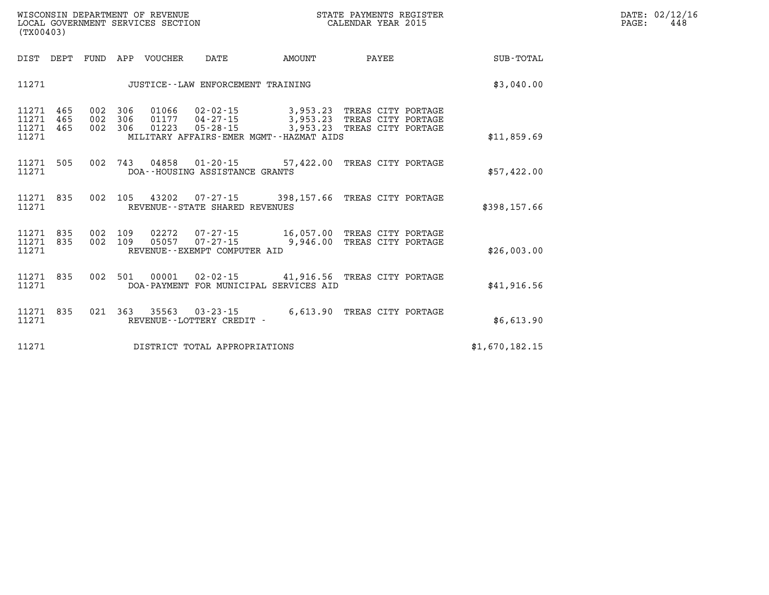| WISCONSIN DEPARTMENT OF REVENUE   | STATE PAYMENTS REGISTER | DATE: 02/12/16 |
|-----------------------------------|-------------------------|----------------|
| LOCAL GOVERNMENT SERVICES SECTION | CALENDAR YEAR 2015      | PAGE<br>444    |

|                |                    |                                                                                                                         |                                                |         |                    |                   |                   | (TX00403)                        |
|----------------|--------------------|-------------------------------------------------------------------------------------------------------------------------|------------------------------------------------|---------|--------------------|-------------------|-------------------|----------------------------------|
| SUB-TOTAL      | <b>PAYEE</b>       | AMOUNT                                                                                                                  | DATE                                           | VOUCHER | APP                | FUND              | DEPT              | DIST                             |
| \$3,040.00     |                    |                                                                                                                         | JUSTICE -- LAW ENFORCEMENT TRAINING            |         |                    |                   |                   | 11271                            |
| \$11,859.69    | TREAS CITY PORTAGE | 01177  04-27-15  3,953.23  TREAS CITY PORTAGE<br>3,953.23 TREAS CITY PORTAGE<br>MILITARY AFFAIRS-EMER MGMT--HAZMAT AIDS | $01066$ $02 - 02 - 15$ 3,953.23<br>05-28-15    | 01223   | 306<br>306<br>306  | 002<br>002<br>002 | 465<br>465<br>465 | 11271<br>11271<br>11271<br>11271 |
| \$57,422.00    |                    | 04858  01-20-15  57,422.00  TREAS CITY PORTAGE                                                                          | DOA--HOUSING ASSISTANCE GRANTS                 |         | 743                | 002               | 505               | 11271<br>11271                   |
| \$398,157.66   |                    | 43202  07-27-15  398,157.66  TREAS CITY PORTAGE                                                                         | REVENUE - - STATE SHARED REVENUES              |         | 105                | 002               | 835               | 11271<br>11271                   |
| \$26,003.00    |                    | 05057 07-27-15 9,946.00 TREAS CITY PORTAGE                                                                              | REVENUE--EXEMPT COMPUTER AID                   |         | 002 109<br>002 109 |                   | 835<br>835        | 11271<br>11271<br>11271          |
| \$41,916.56    |                    | 00001  02-02-15  41,916.56  TREAS CITY PORTAGE                                                                          | DOA-PAYMENT FOR MUNICIPAL SERVICES AID         |         | 501                | 002               | 835               | 11271<br>11271                   |
| \$6,613.90     | TREAS CITY PORTAGE | 6,613.90                                                                                                                | $03 - 23 - 15$<br>REVENUE - - LOTTERY CREDIT - | 35563   | 363                | 021               | 835               | 11271<br>11271                   |
| \$1,670,182.15 |                    |                                                                                                                         | DISTRICT TOTAL APPROPRIATIONS                  |         |                    |                   |                   | 11271                            |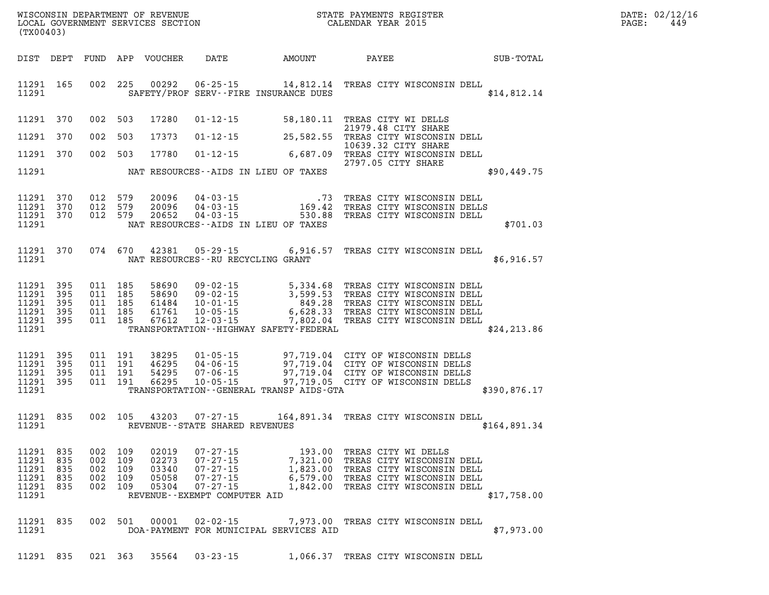| DATE: | 02/12/16 |
|-------|----------|
| PAGE: | 449      |

| (TX00403)                                                  |                          |                                          |                                      | LOCAL GOVERNMENT SERVICES SECTION         |                                                                                                                           | CALENDAR YEAR 2015                                                                                                                                                                                                                                                                           |                            |                                                                                                                           | PAGE:        | 449 |  |
|------------------------------------------------------------|--------------------------|------------------------------------------|--------------------------------------|-------------------------------------------|---------------------------------------------------------------------------------------------------------------------------|----------------------------------------------------------------------------------------------------------------------------------------------------------------------------------------------------------------------------------------------------------------------------------------------|----------------------------|---------------------------------------------------------------------------------------------------------------------------|--------------|-----|--|
| DIST DEPT                                                  |                          |                                          |                                      |                                           |                                                                                                                           |                                                                                                                                                                                                                                                                                              |                            |                                                                                                                           |              |     |  |
| 11291 165<br>11291                                         |                          |                                          |                                      |                                           |                                                                                                                           | 002 225 00292 06-25-15 14,812.14 TREAS CITY WISCONSIN DELL<br>SAFETY/PROF SERV--FIRE INSURANCE DUES                                                                                                                                                                                          |                            |                                                                                                                           | \$14,812.14  |     |  |
| 11291 370                                                  |                          | 002 503                                  |                                      | 17280                                     |                                                                                                                           | 01-12-15 58,180.11 TREAS CITY WI DELLS                                                                                                                                                                                                                                                       | 21979.48 CITY SHARE        |                                                                                                                           |              |     |  |
| 11291                                                      | 370                      | 002 503                                  |                                      | 17373                                     |                                                                                                                           | 01-12-15 25,582.55 TREAS CITY WISCONSIN DELL                                                                                                                                                                                                                                                 | 10639.32 CITY SHARE        |                                                                                                                           |              |     |  |
| 11291 370                                                  |                          |                                          | 002 503                              | 17780                                     |                                                                                                                           | O1-12-15 6,687.09 TREAS CITY WISCONSIN DELL                                                                                                                                                                                                                                                  | 2797.05 CITY SHARE         |                                                                                                                           |              |     |  |
| 11291                                                      |                          |                                          |                                      |                                           |                                                                                                                           | NAT RESOURCES--AIDS IN LIEU OF TAXES                                                                                                                                                                                                                                                         |                            |                                                                                                                           | \$90,449.75  |     |  |
| 11291<br>11291<br>11291 370<br>11291                       | 370<br>370               | 012 579                                  | 012 579<br>012 579                   | 20096<br>20096<br>20652                   |                                                                                                                           | 04-03-15 73 TREAS CITY WISCONSIN DELL<br>04-03-15 169.42 TREAS CITY WISCONSIN DELLS<br>04-03-15 530.88 TREAS CITY WISCONSIN DELL<br>NAT RESOURCES--AIDS IN LIEU OF TAXES                                                                                                                     |                            |                                                                                                                           | \$701.03     |     |  |
| 11291 370<br>11291                                         |                          |                                          | 074 670                              | 42381                                     | NAT RESOURCES--RU RECYCLING GRANT                                                                                         | 05-29-15 6,916.57 TREAS CITY WISCONSIN DELL                                                                                                                                                                                                                                                  |                            |                                                                                                                           | \$6,916.57   |     |  |
| 11291 395<br>11291<br>11291<br>11291<br>11291 395<br>11291 | 395<br>395<br>395        | 011 185<br>011 185<br>011 185<br>011 185 | 011 185                              | 58690<br>58690<br>61484<br>61761<br>67612 |                                                                                                                           | 09-02-15<br>09-02-15<br>5,334.68 TREAS CITY WISCONSIN DELL<br>09-02-15<br>3,599.53 TREAS CITY WISCONSIN DELL<br>10-01-15<br>6,628.33 TREAS CITY WISCONSIN DELL<br>12-03-15<br>7,802.04 TREAS CITY WISCONSIN DELL<br>TREAS CITY WISCONSIN DELL<br>TRANSPORTATION - - HIGHWAY SAFETY - FEDERAL |                            |                                                                                                                           | \$24, 213.86 |     |  |
| 11291 395<br>11291<br>11291 395<br>11291 395<br>11291      | 395                      | 011 191                                  | 011 191<br>011 191<br>011 191        | 38295<br>46295<br>54295<br>66295          |                                                                                                                           | 01-05-15 97,719.04 CITY OF WISCONSIN DELLS<br>04-06-15 97,719.04 CITY OF WISCONSIN DELLS<br>07-06-15 97,719.04 CITY OF WISCONSIN DELLS<br>10-05-15 97,719.05 CITY OF WISCONSIN DELLS<br>TRANSPORTATION--GENERAL TRANSP AIDS-GTA                                                              |                            |                                                                                                                           | \$390,876.17 |     |  |
| 11291 835<br>11291                                         |                          |                                          | 002 105                              |                                           | REVENUE--STATE SHARED REVENUES                                                                                            | 43203 07-27-15 164,891.34 TREAS CITY WISCONSIN DELL                                                                                                                                                                                                                                          |                            |                                                                                                                           | \$164,891.34 |     |  |
| 11291 835<br>11291<br>11291<br>11291<br>11291<br>11291     | 835<br>835<br>835<br>835 | 002<br>002 109                           | 002 109<br>002 109<br>109<br>002 109 | 02019<br>02273<br>03340<br>05058<br>05304 | $07 - 27 - 15$<br>$07 - 27 - 15$<br>$07 - 27 - 15$<br>$07 - 27 - 15$<br>$07 - 27 - 15$<br>REVENUE - - EXEMPT COMPUTER AID | 7,321.00<br>1,823.00<br>6,579.00                                                                                                                                                                                                                                                             | 193.00 TREAS CITY WI DELLS | TREAS CITY WISCONSIN DELL<br>TREAS CITY WISCONSIN DELL<br>TREAS CITY WISCONSIN DELL<br>1,842.00 TREAS CITY WISCONSIN DELL | \$17,758.00  |     |  |
| 11291<br>11291                                             | 835                      |                                          | 002 501                              | 00001                                     | $02 - 02 - 15$                                                                                                            | DOA-PAYMENT FOR MUNICIPAL SERVICES AID                                                                                                                                                                                                                                                       |                            | 7,973.00 TREAS CITY WISCONSIN DELL                                                                                        | \$7,973.00   |     |  |
| 11291 835                                                  |                          |                                          | 021 363                              | 35564                                     | $03 - 23 - 15$                                                                                                            |                                                                                                                                                                                                                                                                                              |                            | 1,066.37 TREAS CITY WISCONSIN DELL                                                                                        |              |     |  |

WISCONSIN DEPARTMENT OF REVENUE **STATE PAYMENTS REGISTER**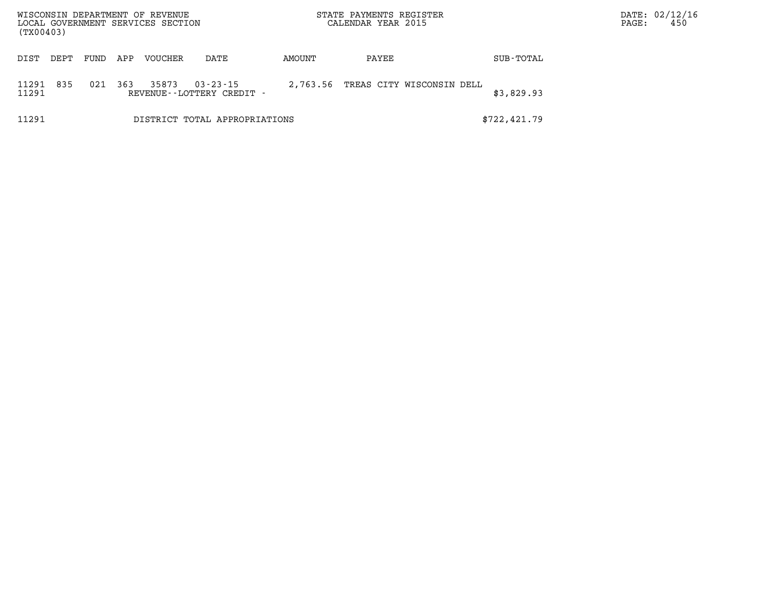| WISCONSIN DEPARTMENT OF REVENUE<br>LOCAL GOVERNMENT SERVICES SECTION<br>(TX00403) |      |      |     |         |                                             |          | STATE PAYMENTS REGISTER<br>CALENDAR YEAR 2015 |                           |              |  |  | DATE: 02/12/16<br>450 |
|-----------------------------------------------------------------------------------|------|------|-----|---------|---------------------------------------------|----------|-----------------------------------------------|---------------------------|--------------|--|--|-----------------------|
| DIST                                                                              | DEPT | FUND | APP | VOUCHER | DATE                                        | AMOUNT   | PAYEE                                         |                           | SUB-TOTAL    |  |  |                       |
| 11291<br>11291                                                                    | 835  | 021  | 363 | 35873   | $03 - 23 - 15$<br>REVENUE--LOTTERY CREDIT - | 2,763.56 |                                               | TREAS CITY WISCONSIN DELL | \$3,829.93   |  |  |                       |
| 11291                                                                             |      |      |     |         | DISTRICT TOTAL APPROPRIATIONS               |          |                                               |                           | \$722,421.79 |  |  |                       |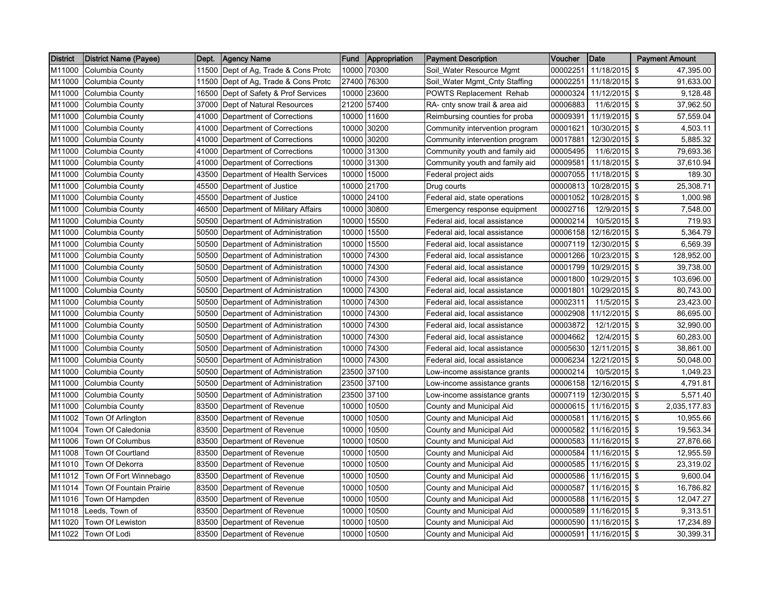| <b>District</b> | <b>District Name (Payee)</b> | Dept. | <b>Agency Name</b>                   | Fund  | Appropriation | <b>Payment Description</b>     | Voucher  | Date                   | <b>Payment Amount</b> |
|-----------------|------------------------------|-------|--------------------------------------|-------|---------------|--------------------------------|----------|------------------------|-----------------------|
| M11000          | Columbia County              |       | 11500 Dept of Ag, Trade & Cons Protc | 10000 | 70300         | Soil_Water Resource Mgmt       | 00002251 | 11/18/2015             | \$<br>47,395.00       |
| M11000          | Columbia County              |       | 11500 Dept of Ag, Trade & Cons Protc | 27400 | 76300         | Soil_Water Mgmt_Cnty Staffing  | 00002251 | 11/18/2015 \$          | 91,633.00             |
| M11000          | Columbia County              | 16500 | Dept of Safety & Prof Services       | 10000 | 23600         | <b>POWTS Replacement Rehab</b> | 00000324 | 11/12/2015 \$          | 9,128.48              |
| M11000          | Columbia County              |       | 37000 Dept of Natural Resources      | 21200 | 57400         | RA- cnty snow trail & area aid | 00006883 | $11/6/2015$ \$         | 37,962.50             |
| M11000          | <b>Columbia County</b>       | 41000 | Department of Corrections            | 10000 | 11600         | Reimbursing counties for proba | 00009391 | 11/19/2015 \$          | 57,559.04             |
| M11000          | Columbia County              | 41000 | Department of Corrections            | 10000 | 30200         | Community intervention program | 00001621 | 10/30/2015 \$          | 4,503.11              |
| M11000          | Columbia County              | 41000 | Department of Corrections            | 10000 | 30200         | Community intervention program | 00017881 | 12/30/2015 \$          | 5,885.32              |
| M11000          | Columbia County              |       | 41000 Department of Corrections      |       | 10000 31300   | Community youth and family aid | 00005495 | 11/6/2015 \$           | 79,693.36             |
| M11000          | <b>Columbia County</b>       |       | 41000 Department of Corrections      |       | 10000 31300   | Community youth and family aid | 00009581 | 11/18/2015 \$          | 37,610.94             |
| M11000          | Columbia County              |       | 43500 Department of Health Services  | 10000 | 15000         | Federal project aids           | 00007055 | 11/18/2015 \$          | 189.30                |
| M11000          | Columbia County              | 45500 | Department of Justice                | 10000 | 21700         | Drug courts                    | 00000813 | 10/28/2015 \$          | 25,308.71             |
| M11000          | Columbia County              |       | 45500 Department of Justice          | 10000 | 24100         | Federal aid, state operations  | 00001052 | 10/28/2015 \$          | 1,000.98              |
| M11000          | Columbia County              |       | 46500 Department of Military Affairs | 10000 | 30800         | Emergency response equipment   | 00002716 | 12/9/2015 \$           | 7,548.00              |
| M11000          | Columbia County              |       | 50500 Department of Administration   | 10000 | 15500         | Federal aid, local assistance  | 00000214 | 10/5/2015 \$           | 719.93                |
| M11000          | <b>Columbia County</b>       | 50500 | Department of Administration         | 10000 | 15500         | Federal aid, local assistance  | 00006158 | 12/16/2015 \$          | 5,364.79              |
| M11000          | Columbia County              | 50500 | Department of Administration         | 10000 | 15500         | Federal aid, local assistance  | 00007119 | 12/30/2015 \$          | 6,569.39              |
| M11000          | Columbia County              |       | 50500 Department of Administration   | 10000 | 74300         | Federal aid, local assistance  | 00001266 | 10/23/2015 \$          | 128,952.00            |
| M11000          | <b>Columbia County</b>       |       | 50500 Department of Administration   | 10000 | 74300         | Federal aid, local assistance  | 00001799 | 10/29/2015 \$          | 39,738.00             |
| M11000          | Columbia County              |       | 50500 Department of Administration   | 10000 | 74300         | Federal aid, local assistance  | 00001800 | 10/29/2015 \$          | 103,696.00            |
| M11000          | <b>Columbia County</b>       | 50500 | Department of Administration         | 10000 | 74300         | Federal aid, local assistance  | 00001801 | 10/29/2015 \$          | 80,743.00             |
| M11000          | Columbia County              | 50500 | Department of Administration         | 10000 | 74300         | Federal aid, local assistance  | 00002311 | 11/5/2015 \$           | 23,423.00             |
| M11000          | Columbia County              |       | 50500 Department of Administration   | 10000 | 74300         | Federal aid, local assistance  | 00002908 | 11/12/2015 \$          | 86,695.00             |
| M11000          | Columbia County              |       | 50500 Department of Administration   | 10000 | 74300         | Federal aid, local assistance  | 00003872 | 12/1/2015 \$           | 32,990.00             |
| M11000          | Columbia County              | 50500 | Department of Administration         | 10000 | 74300         | Federal aid, local assistance  | 00004662 | 12/4/2015 \$           | 60,283.00             |
| M11000          | <b>Columbia County</b>       | 50500 | Department of Administration         | 10000 | 74300         | Federal aid, local assistance  | 00005630 | 12/11/2015 \$          | 38,861.00             |
| M11000          | Columbia County              |       | 50500 Department of Administration   | 10000 | 74300         | Federal aid, local assistance  | 00006234 | 12/21/2015 \$          | 50,048.00             |
| M11000          | Columbia County              |       | 50500 Department of Administration   | 23500 | 37100         | Low-income assistance grants   | 00000214 | 10/5/2015 \$           | 1,049.23              |
| M11000          | Columbia County              |       | 50500 Department of Administration   | 23500 | 37100         | Low-income assistance grants   | 00006158 | 12/16/2015 \$          | 4,791.81              |
| M11000          | Columbia County              | 50500 | Department of Administration         | 23500 | 37100         | Low-income assistance grants   | 00007119 | 12/30/2015 \$          | 5,571.40              |
| M11000          | Columbia County              | 83500 | Department of Revenue                | 10000 | 10500         | County and Municipal Aid       | 00000615 | 11/16/2015             | \$<br>2,035,177.83    |
| M11002          | Town Of Arlington            |       | 83500 Department of Revenue          | 10000 | 10500         | County and Municipal Aid       | 00000581 | 11/16/2015 \$          | 10,955.66             |
| M11004          | Town Of Caledonia            |       | 83500 Department of Revenue          | 10000 | 10500         | County and Municipal Aid       | 00000582 | 11/16/2015 \$          | 19,563.34             |
| M11006          | Town Of Columbus             | 83500 | Department of Revenue                | 10000 | 10500         | County and Municipal Aid       | 00000583 | 11/16/2015 \$          | 27,876.66             |
| M11008          | Town Of Courtland            | 83500 | Department of Revenue                | 10000 | 10500         | County and Municipal Aid       | 00000584 | 11/16/2015 \$          | 12,955.59             |
| M11010          | Town Of Dekorra              |       | 83500 Department of Revenue          | 10000 | 10500         | County and Municipal Aid       | 00000585 | 11/16/2015 \$          | 23,319.02             |
| M11012          | Town Of Fort Winnebago       |       | 83500 Department of Revenue          | 10000 | 10500         | County and Municipal Aid       | 00000586 | 11/16/2015 \$          | 9,600.04              |
| M11014          | Town Of Fountain Prairie     |       | 83500 Department of Revenue          | 10000 | 10500         | County and Municipal Aid       | 00000587 | 11/16/2015 \$          | 16,786.82             |
| M11016          | Town Of Hampden              | 83500 | Department of Revenue                | 10000 | 10500         | County and Municipal Aid       | 00000588 | 11/16/2015 \$          | 12,047.27             |
| M11018          | Leeds, Town of               | 83500 | Department of Revenue                | 10000 | 10500         | County and Municipal Aid       | 00000589 | 11/16/2015 \$          | 9,313.51              |
| M11020          | Town Of Lewiston             |       | 83500 Department of Revenue          | 10000 | 10500         | County and Municipal Aid       | 00000590 | 11/16/2015 \$          | 17,234.89             |
| M11022          | Town Of Lodi                 |       | 83500 Department of Revenue          |       | 10000 10500   | County and Municipal Aid       |          | 00000591 11/16/2015 \$ | 30,399.31             |